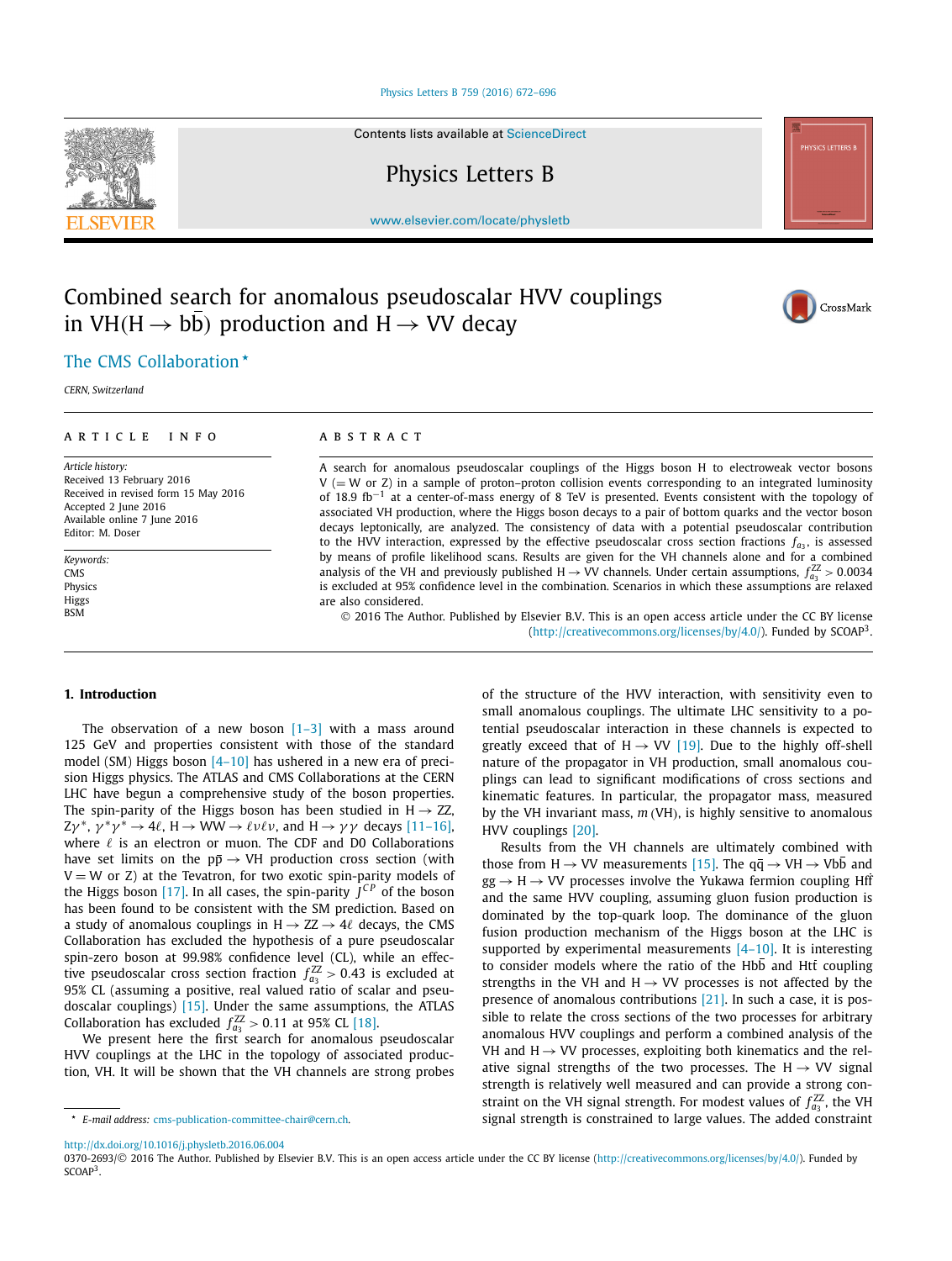#### [Physics Letters B 759 \(2016\) 672–696](http://dx.doi.org/10.1016/j.physletb.2016.06.004)

Contents lists available at [ScienceDirect](http://www.ScienceDirect.com/)

Physics Letters B

[www.elsevier.com/locate/physletb](http://www.elsevier.com/locate/physletb)

# Combined search for anomalous pseudoscalar HVV couplings in  $VH(H \rightarrow b\overline{b})$  production and  $H \rightarrow VV$  decay

# .The CMS [Collaboration](#page-9-0) *-*

*CERN, Switzerland*

#### A R T I C L E I N F O A B S T R A C T

*Article history:* Received 13 February 2016 Received in revised form 15 May 2016 Accepted 2 June 2016 Available online 7 June 2016 Editor: M. Doser

*Keywords:* CMS Physics Higgs BSM

A search for anomalous pseudoscalar couplings of the Higgs boson H to electroweak vector bosons  $V (= W or Z)$  in a sample of proton–proton collision events corresponding to an integrated luminosity of 18.9 fb−<sup>1</sup> at a center-of-mass energy of 8 TeV is presented. Events consistent with the topology of associated VH production, where the Higgs boson decays to a pair of bottom quarks and the vector boson decays leptonically, are analyzed. The consistency of data with a potential pseudoscalar contribution to the HVV interaction, expressed by the effective pseudoscalar cross section fractions  $f_{a3}$ , is assessed by means of profile likelihood scans. Results are given for the VH channels alone and for a combined analysis of the VH and previously published H  $\rightarrow$  VV channels. Under certain assumptions,  $f_{a_3}^{ZZ} > 0.0034$ is excluded at 95% confidence level in the combination. Scenarios in which these assumptions are relaxed are also considered.

© 2016 The Author. Published by Elsevier B.V. This is an open access article under the CC BY license

[\(http://creativecommons.org/licenses/by/4.0/\)](http://creativecommons.org/licenses/by/4.0/). Funded by SCOAP3.

#### **1. Introduction**

The observation of a new boson  $[1-3]$  with a mass around 125 GeV and properties consistent with those of the standard model (SM) Higgs boson [\[4–10\]](#page-8-0) has ushered in a new era of precision Higgs physics. The ATLAS and CMS Collaborations at the CERN LHC have begun a comprehensive study of the boson properties. The spin-parity of the Higgs boson has been studied in  $H \rightarrow ZZ$ ,  $Z\gamma^*$ ,  $\gamma^*\gamma^* \to 4\ell$ ,  $H \to WW \to \ell\nu\ell\nu$ , and  $H \to \gamma\gamma$  decays [\[11–16\],](#page-9-0) where  $\ell$  is an electron or muon. The CDF and D0 Collaborations have set limits on the  $pp \rightarrow VH$  production cross section (with  $V = W$  or Z) at the Tevatron, for two exotic spin-parity models of the Higgs boson [\[17\].](#page-9-0) In all cases, the spin-parity  $\overline{I^{CP}}$  of the boson has been found to be consistent with the SM prediction. Based on a study of anomalous couplings in  $H \rightarrow ZZ \rightarrow 4\ell$  decays, the CMS Collaboration has excluded the hypothesis of a pure pseudoscalar spin-zero boson at 99.98% confidence level (CL), while an effective pseudoscalar cross section fraction  $f_{a_3}^{ZZ} > 0.43$  is excluded at 95% CL (assuming a positive, real valued ratio of scalar and pseudoscalar couplings) [\[15\].](#page-9-0) Under the same assumptions, the ATLAS Collaboration has excluded  $f_{\alpha_2}^{ZZ} > 0.11$  at 95% CL [\[18\].](#page-9-0)<br>We present here the first search for anomalous pseudoscalar

HVV couplings at the LHC in the topology of associated production, VH. It will be shown that the VH channels are strong probes of the structure of the HVV interaction, with sensitivity even to small anomalous couplings. The ultimate LHC sensitivity to a potential pseudoscalar interaction in these channels is expected to greatly exceed that of  $H \rightarrow VV$  [\[19\].](#page-9-0) Due to the highly off-shell nature of the propagator in VH production, small anomalous couplings can lead to significant modifications of cross sections and kinematic features. In particular, the propagator mass, measured by the VH invariant mass, *m (*VH*)*, is highly sensitive to anomalous HVV couplings [\[20\].](#page-9-0)

Results from the VH channels are ultimately combined with those from H  $\rightarrow$  VV measurements [\[15\].](#page-9-0) The  $q\bar{q} \rightarrow VH \rightarrow Vb\bar{b}$  and  $gg \rightarrow H \rightarrow VV$  processes involve the Yukawa fermion coupling Hff and the same HVV coupling, assuming gluon fusion production is dominated by the top-quark loop. The dominance of the gluon fusion production mechanism of the Higgs boson at the LHC is supported by experimental measurements  $[4-10]$ . It is interesting to consider models where the ratio of the Hbb and Htt coupling strengths in the VH and  $H \rightarrow VV$  processes is not affected by the presence of anomalous contributions [\[21\].](#page-9-0) In such a case, it is possible to relate the cross sections of the two processes for arbitrary anomalous HVV couplings and perform a combined analysis of the VH and  $H \rightarrow VV$  processes, exploiting both kinematics and the relative signal strengths of the two processes. The  $H \rightarrow VV$  signal strength is relatively well measured and can provide a strong constraint on the VH signal strength. For modest values of  $f_{a_3}^{ZZ}$ , the VH signal strength is constrained to large values. The added constraint

<http://dx.doi.org/10.1016/j.physletb.2016.06.004>

0370-2693/© 2016 The Author. Published by Elsevier B.V. This is an open access article under the CC BY license [\(http://creativecommons.org/licenses/by/4.0/\)](http://creativecommons.org/licenses/by/4.0/). Funded by SCOAP<sup>3</sup>.





CrossMark

*<sup>-</sup> E-mail address:* [cms-publication-committee-chair@cern.ch](mailto:cms-publication-committee-chair@cern.ch).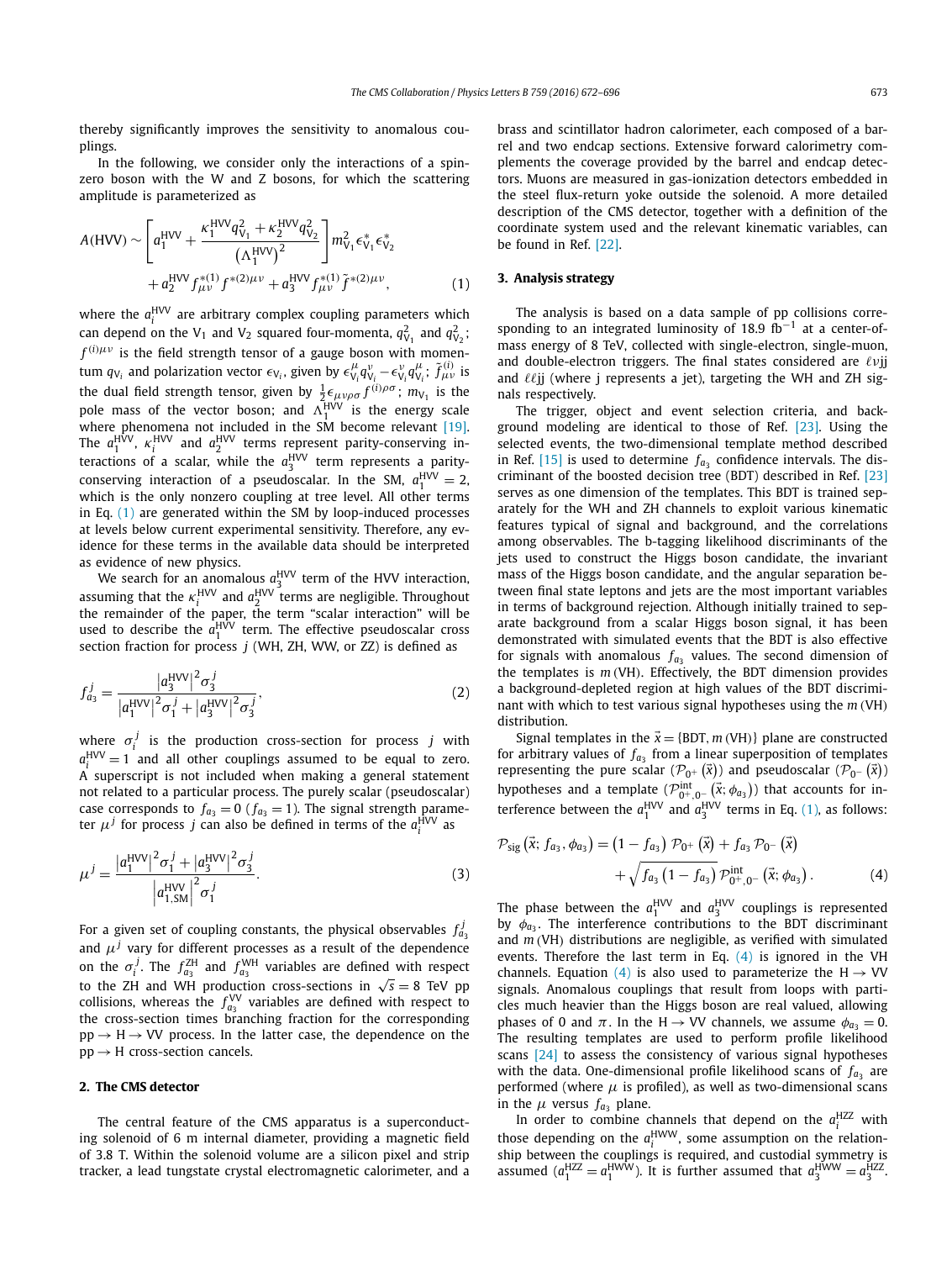<span id="page-1-0"></span>thereby significantly improves the sensitivity to anomalous couplings.

In the following, we consider only the interactions of a spinzero boson with the W and Z bosons, for which the scattering amplitude is parameterized as

$$
A(HVV) \sim \left[ a_1^{HVV} + \frac{\kappa_1^{HVV} q_{V_1}^2 + \kappa_2^{HVV} q_{V_2}^2}{(\Lambda_1^{HVV})^2} \right] m_{V_1}^2 \epsilon_{V_1}^* \epsilon_{V_2}^*
$$
  
+  $a_2^{HVV} f_{\mu\nu}^{*(1)} f^{*(2)\mu\nu} + a_3^{HVV} f_{\mu\nu}^{*(1)} \tilde{f}^{*(2)\mu\nu},$  (1)

where the  $a_i^{\rm HVV}$  are arbitrary complex coupling parameters which can depend on the V<sub>1</sub> and V<sub>2</sub> squared four-momenta,  $q_{V_1}^2$  and  $q_{V_2}^2$ ;  $f^{(i)\mu\nu}$  is the field strength tensor of a gauge boson with momen- $\epsilon_{V_i}$  and polarization vector  $\epsilon_{V_i}$ , given by  $\epsilon_{V_i}^{\mu} q_{V_i}^{\nu} - \epsilon_{V_i}^{\nu} q_{V_i}^{\mu}$  $_{V_i}^{\mu}$ ;  $\tilde{f}_{\mu\nu}^{(i)}$  is the dual field strength tensor, given by  $\frac{1}{2} \epsilon_{\mu\nu\rho\sigma} f^{(i)\rho\sigma}$ ;  $m_{V_1}$  is the pole mass of the vector boson; and  $\Lambda_1^{\rm HVV}$  is the energy scale where phenomena not included in the SM become relevant [\[19\].](#page-9-0) The  $a_1^{\text{HVV}}$ ,  $\kappa_i^{\text{HVV}}$  and  $a_2^{\text{HVV}}$  terms represent parity-conserving interactions of a scalar, while the  $a_3^{\rm HV}$  term represents a parityconserving interaction of a pseudoscalar. In the SM,  $a_1^{\text{HVV}} = 2$ , which is the only nonzero coupling at tree level. All other terms in Eq. (1) are generated within the SM by loop-induced processes at levels below current experimental sensitivity. Therefore, any evidence for these terms in the available data should be interpreted as evidence of new physics.

We search for an anomalous  $a_3^{\rm HV}$  term of the HVV interaction, assuming that the  $\kappa_i^{\rm HVV}$  and  $a_2^{\rm HVV}$  terms are negligible. Throughout the remainder of the paper, the term "scalar interaction" will be used to describe the  $a_1^{\rm HV}$  term. The effective pseudoscalar cross section fraction for process *j* (WH, ZH, WW, or ZZ) is defined as

$$
f_{a_3}^j = \frac{|a_3^{\text{HVV}}|^2 \sigma_3^j}{|a_1^{\text{HVV}}|^2 \sigma_1^j + |a_3^{\text{HVV}}|^2 \sigma_3^j},\tag{2}
$$

where  $\sigma_i^j$  is the production cross-section for process *j* with  $a_i^{\text{HVV}} = 1$  and all other couplings assumed to be equal to zero. A superscript is not included when making a general statement not related to a particular process. The purely scalar (pseudoscalar) case corresponds to  $f_{a_3} = 0$  ( $f_{a_3} = 1$ ). The signal strength parameter  $\mu^j$  for process *j* can also be defined in terms of the  $a_i^{\rm HVV}$  as

$$
\mu^{j} = \frac{|a_1^{\text{HVV}}|^2 \sigma_1^{j} + |a_3^{\text{HVV}}|^2 \sigma_3^{j}}{|a_{1,\text{SM}}^{\text{HVV}}|^2 \sigma_1^{j}}.
$$
\n(3)

For a given set of coupling constants, the physical observables  $f_{a_3}^{\,j}$ and  $\mu^{j}$  vary for different processes as a result of the dependence on the  $\sigma_i^j$ . The  $f_{a_3}^{\text{ZH}}$  and  $f_{a_3}^{\text{WH}}$  variables are defined with respect to the ZH and WH production cross-sections in  $\sqrt{s} = 8$  TeV pp collisions, whereas the  $f_{a_3}^{VV}$  variables are defined with respect to the cross-section times branching fraction for the corresponding  $pp \rightarrow H \rightarrow VV$  process. In the latter case, the dependence on the  $pp \rightarrow H$  cross-section cancels.

#### **2. The CMS detector**

The central feature of the CMS apparatus is a superconducting solenoid of 6 m internal diameter, providing a magnetic field of 3.8 T. Within the solenoid volume are a silicon pixel and strip tracker, a lead tungstate crystal electromagnetic calorimeter, and a brass and scintillator hadron calorimeter, each composed of a barrel and two endcap sections. Extensive forward calorimetry complements the coverage provided by the barrel and endcap detectors. Muons are measured in gas-ionization detectors embedded in the steel flux-return yoke outside the solenoid. A more detailed description of the CMS detector, together with a definition of the coordinate system used and the relevant kinematic variables, can be found in Ref. [\[22\].](#page-9-0)

#### **3. Analysis strategy**

The analysis is based on a data sample of pp collisions corresponding to an integrated luminosity of 18.9 fb<sup>-1</sup> at a center-ofmass energy of 8 TeV, collected with single-electron, single-muon, and double-electron triggers. The final states considered are *ν*jj and  $\ell\ell$ jj (where j represents a jet), targeting the WH and ZH signals respectively.

The trigger, object and event selection criteria, and background modeling are identical to those of Ref. [\[23\].](#page-9-0) Using the selected events, the two-dimensional template method described in Ref. [\[15\]](#page-9-0) is used to determine  $f_{a_3}$  confidence intervals. The discriminant of the boosted decision tree (BDT) described in Ref. [\[23\]](#page-9-0) serves as one dimension of the templates. This BDT is trained separately for the WH and ZH channels to exploit various kinematic features typical of signal and background, and the correlations among observables. The b-tagging likelihood discriminants of the jets used to construct the Higgs boson candidate, the invariant mass of the Higgs boson candidate, and the angular separation between final state leptons and jets are the most important variables in terms of background rejection. Although initially trained to separate background from a scalar Higgs boson signal, it has been demonstrated with simulated events that the BDT is also effective for signals with anomalous  $f_{a_3}$  values. The second dimension of the templates is *m (*VH*)*. Effectively, the BDT dimension provides a background-depleted region at high values of the BDT discriminant with which to test various signal hypotheses using the *m (*VH*)* distribution.

Signal templates in the  $\vec{x} = \{BDT, m(VH)\}$  plane are constructed for arbitrary values of  $f_{a_3}$  from a linear superposition of templates representing the pure scalar  $(\mathcal{P}_{0^+}(\vec{x}))$  and pseudoscalar  $(\mathcal{P}_{0^-}(\vec{x}))$ hypotheses and a template  $(\mathcal{P}_{0^+,0^-}^{\text{int}}(\vec{x};\phi_{a_3}))$  that accounts for interference between the  $a_1^{\rm HVV}$  and  $a_3^{\rm HVV}$  terms in Eq. (1), as follows:

$$
\mathcal{P}_{\text{sig}}\left(\vec{x}; f_{a_3}, \phi_{a_3}\right) = \left(1 - f_{a_3}\right) \mathcal{P}_{0^+}\left(\vec{x}\right) + f_{a_3} \mathcal{P}_{0^-}\left(\vec{x}\right) + \sqrt{f_{a_3}\left(1 - f_{a_3}\right)} \mathcal{P}_{0^+,0^-}^{\text{int}}\left(\vec{x}; \phi_{a_3}\right). \tag{4}
$$

The phase between the  $a_1^{\rm HV}$  and  $a_3^{\rm HV}$  couplings is represented by  $\phi_{a_3}$ . The interference contributions to the BDT discriminant and *m (*VH*)* distributions are negligible, as verified with simulated events. Therefore the last term in Eq. (4) is ignored in the VH channels. Equation (4) is also used to parameterize the  $H \rightarrow VV$ signals. Anomalous couplings that result from loops with particles much heavier than the Higgs boson are real valued, allowing phases of 0 and  $\pi$ . In the H  $\rightarrow$  VV channels, we assume  $\phi_{a_3} = 0$ . The resulting templates are used to perform profile likelihood scans [\[24\]](#page-9-0) to assess the consistency of various signal hypotheses with the data. One-dimensional profile likelihood scans of  $f_{a_3}$  are performed (where  $\mu$  is profiled), as well as two-dimensional scans in the  $\mu$  versus  $f_{a_3}$  plane.

In order to combine channels that depend on the  $a_i^{HZZ}$  with those depending on the  $a_i^{\text{HWW}}$ , some assumption on the relation-<br>ship between the couplings is required, and custodial symmetry is assumed ( $a_1^{\text{HZZ}} = a_1^{\text{HWW}}$ ). It is further assumed that  $a_3^{\text{HWW}} = a_3^{\text{HZZ}}$ .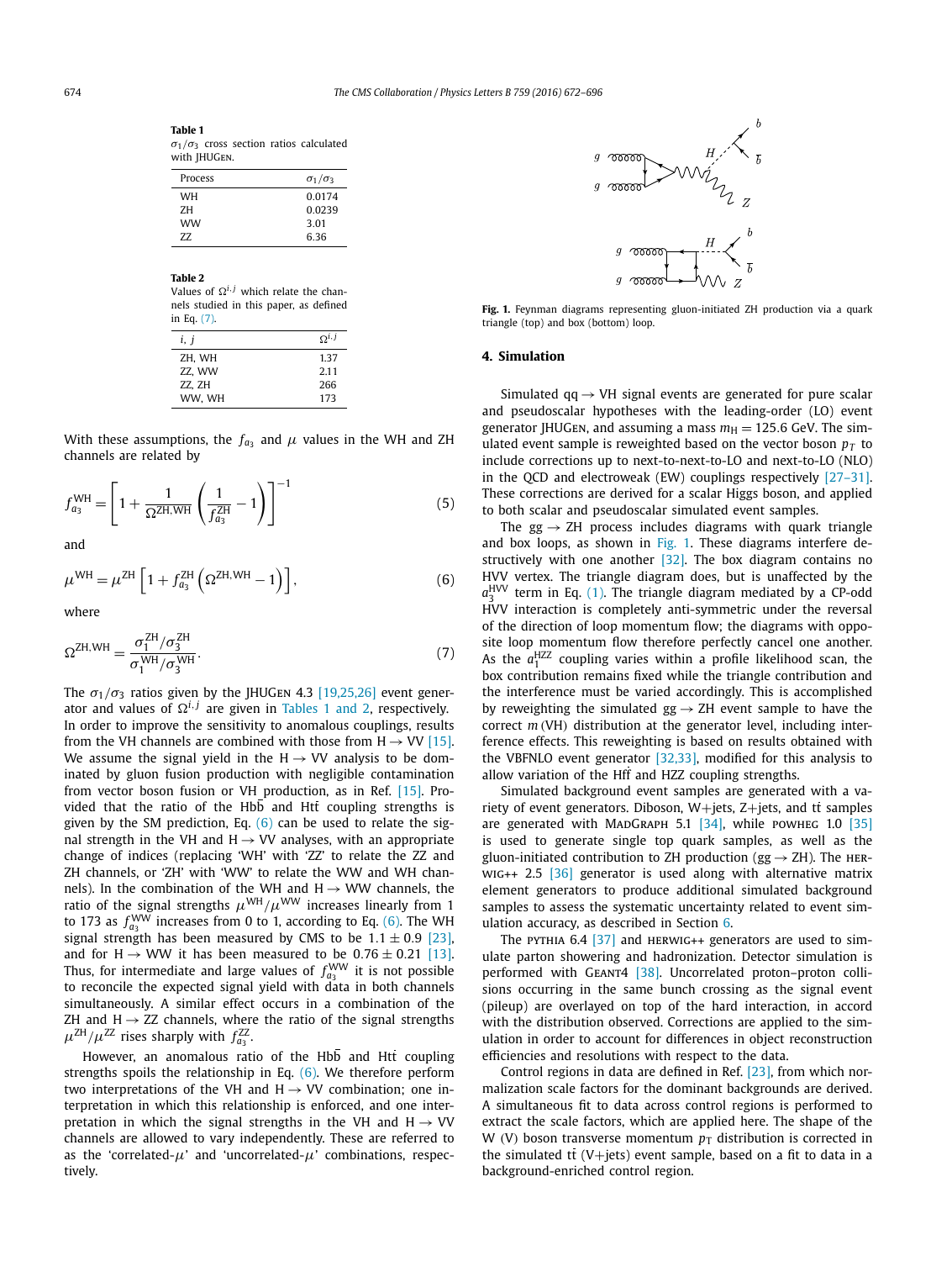**Table 1** *σ*1*/σ*<sup>3</sup> cross section ratios calculated with **IHUGEN**.

**Table 2**

Values of  $\Omega^{i,j}$  which relate the channels studied in this paper, as defined in Eq.  $(7)$ .

| i, i   | $\Omega^{i,j}$ |
|--------|----------------|
| ZH, WH | 1.37           |
| ZZ. WW | 2.11           |
| ZZ. ZH | 266            |
| WW. WH | 173            |

With these assumptions, the  $f_{a_3}$  and  $\mu$  values in the WH and ZH channels are related by

$$
f_{a_3}^{\text{WH}} = \left[1 + \frac{1}{\Omega^{\text{ZH}, \text{WH}}} \left(\frac{1}{f_{a_3}^{\text{ZH}}} - 1\right)\right]^{-1} \tag{5}
$$

and

$$
\mu^{\text{WH}} = \mu^{\text{ZH}} \left[ 1 + f_{a_3}^{\text{ZH}} \left( \Omega^{\text{ZH,WH}} - 1 \right) \right],\tag{6}
$$

where

$$
\Omega^{\text{ZH,WH}} = \frac{\sigma_1^{\text{ZH}} / \sigma_3^{\text{ZH}}}{\sigma_1^{\text{WH}} / \sigma_3^{\text{WH}}}.
$$
\n(7)

The  $\sigma_1/\sigma_3$  ratios given by the JHUGEN 4.3 [\[19,25,26\]](#page-9-0) event generator and values of  $\Omega^{i,j}$  are given in Tables 1 and 2, respectively. In order to improve the sensitivity to anomalous couplings, results from the VH channels are combined with those from  $H \rightarrow VV$  [\[15\].](#page-9-0) We assume the signal yield in the  $H \rightarrow VV$  analysis to be dominated by gluon fusion production with negligible contamination from vector boson fusion or VH production, as in Ref. [\[15\].](#page-9-0) Provided that the ratio of the Hbb and Htt coupling strengths is given by the SM prediction, Eq.  $(6)$  can be used to relate the signal strength in the VH and  $H \rightarrow VV$  analyses, with an appropriate change of indices (replacing 'WH' with 'ZZ' to relate the ZZ and ZH channels, or 'ZH' with 'WW' to relate the WW and WH channels). In the combination of the WH and  $H \rightarrow WW$  channels, the ratio of the signal strengths  $\mu^{\text{WH}}/\mu^{\text{WW}}$  increases linearly from 1 to 173 as  $f_{a_3}^{\rm WW}$  increases from 0 to 1, according to Eq. (6). The WH signal strength has been measured by CMS to be  $1.1 \pm 0.9$  [\[23\],](#page-9-0) and for  $H \rightarrow WW$  it has been measured to be  $0.76 \pm 0.21$  [\[13\].](#page-9-0) Thus, for intermediate and large values of  $f_{a_3}$ <sup>WW</sup> it is not possible to reconcile the expected signal yield with data in both channels simultaneously. A similar effect occurs in a combination of the ZH and  $H \rightarrow ZZ$  channels, where the ratio of the signal strengths  $\mu^{\rm ZH}/\mu^{\rm ZZ}$  rises sharply with  $f_{a_3}^{\rm ZZ}$ .

However, an anomalous ratio of the Hbb and Htt coupling strengths spoils the relationship in Eq. (6). We therefore perform two interpretations of the VH and  $H \rightarrow VV$  combination; one interpretation in which this relationship is enforced, and one interpretation in which the signal strengths in the VH and  $H \rightarrow VV$ channels are allowed to vary independently. These are referred to as the 'correlated-*μ*' and 'uncorrelated-*μ*' combinations, respectively.



**Fig. 1.** Feynman diagrams representing gluon-initiated ZH production via a quark triangle (top) and box (bottom) loop.

#### **4. Simulation**

Simulated  $qq \rightarrow VH$  signal events are generated for pure scalar and pseudoscalar hypotheses with the leading-order (LO) event generator JHUGEN, and assuming a mass  $m_H = 125.6$  GeV. The simulated event sample is reweighted based on the vector boson  $p<sub>T</sub>$  to include corrections up to next-to-next-to-LO and next-to-LO (NLO) in the QCD and electroweak (EW) couplings respectively [\[27–31\].](#page-9-0) These corrections are derived for a scalar Higgs boson, and applied to both scalar and pseudoscalar simulated event samples.

The  $gg \rightarrow ZH$  process includes diagrams with quark triangle and box loops, as shown in Fig. 1. These diagrams interfere destructively with one another  $[32]$ . The box diagram contains no HVV vertex. The triangle diagram does, but is unaffected by the  $a_3^{\rm HVV}$  term in Eq. [\(1\).](#page-1-0) The triangle diagram mediated by a CP-odd HVV interaction is completely anti-symmetric under the reversal of the direction of loop momentum flow; the diagrams with opposite loop momentum flow therefore perfectly cancel one another. As the  $a_1^{\text{HZZ}}$  coupling varies within a profile likelihood scan, the box contribution remains fixed while the triangle contribution and the interference must be varied accordingly. This is accomplished by reweighting the simulated  $gg \rightarrow ZH$  event sample to have the correct *m (*VH*)* distribution at the generator level, including interference effects. This reweighting is based on results obtained with the VBFNLO event generator [\[32,33\],](#page-9-0) modified for this analysis to allow variation of the Hff and HZZ coupling strengths.

Simulated background event samples are generated with a variety of event generators. Diboson, W+jets, Z+jets, and tt samples are generated with MADGRAPH 5.1  $[34]$ , while POWHEG 1.0  $[35]$ is used to generate single top quark samples, as well as the gluon-initiated contribution to ZH production ( $gg \rightarrow ZH$ ). The HER-WIG++ 2.5  $[36]$  generator is used along with alternative matrix element generators to produce additional simulated background samples to assess the systematic uncertainty related to event simulation accuracy, as described in Section [6.](#page-3-0)

The PYTHIA 6.4  $[37]$  and HERWIG++ generators are used to simulate parton showering and hadronization. Detector simulation is performed with GEANT4 [\[38\].](#page-9-0) Uncorrelated proton-proton collisions occurring in the same bunch crossing as the signal event (pileup) are overlayed on top of the hard interaction, in accord with the distribution observed. Corrections are applied to the simulation in order to account for differences in object reconstruction efficiencies and resolutions with respect to the data.

Control regions in data are defined in Ref. [\[23\],](#page-9-0) from which normalization scale factors for the dominant backgrounds are derived. A simultaneous fit to data across control regions is performed to extract the scale factors, which are applied here. The shape of the W (V) boson transverse momentum  $p<sub>T</sub>$  distribution is corrected in the simulated tt (V+jets) event sample, based on a fit to data in a background-enriched control region.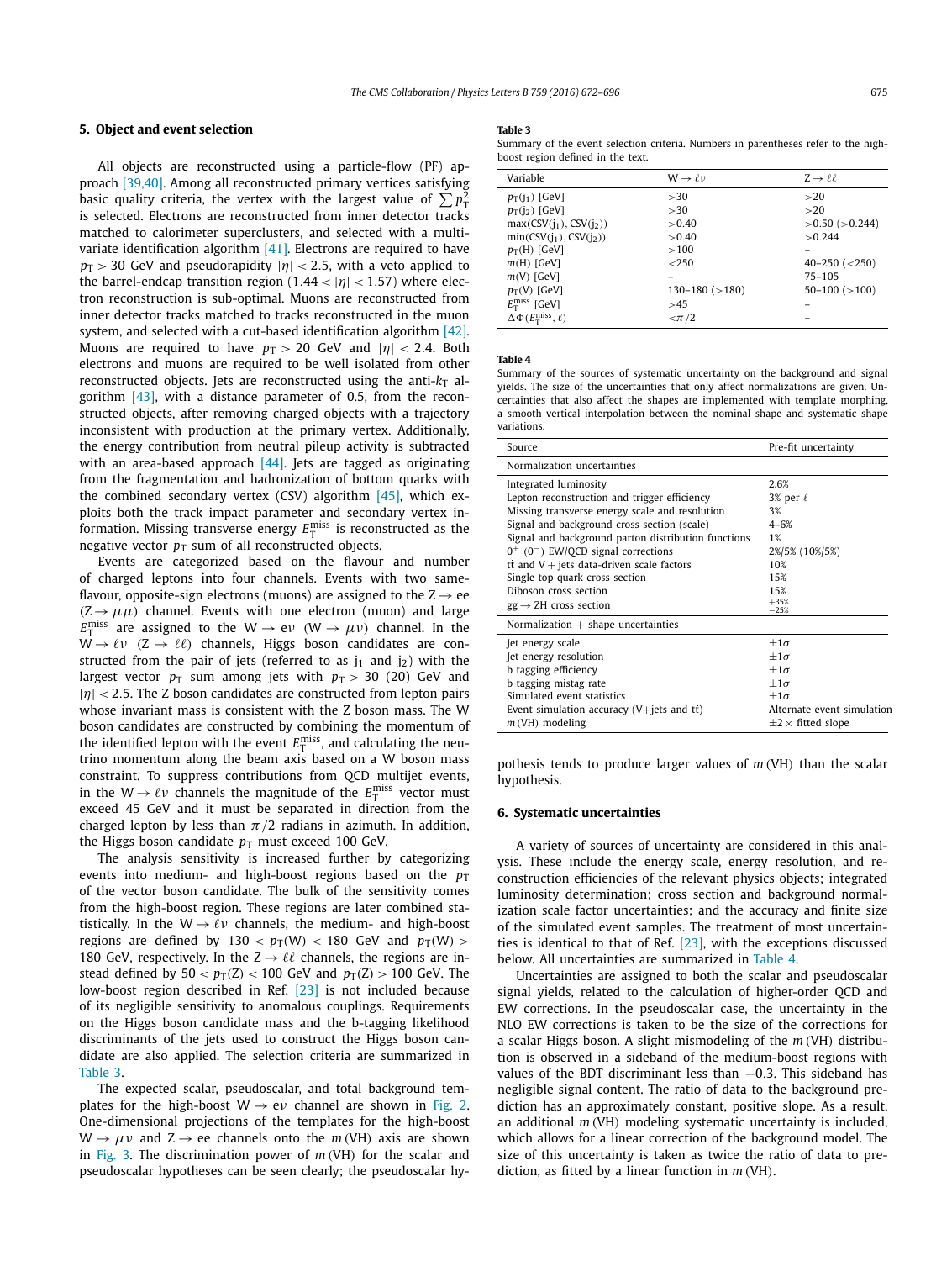#### <span id="page-3-0"></span>**5. Object and event selection**

All objects are reconstructed using a particle-flow (PF) approach [\[39,40\].](#page-9-0) Among all reconstructed primary vertices satisfying basic quality criteria, the vertex with the largest value of  $\sum p_{\rm T}^2$ is selected. Electrons are reconstructed from inner detector tracks matched to calorimeter superclusters, and selected with a multivariate identification algorithm  $[41]$ . Electrons are required to have  $p_T > 30$  GeV and pseudorapidity  $|\eta| < 2.5$ , with a veto applied to the barrel-endcap transition region  $(1.44 < |\eta| < 1.57)$  where electron reconstruction is sub-optimal. Muons are reconstructed from inner detector tracks matched to tracks reconstructed in the muon system, and selected with a cut-based identification algorithm [\[42\].](#page-9-0) Muons are required to have  $p_T > 20$  GeV and  $|\eta| < 2.4$ . Both electrons and muons are required to be well isolated from other reconstructed objects. Jets are reconstructed using the anti- $k_T$  algorithm [\[43\],](#page-9-0) with a distance parameter of 0.5, from the reconstructed objects, after removing charged objects with a trajectory inconsistent with production at the primary vertex. Additionally, the energy contribution from neutral pileup activity is subtracted with an area-based approach  $[44]$ . Jets are tagged as originating from the fragmentation and hadronization of bottom quarks with the combined secondary vertex (CSV) algorithm  $[45]$ , which exploits both the track impact parameter and secondary vertex information. Missing transverse energy  $E_{\rm T}^{\rm miss}$  is reconstructed as the negative vector  $p_T$  sum of all reconstructed objects.

Events are categorized based on the flavour and number of charged leptons into four channels. Events with two sameflavour, opposite-sign electrons (muons) are assigned to the  $Z \rightarrow ee$  $(Z \rightarrow \mu\mu)$  channel. Events with one electron (muon) and large  $E_{\text{T}}^{\text{miss}}$  are assigned to the W  $\rightarrow$  e*v*  $(W \rightarrow \mu \nu)$  channel. In the  $W \rightarrow \ell \nu$  (Z  $\rightarrow \ell \ell$ ) channels, Higgs boson candidates are constructed from the pair of jets (referred to as  $j_1$  and  $j_2$ ) with the largest vector  $p_T$  sum among jets with  $p_T > 30$  (20) GeV and |*η*| *<* 2*.*5. The Z boson candidates are constructed from lepton pairs whose invariant mass is consistent with the Z boson mass. The W boson candidates are constructed by combining the momentum of the identified lepton with the event  $E_{\rm T}^{\rm miss}$ , and calculating the neutrino momentum along the beam axis based on a W boson mass constraint. To suppress contributions from QCD multijet events, in the  $W \rightarrow \ell \nu$  channels the magnitude of the  $E_{\rm T}^{\rm miss}$  vector must exceed 45 GeV and it must be separated in direction from the charged lepton by less than  $\pi/2$  radians in azimuth. In addition, the Higgs boson candidate  $p_T$  must exceed 100 GeV.

The analysis sensitivity is increased further by categorizing events into medium- and high-boost regions based on the  $p<sub>T</sub>$ of the vector boson candidate. The bulk of the sensitivity comes from the high-boost region. These regions are later combined statistically. In the  $W \rightarrow \ell \nu$  channels, the medium- and high-boost regions are defined by 130  $<$   $p_T(W)$   $<$  180 GeV and  $p_T(W)$   $>$ 180 GeV, respectively. In the  $Z \rightarrow \ell \ell$  channels, the regions are instead defined by  $50 < p_T(Z) < 100$  GeV and  $p_T(Z) > 100$  GeV. The low-boost region described in Ref. [\[23\]](#page-9-0) is not included because of its negligible sensitivity to anomalous couplings. Requirements on the Higgs boson candidate mass and the b-tagging likelihood discriminants of the jets used to construct the Higgs boson candidate are also applied. The selection criteria are summarized in Table 3.

The expected scalar, pseudoscalar, and total background templates for the high-boost  $W \rightarrow e \nu$  channel are shown in [Fig. 2.](#page-4-0) One-dimensional projections of the templates for the high-boost  $W \rightarrow \mu \nu$  and  $Z \rightarrow ee$  channels onto the *m* (VH) axis are shown in [Fig. 3.](#page-4-0) The discrimination power of *m (*VH*)* for the scalar and pseudoscalar hypotheses can be seen clearly; the pseudoscalar hy-

#### **Table 3**

Summary of the event selection criteria. Numbers in parentheses refer to the highboost region defined in the text.

| Variable                                 | $W \rightarrow \ell \nu$ | $Z \rightarrow \ell \ell$ |
|------------------------------------------|--------------------------|---------------------------|
| $p_T(i_1)$ [GeV]                         | >30                      | >20                       |
| $p_T(i_2)$ [GeV]                         | >30                      | >20                       |
| $max(CSV(i1), CSV(i2))$                  | > 0.40                   | $>0.50$ ( $>0.244$ )      |
| $min(CSV(i_1), CSV(i_2))$                | > 0.40                   | > 0.244                   |
| $p_T(H)$ [GeV]                           | >100                     |                           |
| $m(H)$ [GeV]                             | <250                     | $40 - 250 (-250)$         |
| $m(V)$ [GeV]                             |                          | $75 - 105$                |
| $p_T(V)$ [GeV]                           | $130-180$ ( $>180$ )     | $50-100$ ( $>100$ )       |
| $E_{\rm T}^{\rm miss}$ [GeV]             | >45                      |                           |
| $\Delta\Phi(E_{\rm T}^{\rm miss}, \ell)$ | $<\!\pi/2$               |                           |

#### **Table 4**

Summary of the sources of systematic uncertainty on the background and signal yields. The size of the uncertainties that only affect normalizations are given. Uncertainties that also affect the shapes are implemented with template morphing, a smooth vertical interpolation between the nominal shape and systematic shape variations.

| Source                                                                                                                                                                                                                                                                             | Pre-fit uncertainty                                                                                                             |
|------------------------------------------------------------------------------------------------------------------------------------------------------------------------------------------------------------------------------------------------------------------------------------|---------------------------------------------------------------------------------------------------------------------------------|
| Normalization uncertainties                                                                                                                                                                                                                                                        |                                                                                                                                 |
| Integrated luminosity<br>Lepton reconstruction and trigger efficiency<br>Missing transverse energy scale and resolution<br>Signal and background cross section (scale)<br>Signal and background parton distribution functions<br>$0^+$ (0 <sup>-</sup> ) EW/QCD signal corrections | 2.6%<br>3% per $\ell$<br>3%<br>$4 - 6%$<br>1%<br>2%/5% (10%/5%)<br>10%                                                          |
| It and $V +$ jets data-driven scale factors<br>Single top quark cross section<br>Diboson cross section<br>$gg \rightarrow ZH$ cross section                                                                                                                                        | 15%<br>15%<br>$+35%$<br>$-25%$                                                                                                  |
| Normalization $+$ shape uncertainties<br>Jet energy scale<br>Jet energy resolution<br>b tagging efficiency<br>b tagging mistag rate<br>Simulated event statistics<br>Event simulation accuracy $(V + jets$ and tt)<br>$m(VH)$ modeling                                             | $+1\sigma$<br>$+1\sigma$<br>$+1\sigma$<br>$+1\sigma$<br>$+1\sigma$<br>Alternate event simulation<br>$\pm 2 \times$ fitted slope |

pothesis tends to produce larger values of *m (*VH*)* than the scalar hypothesis.

#### **6. Systematic uncertainties**

A variety of sources of uncertainty are considered in this analysis. These include the energy scale, energy resolution, and reconstruction efficiencies of the relevant physics objects; integrated luminosity determination; cross section and background normalization scale factor uncertainties; and the accuracy and finite size of the simulated event samples. The treatment of most uncertainties is identical to that of Ref. [\[23\],](#page-9-0) with the exceptions discussed below. All uncertainties are summarized in Table 4.

Uncertainties are assigned to both the scalar and pseudoscalar signal yields, related to the calculation of higher-order QCD and EW corrections. In the pseudoscalar case, the uncertainty in the NLO EW corrections is taken to be the size of the corrections for a scalar Higgs boson. A slight mismodeling of the *m (*VH*)* distribution is observed in a sideband of the medium-boost regions with values of the BDT discriminant less than −0*.*3. This sideband has negligible signal content. The ratio of data to the background prediction has an approximately constant, positive slope. As a result, an additional *m (*VH*)* modeling systematic uncertainty is included, which allows for a linear correction of the background model. The size of this uncertainty is taken as twice the ratio of data to prediction, as fitted by a linear function in *m (*VH*)*.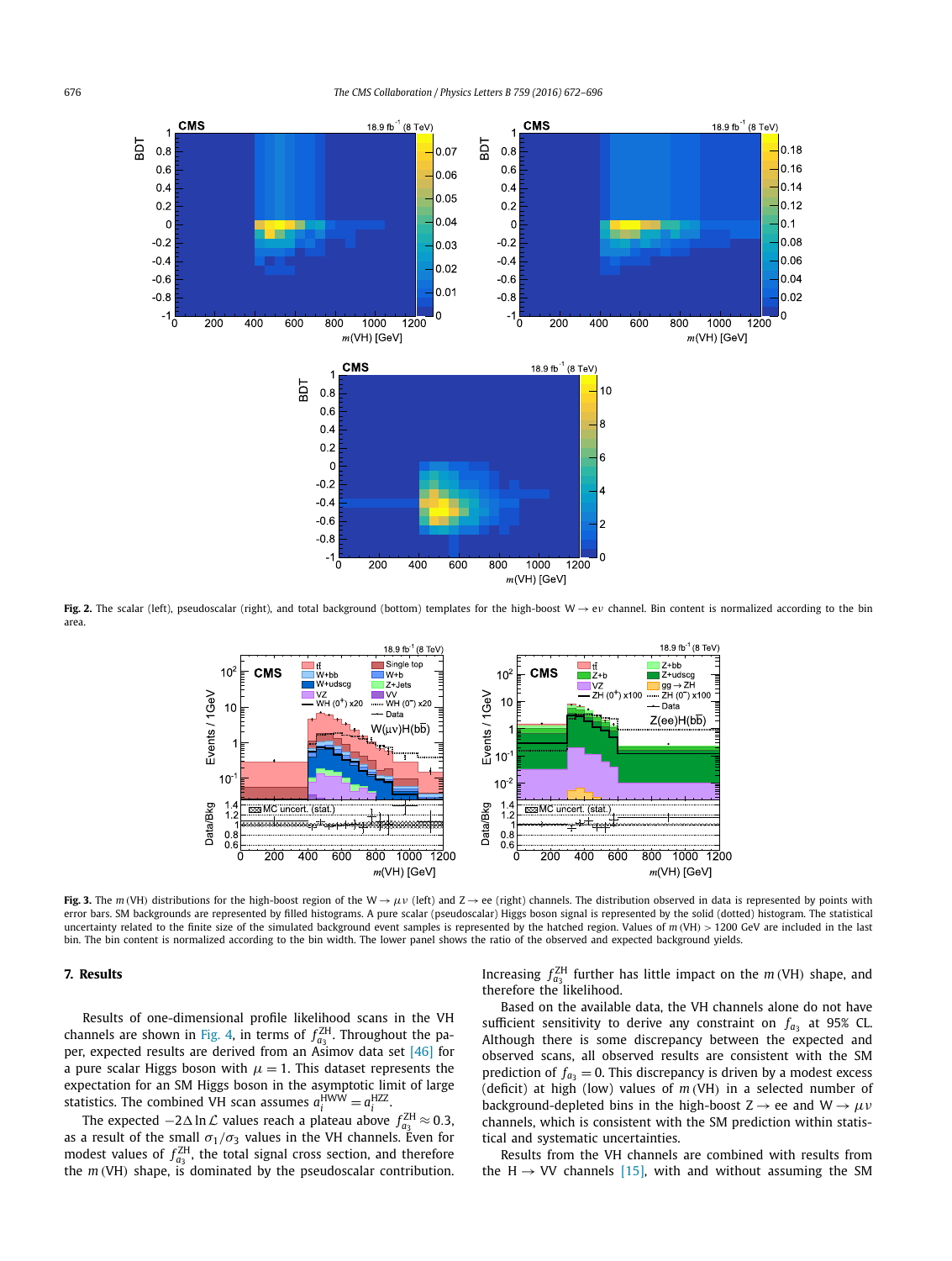<span id="page-4-0"></span>

**Fig. 2.** The scalar (left), pseudoscalar (right), and total background (bottom) templates for the high-boost W → e*ν* channel. Bin content is normalized according to the bin area.



**Fig. 3.** The *m* (VH) distributions for the high-boost region of the W  $\rightarrow \mu \nu$  (left) and Z  $\rightarrow$  ee (right) channels. The distribution observed in data is represented by points with error bars. SM backgrounds are represented by filled histograms. A pure scalar (pseudoscalar) Higgs boson signal is represented by the solid (dotted) histogram. The statistical uncertainty related to the finite size of the simulated background event samples is represented by the hatched region. Values of *m (*VH*) >* 1200 GeV are included in the last bin. The bin content is normalized according to the bin width. The lower panel shows the ratio of the observed and expected background yields.

#### **7. Results**

Results of one-dimensional profile likelihood scans in the VH channels are shown in [Fig. 4,](#page-5-0) in terms of  $f_{a_3}^{\text{ZH}}$ . Throughout the paper, expected results are derived from an Asimov data set [\[46\]](#page-9-0) for a pure scalar Higgs boson with  $\mu = 1$ . This dataset represents the expectation for an SM Higgs boson in the asymptotic limit of large statistics. The combined VH scan assumes  $a_i^{\text{HWW}} = a_i^{\text{HZZ}}$ .

The expected  $-2\Delta\ln\mathcal{L}$  values reach a plateau above  $f_{a_3}^{Z\mathrm{H}} \approx 0.3,$ as a result of the small  $\sigma_1/\sigma_3$  values in the VH channels. Even for modest values of  $f_{a_3}^{\text{ZH}}$ , the total signal cross section, and therefore the *m (*VH*)* shape, is dominated by the pseudoscalar contribution.

Increasing  $f_{a_3}^{ZH}$  further has little impact on the  $m$  *(VH)* shape, and therefore the likelihood.

Based on the available data, the VH channels alone do not have sufficient sensitivity to derive any constraint on  $f_{a_3}$  at 95% CL. Although there is some discrepancy between the expected and observed scans, all observed results are consistent with the SM prediction of  $f_{a_3} = 0$ . This discrepancy is driven by a modest excess (deficit) at high (low) values of *m (*VH*)* in a selected number of background-depleted bins in the high-boost  $Z \rightarrow ee$  and  $W \rightarrow \mu \nu$ channels, which is consistent with the SM prediction within statistical and systematic uncertainties.

Results from the VH channels are combined with results from the H  $\rightarrow$  VV channels [\[15\],](#page-9-0) with and without assuming the SM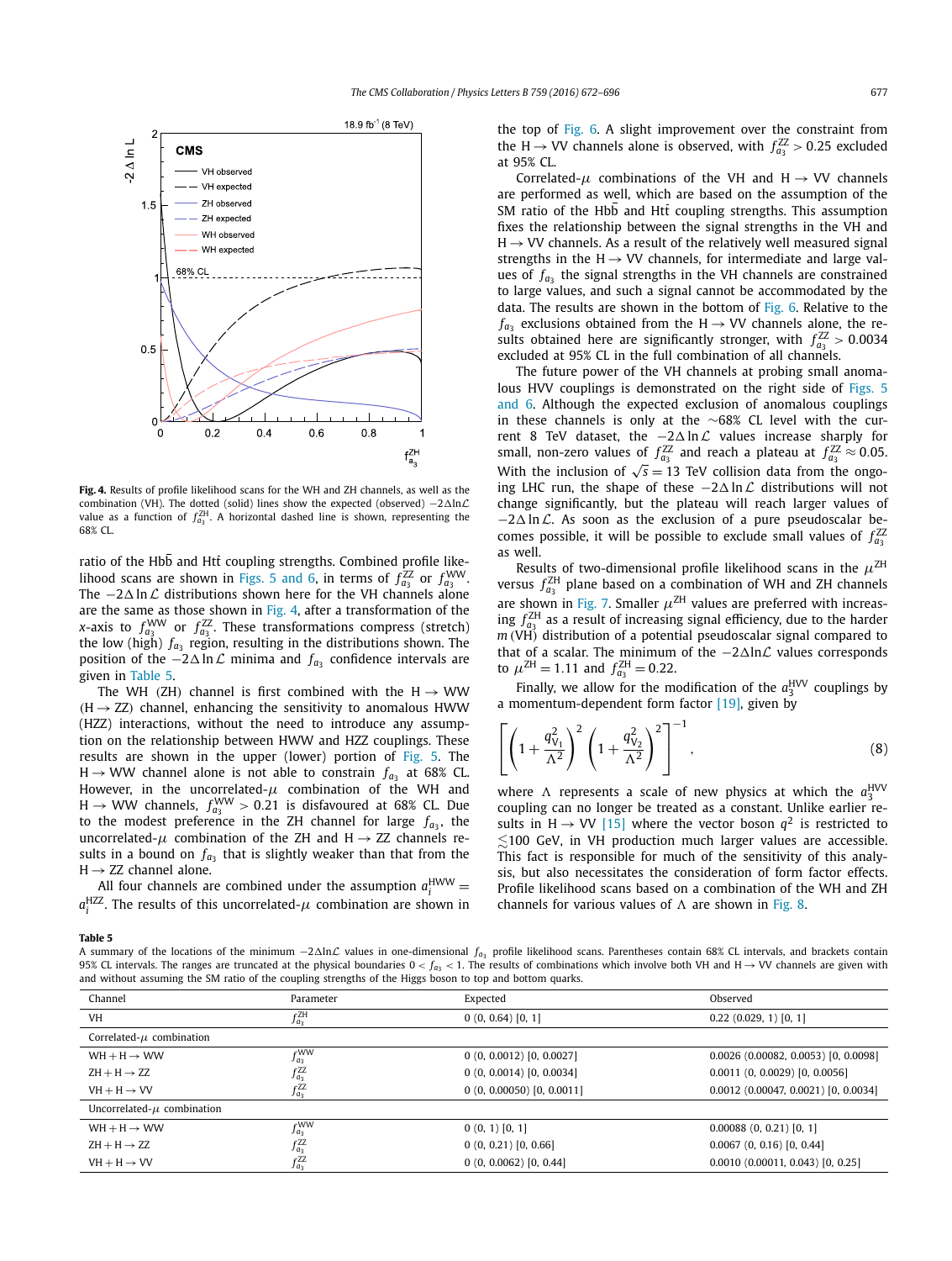<span id="page-5-0"></span>

**Fig. 4.** Results of profile likelihood scans for the WH and ZH channels, as well as the combination (VH). The dotted (solid) lines show the expected (observed)  $-2\Delta\ln\mathcal{L}$ value as a function of  $f_{a_3}^{\text{ZH}}$ . A horizontal dashed line is shown, representing the 68% CL.

ratio of the Hbb and Htt coupling strengths. Combined profile like-lihood scans are shown in [Figs. 5 and 6,](#page-6-0) in terms of  $f_{a_3}^{ZZ}$  or  $f_{a_3}^{WW}$ . The  $-2\Delta \ln \mathcal{L}$  distributions shown here for the VH channels alone are the same as those shown in Fig. 4, after a transformation of the *x*-axis to  $f_{a_3}^{WW}$  or  $f_{a_3}^{ZZ}$ . These transformations compress (stretch) the low (high)  $f_{a_3}$  region, resulting in the distributions shown. The position of the  $-2\Delta \ln \mathcal{L}$  minima and  $f_{a_3}$  confidence intervals are given in Table 5.

The WH  $(ZH)$  channel is first combined with the  $H \rightarrow WW$  $(H \rightarrow ZZ)$  channel, enhancing the sensitivity to anomalous HWW (HZZ) interactions, without the need to introduce any assumption on the relationship between HWW and HZZ couplings. These results are shown in the upper (lower) portion of [Fig. 5.](#page-6-0) The  $H \rightarrow WW$  channel alone is not able to constrain  $f_{a_3}$  at 68% CL. However, in the uncorrelated- $\mu$  combination of the WH and  $H \rightarrow WW$  channels,  $f_{a_3}^{WW} > 0.21$  is disfavoured at 68% CL. Due to the modest preference in the ZH channel for large  $f_{a_2}$ , the uncorrelated- $\mu$  combination of the ZH and H  $\rightarrow$  ZZ channels results in a bound on  $f_{a_3}$  that is slightly weaker than that from the  $H \rightarrow ZZ$  channel alone.

All four channels are combined under the assumption  $a_i^{\text{HWW}} =$  $a_i^{\text{HZZ}}$ . The results of this uncorrelated- $\mu$  combination are shown in the top of [Fig. 6.](#page-7-0) A slight improvement over the constraint from the H  $\rightarrow$  VV channels alone is observed, with  $f_{a_3}^{ZZ} > 0.25$  excluded at 95% CL.

Correlated- $\mu$  combinations of the VH and  $H \rightarrow VV$  channels are performed as well, which are based on the assumption of the SM ratio of the Hbb and Htt coupling strengths. This assumption fixes the relationship between the signal strengths in the VH and  $H \rightarrow VV$  channels. As a result of the relatively well measured signal strengths in the  $H \rightarrow VV$  channels, for intermediate and large values of  $f_{a_3}$  the signal strengths in the VH channels are constrained to large values, and such a signal cannot be accommodated by the data. The results are shown in the bottom of [Fig. 6.](#page-7-0) Relative to the  $f_{a_3}$  exclusions obtained from the H  $\rightarrow$  VV channels alone, the results obtained here are significantly stronger, with  $f_{a_3}^{ZZ} > 0.0034$ excluded at 95% CL in the full combination of all channels.

The future power of the VH channels at probing small anomalous HVV couplings is demonstrated on the right side of [Figs. 5](#page-6-0) [and 6.](#page-6-0) Although the expected exclusion of anomalous couplings in these channels is only at the ∼68% CL level with the current 8 TeV dataset, the  $-2\Delta \ln \mathcal{L}$  values increase sharply for small, non-zero values of  $f_{a_3}^{Z\!Z}$  and reach a plateau at  $f_{a_3}^{Z\!Z} \approx 0.05$ . With the inclusion of  $\sqrt{s} = 13$  TeV collision data from the ongoing LHC run, the shape of these  $-2\Delta \ln \mathcal{L}$  distributions will not change significantly, but the plateau will reach larger values of  $-2\Delta \ln \mathcal{L}$ . As soon as the exclusion of a pure pseudoscalar becomes possible, it will be possible to exclude small values of  $f_{a_3}^{ZZ}$ as well.

Results of two-dimensional profile likelihood scans in the  $\mu^{\rm ZH}$ versus  $f_{a_3}^{\text{ZH}}$  plane based on a combination of WH and ZH channels are shown in [Fig. 7.](#page-8-0) Smaller  $\mu^{\text{ZH}}$  values are preferred with increasing  $f_{a_3}^{\text{ZH}}$  as a result of increasing signal efficiency, due to the harder *m (*VH*)* distribution of a potential pseudoscalar signal compared to that of a scalar. The minimum of the  $-2\Delta\ln\mathcal{L}$  values corresponds to  $\mu^{\text{ZH}} = 1.11$  and  $f_{a_3}^{\text{ZH}} = 0.22$ .

Finally, we allow for the modification of the  $a_3^{\rm HVV}$  couplings by a momentum-dependent form factor [\[19\],](#page-9-0) given by

$$
\left[\left(1+\frac{q_{\mathsf{V}_1}^2}{\Lambda^2}\right)^2 \left(1+\frac{q_{\mathsf{V}_2}^2}{\Lambda^2}\right)^2\right]^{-1},\tag{8}
$$

where  $\Lambda$  represents a scale of new physics at which the  $a_3^{\rm HVV}$ coupling can no longer be treated as a constant. Unlike earlier results in H  $\rightarrow$  VV [\[15\]](#page-9-0) where the vector boson  $q^2$  is restricted to  $\lesssim$ 100 GeV, in VH production much larger values are accessible. This fact is responsible for much of the sensitivity of this analysis, but also necessitates the consideration of form factor effects. Profile likelihood scans based on a combination of the WH and ZH channels for various values of  $\Lambda$  are shown in [Fig. 8.](#page-8-0)

#### **Table 5**

A summary of the locations of the minimum −2∆ln*L* values in one-dimensional  $f_{a_3}$  profile likelihood scans. Parentheses contain 68% CL intervals, and brackets contain 95% CL intervals. The ranges are truncated at the physical boundaries  $0 < f_{a_3} < 1$ . The results of combinations which involve both VH and H  $\rightarrow$  VV channels are given with and without assuming the SM ratio of the coupling strengths of the Higgs boson to top and bottom quarks.

| Channel                         | Parameter          | Expected                    | Observed                               |
|---------------------------------|--------------------|-----------------------------|----------------------------------------|
| <b>VH</b>                       | $f_{a_3}^{ZH}$     | $0(0, 0.64)$ [0, 1]         | $0.22$ (0.029, 1) [0, 1]               |
| Correlated- $\mu$ combination   |                    |                             |                                        |
| $WH + H \rightarrow WW$         | $f^{\rm WW}_{a_3}$ | $0(0, 0.0012)$ [0, 0.0027]  | $0.0026$ (0.00082, 0.0053) [0, 0.0098] |
| $ZH + H \rightarrow ZZ$         | $f_{a_3}^{ZZ}$     | $0(0, 0.0014)$ [0, 0.0034]  | $0.0011$ (0, 0.0029) [0, 0.0056]       |
| $VH + H \rightarrow VV$         | $f_{a_3}^{ZZ}$     | $0(0, 0.00050)$ [0, 0.0011] | 0.0012 (0.00047, 0.0021) [0, 0.0034]   |
| Uncorrelated- $\mu$ combination |                    |                             |                                        |
| $WH + H \rightarrow WW$         | $f^{\rm WW}_{a_3}$ | $0(0, 1)$ [0, 1]            | 0.00088(0, 0.21)[0, 1]                 |
| $ZH + H \rightarrow ZZ$         | $f_{a_3}^{ZZ}$     | $0(0, 0.21)$ [0, 0.66]      | $0.0067$ (0, 0.16) [0, 0.44]           |
| $VH + H \rightarrow VV$         | $f_{a_3}^{ZZ}$     | $0(0, 0.0062)$ [0, 0.44]    | $0.0010$ (0.00011, 0.043) [0, 0.25]    |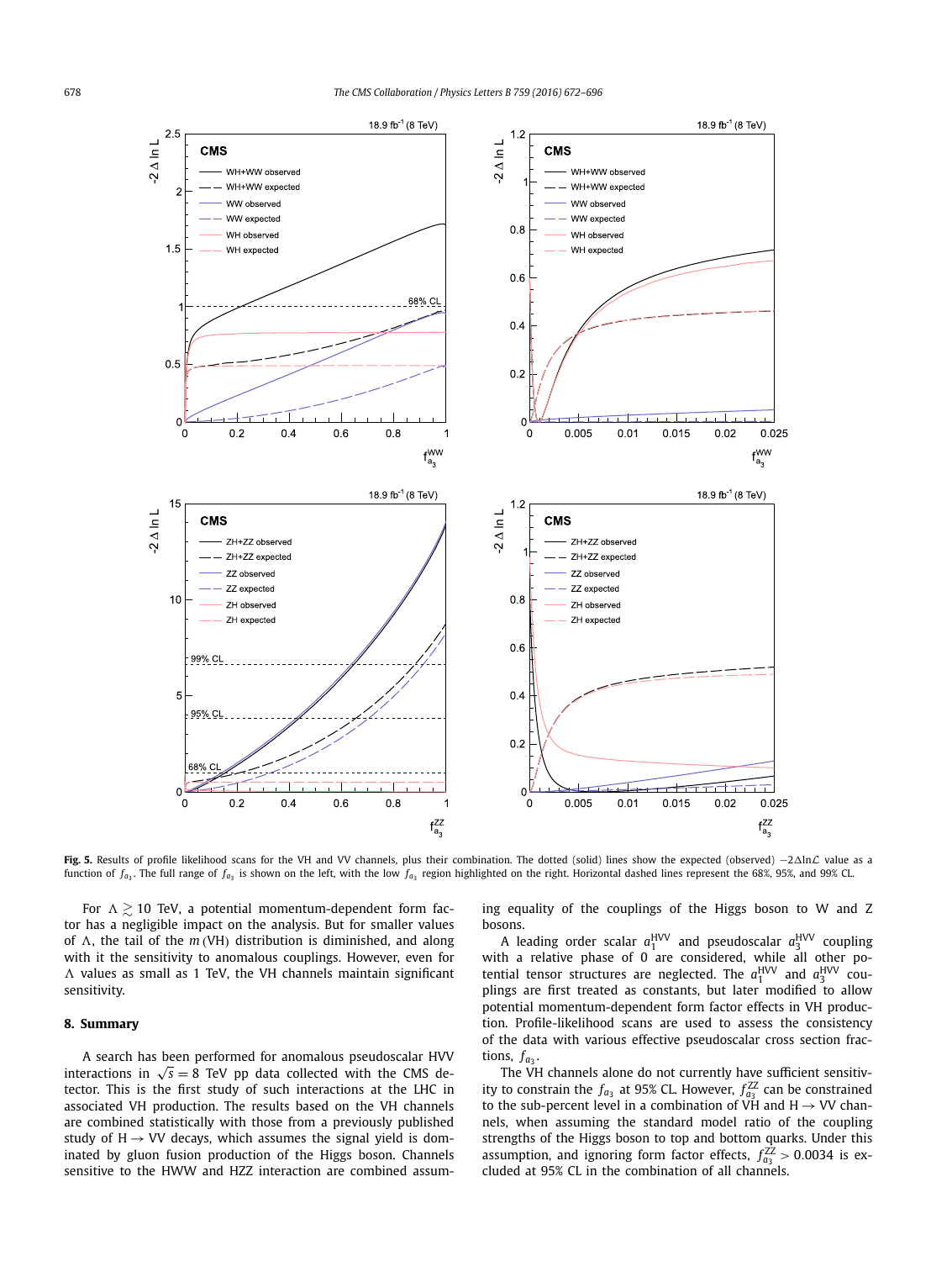<span id="page-6-0"></span>

Fig. 5. Results of profile likelihood scans for the VH and VV channels, plus their combination. The dotted (solid) lines show the expected (observed) −2∆ln*L* value as a function of  $f_{a_3}$ . The full range of  $f_{a_3}$  is shown on the left, with the low  $f_{a_3}$  region highlighted on the right. Horizontal dashed lines represent the 68%, 95%, and 99% CL.

For  $\Lambda \gtrsim 10$  TeV, a potential momentum-dependent form factor has a negligible impact on the analysis. But for smaller values of  $\Lambda$ , the tail of the  $m(VH)$  distribution is diminished, and along with it the sensitivity to anomalous couplings. However, even for  $\Lambda$  values as small as 1 TeV, the VH channels maintain significant sensitivity.

#### **8. Summary**

A search has been performed for anomalous pseudoscalar HVV interactions in  $\sqrt{s} = 8$  TeV pp data collected with the CMS detector. This is the first study of such interactions at the LHC in associated VH production. The results based on the VH channels are combined statistically with those from a previously published study of  $H \rightarrow VV$  decays, which assumes the signal yield is dominated by gluon fusion production of the Higgs boson. Channels sensitive to the HWW and HZZ interaction are combined assuming equality of the couplings of the Higgs boson to W and Z bosons.

A leading order scalar  $a_1^{\text{HVV}}$  and pseudoscalar  $a_3^{\text{HVV}}$  coupling with a relative phase of 0 are considered, while all other potential tensor structures are neglected. The  $a_1^{\text{HVV}}$  and  $a_3^{\text{HVV}}$  couplings are first treated as constants, but later modified to allow potential momentum-dependent form factor effects in VH production. Profile-likelihood scans are used to assess the consistency of the data with various effective pseudoscalar cross section fractions,  $f_{a_3}$ .

The VH channels alone do not currently have sufficient sensitivity to constrain the  $f_{a_3}$  at 95% CL. However,  $f_{a_3}^{Z2}$  can be constrained to the sub-percent level in a combination of VH and H  $\rightarrow$  VV channels, when assuming the standard model ratio of the coupling strengths of the Higgs boson to top and bottom quarks. Under this assumption, and ignoring form factor effects,  $f_{a_3}^{ZZ} > 0.0034$  is excluded at 95% CL in the combination of all channels.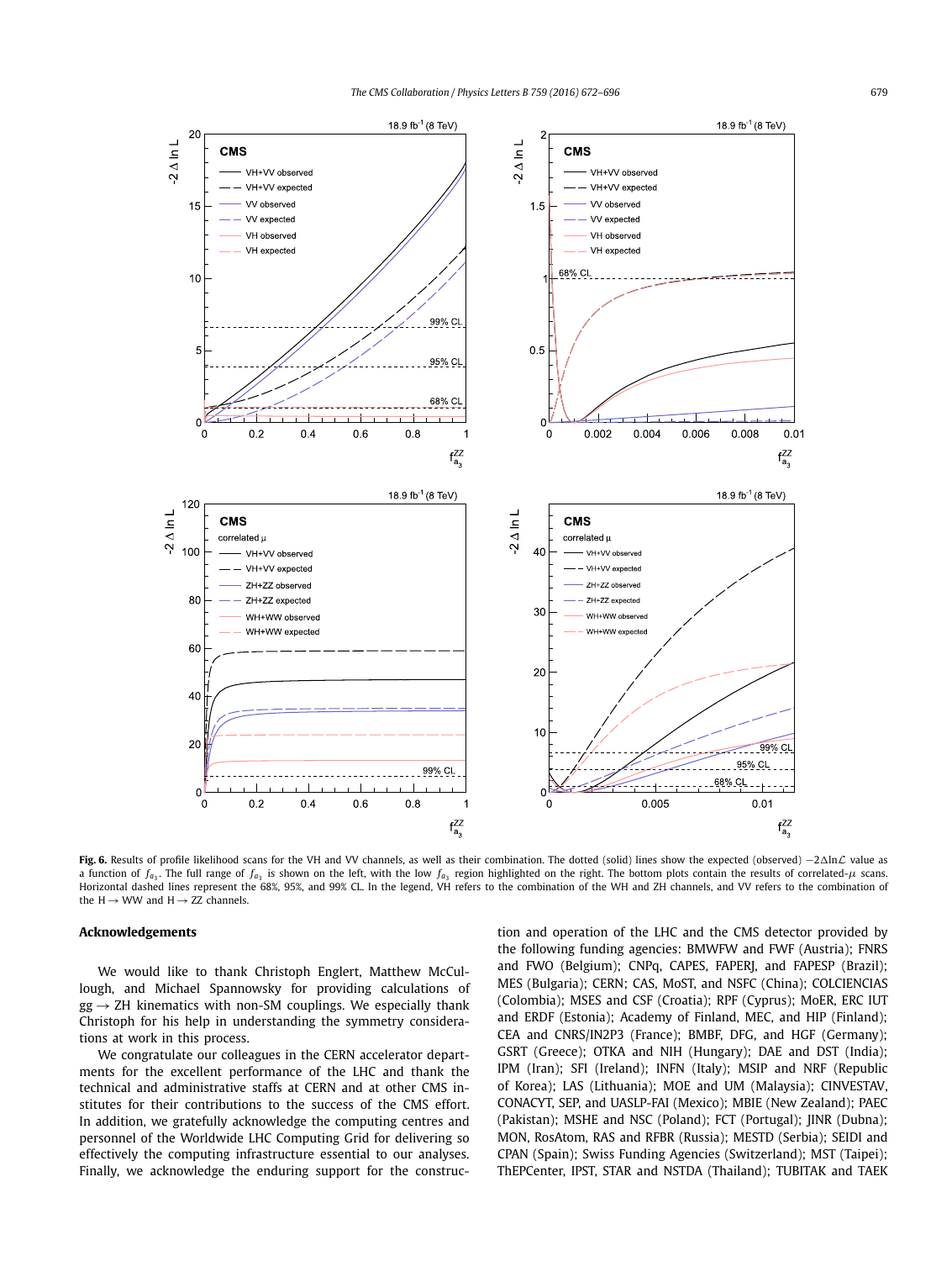<span id="page-7-0"></span>

Fig. 6. Results of profile likelihood scans for the VH and VV channels, as well as their combination. The dotted (solid) lines show the expected (observed) -2∆ln*L* value as a function of  $f_{a_3}$ . The full range of  $f_{a_3}$  is shown on the left, with the low  $f_{a_3}$  region highlighted on the right. The bottom plots contain the results of correlated-*μ* scans. Horizontal dashed lines represent the 68%, 95%, and 99% CL. In the legend, VH refers to the combination of the WH and ZH channels, and VV refers to the combination of the  $H \rightarrow WW$  and  $H \rightarrow ZZ$  channels.

### **Acknowledgements**

We would like to thank Christoph Englert, Matthew McCullough, and Michael Spannowsky for providing calculations of  $gg \rightarrow ZH$  kinematics with non-SM couplings. We especially thank Christoph for his help in understanding the symmetry considerations at work in this process.

We congratulate our colleagues in the CERN accelerator departments for the excellent performance of the LHC and thank the technical and administrative staffs at CERN and at other CMS institutes for their contributions to the success of the CMS effort. In addition, we gratefully acknowledge the computing centres and personnel of the Worldwide LHC Computing Grid for delivering so effectively the computing infrastructure essential to our analyses. Finally, we acknowledge the enduring support for the construction and operation of the LHC and the CMS detector provided by the following funding agencies: BMWFW and FWF (Austria); FNRS and FWO (Belgium); CNPq, CAPES, FAPERJ, and FAPESP (Brazil); MES (Bulgaria); CERN; CAS, MoST, and NSFC (China); COLCIENCIAS (Colombia); MSES and CSF (Croatia); RPF (Cyprus); MoER, ERC IUT and ERDF (Estonia); Academy of Finland, MEC, and HIP (Finland); CEA and CNRS/IN2P3 (France); BMBF, DFG, and HGF (Germany); GSRT (Greece); OTKA and NIH (Hungary); DAE and DST (India); IPM (Iran); SFI (Ireland); INFN (Italy); MSIP and NRF (Republic of Korea); LAS (Lithuania); MOE and UM (Malaysia); CINVESTAV, CONACYT, SEP, and UASLP-FAI (Mexico); MBIE (New Zealand); PAEC (Pakistan); MSHE and NSC (Poland); FCT (Portugal); JINR (Dubna); MON, RosAtom, RAS and RFBR (Russia); MESTD (Serbia); SEIDI and CPAN (Spain); Swiss Funding Agencies (Switzerland); MST (Taipei); ThEPCenter, IPST, STAR and NSTDA (Thailand); TUBITAK and TAEK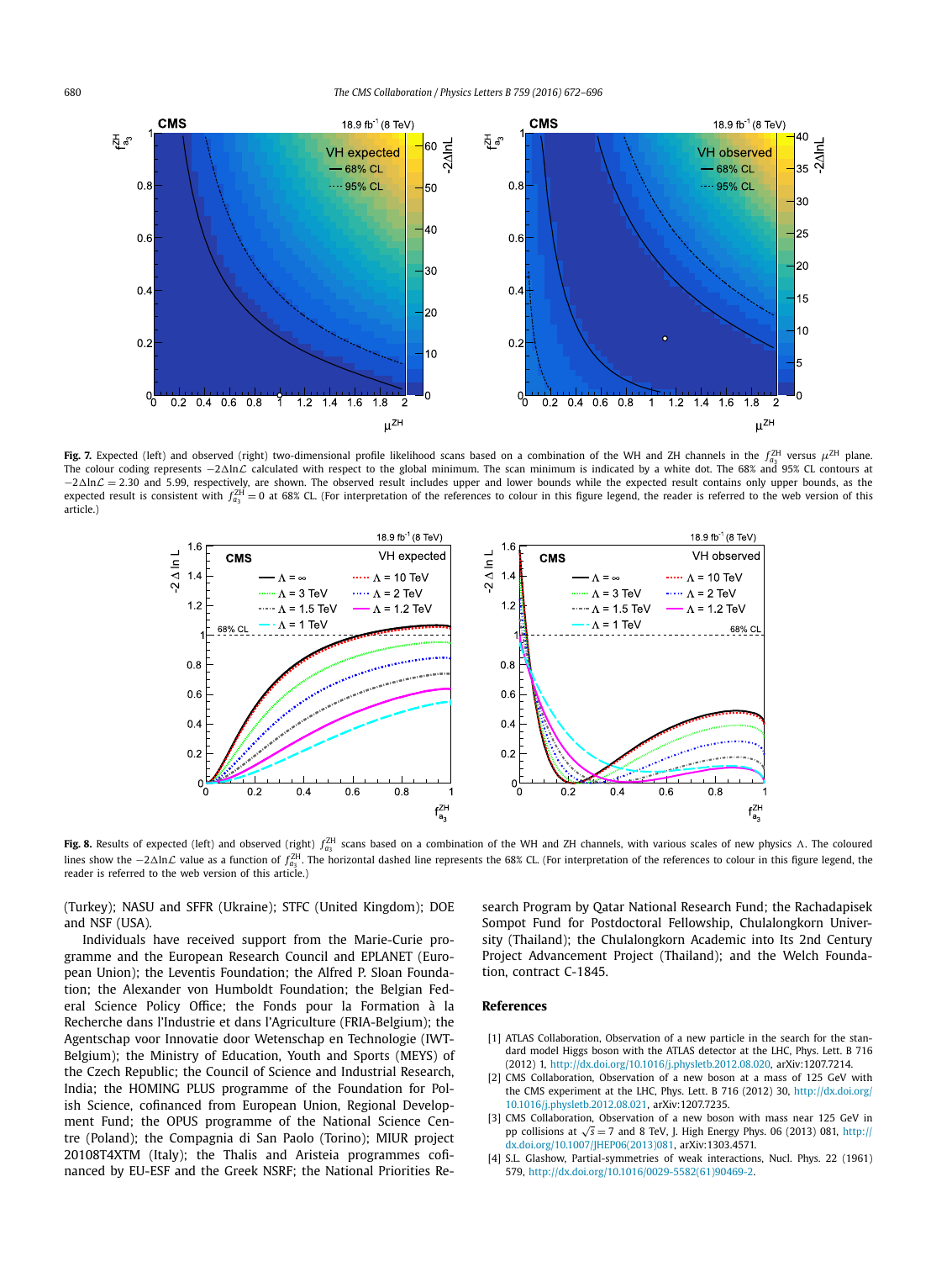<span id="page-8-0"></span>

**Fig. 7.** Expected (left) and observed (right) two-dimensional profile likelihood scans based on a combination of the WH and ZH channels in the  $f_{a_3}^{ZH}$  versus  $\mu^{ZH}$  plane. The colour coding represents −2∆lnL calculated with respect to the global minimum. The scan minimum is indicated by a white dot. The 68% and 95% CL contours at  $-2\Delta ln\mathcal{L} = 2.30$  and 5.99, respectively, are shown. The observed result includes upper and lower bounds while the expected result contains only upper bounds, as the expected result is consistent with  $f_{a_3}^{\rm ZH}=0$  at 68% CL. (For interpretation of the references to colour in this figure legend, the reader is referred to the web version of this article.)



**Fig. 8.** Results of expected (left) and observed (right)  $f_{a_3}^{ZH}$  scans based on a combination of the WH and ZH channels, with various scales of new physics  $\Lambda$ . The coloured lines show the  $-2\Delta\ln\mathcal{L}$  value as a function of  $f_{a_3}^{ZH}$ . The horizontal dashed line represents the 68% CL. (For interpretation of the references to colour in this figure legend, the reader is referred to the web version of this article.)

(Turkey); NASU and SFFR (Ukraine); STFC (United Kingdom); DOE and NSF (USA).

Individuals have received support from the Marie-Curie programme and the European Research Council and EPLANET (European Union); the Leventis Foundation; the Alfred P. Sloan Foundation; the Alexander von Humboldt Foundation; the Belgian Federal Science Policy Office; the Fonds pour la Formation à la Recherche dans l'Industrie et dans l'Agriculture (FRIA-Belgium); the Agentschap voor Innovatie door Wetenschap en Technologie (IWT-Belgium); the Ministry of Education, Youth and Sports (MEYS) of the Czech Republic; the Council of Science and Industrial Research, India; the HOMING PLUS programme of the Foundation for Polish Science, cofinanced from European Union, Regional Development Fund; the OPUS programme of the National Science Centre (Poland); the Compagnia di San Paolo (Torino); MIUR project 20108T4XTM (Italy); the Thalis and Aristeia programmes cofinanced by EU-ESF and the Greek NSRF; the National Priorities Research Program by Qatar National Research Fund; the Rachadapisek Sompot Fund for Postdoctoral Fellowship, Chulalongkorn University (Thailand); the Chulalongkorn Academic into Its 2nd Century Project Advancement Project (Thailand); and the Welch Foundation, contract C-1845.

#### **References**

- [1] ATLAS Collaboration, Observation of a new particle in the search for the standard model Higgs boson with the ATLAS detector at the LHC, Phys. Lett. B 716 (2012) 1, <http://dx.doi.org/10.1016/j.physletb.2012.08.020>, arXiv:1207.7214.
- [2] CMS Collaboration, Observation of a new boson at a mass of 125 GeV with the CMS experiment at the LHC, Phys. Lett. B 716 (2012) 30, [http://dx.doi.org/](http://dx.doi.org/10.1016/j.physletb.2012.08.021) [10.1016/j.physletb.2012.08.021,](http://dx.doi.org/10.1016/j.physletb.2012.08.021) arXiv:1207.7235.
- [3] CMS Collaboration, Observation of a new boson with mass near 125 GeV in pp collisions at  $\sqrt{s}$  = 7 and 8 TeV, J. High Energy Phys. 06 (2013) 081, [http://](http://dx.doi.org/10.1007/JHEP06(2013)081) [dx.doi.org/10.1007/JHEP06\(2013\)081,](http://dx.doi.org/10.1007/JHEP06(2013)081) arXiv:1303.4571.
- [4] S.L. Glashow, Partial-symmetries of weak interactions, Nucl. Phys. 22 (1961) 579, [http://dx.doi.org/10.1016/0029-5582\(61\)90469-2](http://dx.doi.org/10.1016/0029-5582(61)90469-2).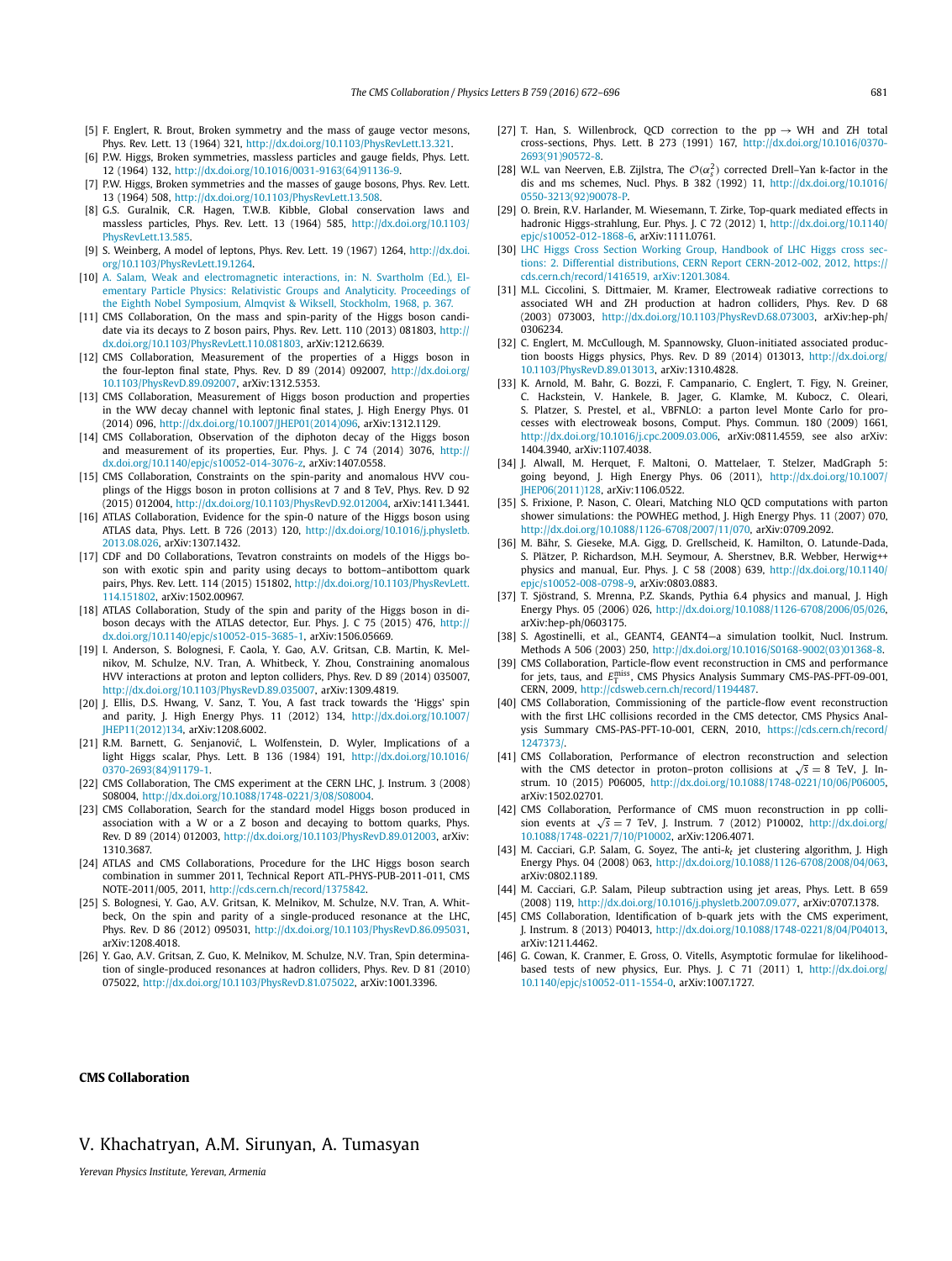- <span id="page-9-0"></span>[5] F. Englert, R. Brout, Broken symmetry and the mass of gauge vector mesons, Phys. Rev. Lett. 13 (1964) 321, [http://dx.doi.org/10.1103/PhysRevLett.13.321.](http://dx.doi.org/10.1103/PhysRevLett.13.321)
- [6] P.W. Higgs, Broken symmetries, massless particles and gauge fields, Phys. Lett. 12 (1964) 132, [http://dx.doi.org/10.1016/0031-9163\(64\)91136-9](http://dx.doi.org/10.1016/0031-9163(64)91136-9).
- [7] P.W. Higgs, Broken symmetries and the masses of gauge bosons, Phys. Rev. Lett. 13 (1964) 508, [http://dx.doi.org/10.1103/PhysRevLett.13.508.](http://dx.doi.org/10.1103/PhysRevLett.13.508)
- [8] G.S. Guralnik, C.R. Hagen, T.W.B. Kibble, Global conservation laws and massless particles, Phys. Rev. Lett. 13 (1964) 585, [http://dx.doi.org/10.1103/](http://dx.doi.org/10.1103/PhysRevLett.13.585) [PhysRevLett.13.585.](http://dx.doi.org/10.1103/PhysRevLett.13.585)
- [9] S. Weinberg, A model of leptons, Phys. Rev. Lett. 19 (1967) 1264, [http://dx.doi.](http://dx.doi.org/10.1103/PhysRevLett.19.1264) [org/10.1103/PhysRevLett.19.1264.](http://dx.doi.org/10.1103/PhysRevLett.19.1264)
- [10] A. Salam, Weak and [electromagnetic](http://refhub.elsevier.com/S0370-2693(16)30255-6/bib5374616E646172644D6F64656C36375F33s1) interactions, in: N. Svartholm (Ed.), Elementary Particle Physics: Relativistic Groups and Analyticity. [Proceedings](http://refhub.elsevier.com/S0370-2693(16)30255-6/bib5374616E646172644D6F64656C36375F33s1) of the Eighth Nobel [Symposium,](http://refhub.elsevier.com/S0370-2693(16)30255-6/bib5374616E646172644D6F64656C36375F33s1) Almqvist & Wiksell, Stockholm, 1968, p. 367.
- [11] CMS Collaboration, On the mass and spin-parity of the Higgs boson candidate via its decays to Z boson pairs, Phys. Rev. Lett. 110 (2013) 081803, [http://](http://dx.doi.org/10.1103/PhysRevLett.110.081803) [dx.doi.org/10.1103/PhysRevLett.110.081803,](http://dx.doi.org/10.1103/PhysRevLett.110.081803) arXiv:1212.6639.
- [12] CMS Collaboration, Measurement of the properties of a Higgs boson in the four-lepton final state, Phys. Rev. D 89 (2014) 092007, [http://dx.doi.org/](http://dx.doi.org/10.1103/PhysRevD.89.092007) [10.1103/PhysRevD.89.092007,](http://dx.doi.org/10.1103/PhysRevD.89.092007) arXiv:1312.5353.
- [13] CMS Collaboration, Measurement of Higgs boson production and properties in the WW decay channel with leptonic final states, J. High Energy Phys. 01 (2014) 096, [http://dx.doi.org/10.1007/JHEP01\(2014\)096,](http://dx.doi.org/10.1007/JHEP01(2014)096) arXiv:1312.1129.
- [14] CMS Collaboration, Observation of the diphoton decay of the Higgs boson and measurement of its properties, Eur. Phys. J. C 74 (2014) 3076, [http://](http://dx.doi.org/10.1140/epjc/s10052-014-3076-z) [dx.doi.org/10.1140/epjc/s10052-014-3076-z](http://dx.doi.org/10.1140/epjc/s10052-014-3076-z), arXiv:1407.0558.
- [15] CMS Collaboration, Constraints on the spin-parity and anomalous HVV couplings of the Higgs boson in proton collisions at 7 and 8 TeV, Phys. Rev. D 92 (2015) 012004, <http://dx.doi.org/10.1103/PhysRevD.92.012004>, arXiv:1411.3441.
- [16] ATLAS Collaboration, Evidence for the spin-0 nature of the Higgs boson using ATLAS data, Phys. Lett. B 726 (2013) 120, [http://dx.doi.org/10.1016/j.physletb.](http://dx.doi.org/10.1016/j.physletb.2013.08.026) [2013.08.026,](http://dx.doi.org/10.1016/j.physletb.2013.08.026) arXiv:1307.1432.
- [17] CDF and D0 Collaborations, Tevatron constraints on models of the Higgs boson with exotic spin and parity using decays to bottom–antibottom quark pairs, Phys. Rev. Lett. 114 (2015) 151802, [http://dx.doi.org/10.1103/PhysRevLett.](http://dx.doi.org/10.1103/PhysRevLett.114.151802) [114.151802,](http://dx.doi.org/10.1103/PhysRevLett.114.151802) arXiv:1502.00967.
- [18] ATLAS Collaboration, Study of the spin and parity of the Higgs boson in diboson decays with the ATLAS detector, Eur. Phys. J. C 75 (2015) 476, [http://](http://dx.doi.org/10.1140/epjc/s10052-015-3685-1) [dx.doi.org/10.1140/epjc/s10052-015-3685-1,](http://dx.doi.org/10.1140/epjc/s10052-015-3685-1) arXiv:1506.05669.
- [19] I. Anderson, S. Bolognesi, F. Caola, Y. Gao, A.V. Gritsan, C.B. Martin, K. Melnikov, M. Schulze, N.V. Tran, A. Whitbeck, Y. Zhou, Constraining anomalous HVV interactions at proton and lepton colliders, Phys. Rev. D 89 (2014) 035007, <http://dx.doi.org/10.1103/PhysRevD.89.035007>, arXiv:1309.4819.
- [20] J. Ellis, D.S. Hwang, V. Sanz, T. You, A fast track towards the 'Higgs' spin and parity, J. High Energy Phys. 11 (2012) 134, [http://dx.doi.org/10.1007/](http://dx.doi.org/10.1007/JHEP11(2012)134) [JHEP11\(2012\)134](http://dx.doi.org/10.1007/JHEP11(2012)134), arXiv:1208.6002.
- [21] R.M. Barnett, G. Senjanović, L. Wolfenstein, D. Wyler, Implications of a light Higgs scalar, Phys. Lett. B 136 (1984) 191, [http://dx.doi.org/10.1016/](http://dx.doi.org/10.1016/0370-2693(84)91179-1) [0370-2693\(84\)91179-1](http://dx.doi.org/10.1016/0370-2693(84)91179-1).
- [22] CMS Collaboration, The CMS experiment at the CERN LHC, J. Instrum. 3 (2008) S08004, <http://dx.doi.org/10.1088/1748-0221/3/08/S08004>.
- [23] CMS Collaboration, Search for the standard model Higgs boson produced in association with a W or a Z boson and decaying to bottom quarks, Phys. Rev. D 89 (2014) 012003, <http://dx.doi.org/10.1103/PhysRevD.89.012003>, arXiv: 1310.3687.
- [24] ATLAS and CMS Collaborations, Procedure for the LHC Higgs boson search combination in summer 2011, Technical Report ATL-PHYS-PUB-2011-011, CMS NOTE-2011/005, 2011, [http://cds.cern.ch/record/1375842.](http://cds.cern.ch/record/1375842)
- [25] S. Bolognesi, Y. Gao, A.V. Gritsan, K. Melnikov, M. Schulze, N.V. Tran, A. Whitbeck, On the spin and parity of a single-produced resonance at the LHC, Phys. Rev. D 86 (2012) 095031, [http://dx.doi.org/10.1103/PhysRevD.86.095031,](http://dx.doi.org/10.1103/PhysRevD.86.095031) arXiv:1208.4018.
- [26] Y. Gao, A.V. Gritsan, Z. Guo, K. Melnikov, M. Schulze, N.V. Tran, Spin determination of single-produced resonances at hadron colliders, Phys. Rev. D 81 (2010) 075022, [http://dx.doi.org/10.1103/PhysRevD.81.075022,](http://dx.doi.org/10.1103/PhysRevD.81.075022) arXiv:1001.3396.
- [27] T. Han, S. Willenbrock, QCD correction to the  $pp \rightarrow WH$  and ZH total cross-sections, Phys. Lett. B 273 (1991) 167, [http://dx.doi.org/10.1016/0370-](http://dx.doi.org/10.1016/0370-2693(91)90572-8) [2693\(91\)90572-8.](http://dx.doi.org/10.1016/0370-2693(91)90572-8)
- [28] W.L. van Neerven, E.B. Zijlstra, The  $\mathcal{O}(\alpha_s^2)$  corrected Drell–Yan k-factor in the dis and ms schemes, Nucl. Phys. B 382 (1992) 11, [http://dx.doi.org/10.1016/](http://dx.doi.org/10.1016/0550-3213(92)90078-P) [0550-3213\(92\)90078-P](http://dx.doi.org/10.1016/0550-3213(92)90078-P).
- [29] O. Brein, R.V. Harlander, M. Wiesemann, T. Zirke, Top-quark mediated effects in hadronic Higgs-strahlung, Eur. Phys. J. C 72 (2012) 1, [http://dx.doi.org/10.1140/](http://dx.doi.org/10.1140/epjc/s10052-012-1868-6) [epjc/s10052-012-1868-6](http://dx.doi.org/10.1140/epjc/s10052-012-1868-6), arXiv:1111.0761.
- [30] LHC Higgs Cross Section Working Group, [Handbook](http://refhub.elsevier.com/S0370-2693(16)30255-6/bib446974746D616965723A32303132766Ds1) of LHC Higgs cross sections: 2. Differential distributions, CERN Report [CERN-2012-002,](http://refhub.elsevier.com/S0370-2693(16)30255-6/bib446974746D616965723A32303132766Ds1) 2012, https:// [cds.cern.ch/record/1416519,](http://refhub.elsevier.com/S0370-2693(16)30255-6/bib446974746D616965723A32303132766Ds1) arXiv:1201.3084.
- [31] M.L. Ciccolini, S. Dittmaier, M. Kramer, Electroweak radiative corrections to associated WH and ZH production at hadron colliders, Phys. Rev. D 68 (2003) 073003, <http://dx.doi.org/10.1103/PhysRevD.68.073003>, arXiv:hep-ph/ 0306234.
- [32] C. Englert, M. McCullough, M. Spannowsky, Gluon-initiated associated production boosts Higgs physics, Phys. Rev. D 89 (2014) 013013, [http://dx.doi.org/](http://dx.doi.org/10.1103/PhysRevD.89.013013) [10.1103/PhysRevD.89.013013,](http://dx.doi.org/10.1103/PhysRevD.89.013013) arXiv:1310.4828.
- [33] K. Arnold, M. Bahr, G. Bozzi, F. Campanario, C. Englert, T. Figy, N. Greiner, C. Hackstein, V. Hankele, B. Jager, G. Klamke, M. Kubocz, C. Oleari, S. Platzer, S. Prestel, et al., VBFNLO: a parton level Monte Carlo for processes with electroweak bosons, Comput. Phys. Commun. 180 (2009) 1661, <http://dx.doi.org/10.1016/j.cpc.2009.03.006>, arXiv:0811.4559, see also arXiv: 1404.3940, arXiv:1107.4038.
- [34] J. Alwall, M. Herquet, F. Maltoni, O. Mattelaer, T. Stelzer, MadGraph 5: going beyond, J. High Energy Phys. 06 (2011), [http://dx.doi.org/10.1007/](http://dx.doi.org/10.1007/JHEP06(2011)128) [JHEP06\(2011\)128](http://dx.doi.org/10.1007/JHEP06(2011)128), arXiv:1106.0522.
- [35] S. Frixione, P. Nason, C. Oleari, Matching NLO QCD computations with parton shower simulations: the POWHEG method, J. High Energy Phys. 11 (2007) 070, [http://dx.doi.org/10.1088/1126-6708/2007/11/070,](http://dx.doi.org/10.1088/1126-6708/2007/11/070) arXiv:0709.2092.
- [36] M. Bähr, S. Gieseke, M.A. Gigg, D. Grellscheid, K. Hamilton, O. Latunde-Dada, S. Plätzer, P. Richardson, M.H. Seymour, A. Sherstnev, B.R. Webber, Herwig++ physics and manual, Eur. Phys. J. C 58 (2008) 639, [http://dx.doi.org/10.1140/](http://dx.doi.org/10.1140/epjc/s10052-008-0798-9) [epjc/s10052-008-0798-9](http://dx.doi.org/10.1140/epjc/s10052-008-0798-9), arXiv:0803.0883.
- [37] T. Sjöstrand, S. Mrenna, P.Z. Skands, Pythia 6.4 physics and manual, J. High Energy Phys. 05 (2006) 026, [http://dx.doi.org/10.1088/1126-6708/2006/05/026,](http://dx.doi.org/10.1088/1126-6708/2006/05/026) arXiv:hep-ph/0603175.
- [38] S. Agostinelli, et al., GEANT4, GEANT4-a simulation toolkit, Nucl. Instrum. Methods A 506 (2003) 250, [http://dx.doi.org/10.1016/S0168-9002\(03\)01368-8](http://dx.doi.org/10.1016/S0168-9002(03)01368-8).
- [39] CMS Collaboration, Particle-flow event reconstruction in CMS and performance for jets, taus, and  $E_T^{\text{miss}}$ , CMS Physics Analysis Summary CMS-PAS-PFT-09-001, CERN, 2009, [http://cdsweb.cern.ch/record/1194487.](http://cdsweb.cern.ch/record/1194487)
- [40] CMS Collaboration, Commissioning of the particle-flow event reconstruction with the first LHC collisions recorded in the CMS detector, CMS Physics Analysis Summary CMS-PAS-PFT-10-001, CERN, 2010, [https://cds.cern.ch/record/](https://cds.cern.ch/record/1247373/) [1247373/](https://cds.cern.ch/record/1247373/).
- [41] CMS Collaboration, Performance of electron reconstruction and selection with the CMS detector in proton–proton collisions at  $\sqrt{s} = 8$  TeV, J. Instrum. 10 (2015) P06005, [http://dx.doi.org/10.1088/1748-0221/10/06/P06005,](http://dx.doi.org/10.1088/1748-0221/10/06/P06005) arXiv:1502.02701.
- [42] CMS Collaboration, Performance of CMS muon reconstruction in pp collision events at  $\sqrt{s} = 7$  TeV, J. Instrum. 7 (2012) P10002, [http://dx.doi.org/](http://dx.doi.org/10.1088/1748-0221/7/10/P10002) [10.1088/1748-0221/7/10/P10002](http://dx.doi.org/10.1088/1748-0221/7/10/P10002), arXiv:1206.4071.
- [43] M. Cacciari, G.P. Salam, G. Soyez, The anti- $k_t$  jet clustering algorithm, J. High Energy Phys. 04 (2008) 063, [http://dx.doi.org/10.1088/1126-6708/2008/04/063,](http://dx.doi.org/10.1088/1126-6708/2008/04/063) arXiv:0802.1189.
- [44] M. Cacciari, G.P. Salam, Pileup subtraction using jet areas, Phys. Lett. B 659 (2008) 119, <http://dx.doi.org/10.1016/j.physletb.2007.09.077>, arXiv:0707.1378.
- [45] CMS Collaboration, Identification of b-quark jets with the CMS experiment, J. Instrum. 8 (2013) P04013, [http://dx.doi.org/10.1088/1748-0221/8/04/P04013,](http://dx.doi.org/10.1088/1748-0221/8/04/P04013) arXiv:1211.4462.
- [46] G. Cowan, K. Cranmer, E. Gross, O. Vitells, Asymptotic formulae for likelihoodbased tests of new physics, Eur. Phys. J. C 71 (2011) 1, [http://dx.doi.org/](http://dx.doi.org/10.1140/epjc/s10052-011-1554-0) [10.1140/epjc/s10052-011-1554-0](http://dx.doi.org/10.1140/epjc/s10052-011-1554-0), arXiv:1007.1727.

#### **CMS Collaboration**

# V. Khachatryan, A.M. Sirunyan, A. Tumasyan

*Yerevan Physics Institute, Yerevan, Armenia*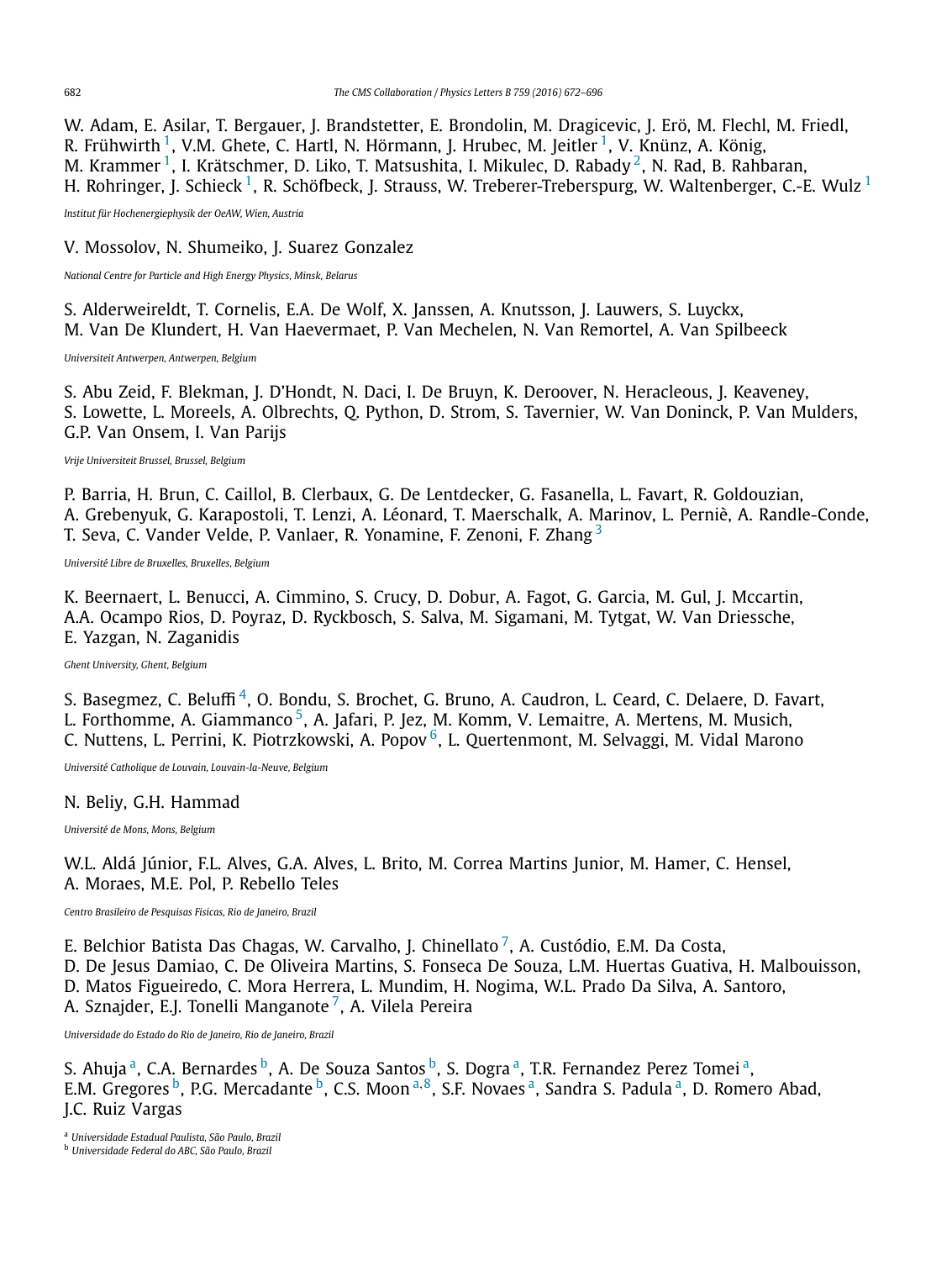W. Adam, E. Asilar, T. Bergauer, J. Brandstetter, E. Brondolin, M. Dragicevic, J. Erö, M. Flechl, M. Friedl, R. Frühwirth <sup>1</sup>, V.M. Ghete, C. Hartl, N. Hörmann, J. Hrubec, M. Jeitler <sup>1</sup>, V. Knünz, A. König, M. Krammer<sup>1</sup>, I. Krätschmer, D. Liko, T. Matsushita, I. Mikulec, D. Rabady<sup>2</sup>, N. Rad, B. Rahbaran, H. Rohringer, J. Schieck<sup>[1](#page-23-0)</sup>, R. Schöfbeck, J. Strauss, W. Treberer-Treberspurg, W. Waltenberger, C.-E. Wulz<sup>1</sup>

*Institut für Hochenergiephysik der OeAW, Wien, Austria*

V. Mossolov, N. Shumeiko, J. Suarez Gonzalez

*National Centre for Particle and High Energy Physics, Minsk, Belarus*

S. Alderweireldt, T. Cornelis, E.A. De Wolf, X. Janssen, A. Knutsson, J. Lauwers, S. Luyckx, M. Van De Klundert, H. Van Haevermaet, P. Van Mechelen, N. Van Remortel, A. Van Spilbeeck

*Universiteit Antwerpen, Antwerpen, Belgium*

S. Abu Zeid, F. Blekman, J. D'Hondt, N. Daci, I. De Bruyn, K. Deroover, N. Heracleous, J. Keaveney, S. Lowette, L. Moreels, A. Olbrechts, Q. Python, D. Strom, S. Tavernier, W. Van Doninck, P. Van Mulders, G.P. Van Onsem, I. Van Parijs

*Vrije Universiteit Brussel, Brussel, Belgium*

P. Barria, H. Brun, C. Caillol, B. Clerbaux, G. De Lentdecker, G. Fasanella, L. Favart, R. Goldouzian, A. Grebenyuk, G. Karapostoli, T. Lenzi, A. Léonard, T. Maerschalk, A. Marinov, L. Perniè, A. Randle-Conde, T. Seva, C. Vander Velde, P. Vanlaer, R. Yonamine, F. Zenoni, F. Zhang [3](#page-23-0)

*Université Libre de Bruxelles, Bruxelles, Belgium*

K. Beernaert, L. Benucci, A. Cimmino, S. Crucy, D. Dobur, A. Fagot, G. Garcia, M. Gul, J. Mccartin, A.A. Ocampo Rios, D. Poyraz, D. Ryckbosch, S. Salva, M. Sigamani, M. Tytgat, W. Van Driessche, E. Yazgan, N. Zaganidis

*Ghent University, Ghent, Belgium*

S. Basegmez, C. Beluffi<sup>4</sup>, O. Bondu, S. Brochet, G. Bruno, A. Caudron, L. Ceard, C. Delaere, D. Favart, L. Forthomme, A. Giammanco<sup>5</sup>, A. Jafari, P. Jez, M. Komm, V. Lemaitre, A. Mertens, M. Musich, C. Nuttens, L. Perrini, K. Piotrzkowski, A. Popov<sup>6</sup>, L. Quertenmont, M. Selvaggi, M. Vidal Marono

*Université Catholique de Louvain, Louvain-la-Neuve, Belgium*

#### N. Beliy, G.H. Hammad

*Université de Mons, Mons, Belgium*

W.L. Aldá Júnior, F.L. Alves, G.A. Alves, L. Brito, M. Correa Martins Junior, M. Hamer, C. Hensel, A. Moraes, M.E. Pol, P. Rebello Teles

*Centro Brasileiro de Pesquisas Fisicas, Rio de Janeiro, Brazil*

E. Belchior Batista Das Chagas, W. Carvalho, J. Chinellato<sup>7</sup>, A. Custódio, E.M. Da Costa,

D. De Jesus Damiao, C. De Oliveira Martins, S. Fonseca De Souza, L.M. Huertas Guativa, H. Malbouisson,

D. Matos Figueiredo, C. Mora Herrera, L. Mundim, H. Nogima, W.L. Prado Da Silva, A. Santoro,

A. Sznajder, E.J. Tonelli Manganote<sup>7</sup>, A. Vilela Pereira

*Universidade do Estado do Rio de Janeiro, Rio de Janeiro, Brazil*

S. Ahuja<sup>a</sup>, C.A. Bernardes<sup>b</sup>, A. De Souza Santos<sup>b</sup>, S. Dogra<sup>a</sup>, T.R. Fernandez Perez Tomei<sup>a</sup>, E.M. Gregores<sup>b</sup>, P.G. Mercadante<sup>b</sup>, C.S. Moon<sup>a,8</sup>, S.F. Novaes<sup>a</sup>, Sandra S. Padula<sup>a</sup>, D. Romero Abad, J.C. Ruiz Vargas

<sup>a</sup> *Universidade Estadual Paulista, São Paulo, Brazil*

<sup>b</sup> *Universidade Federal do ABC, São Paulo, Brazil*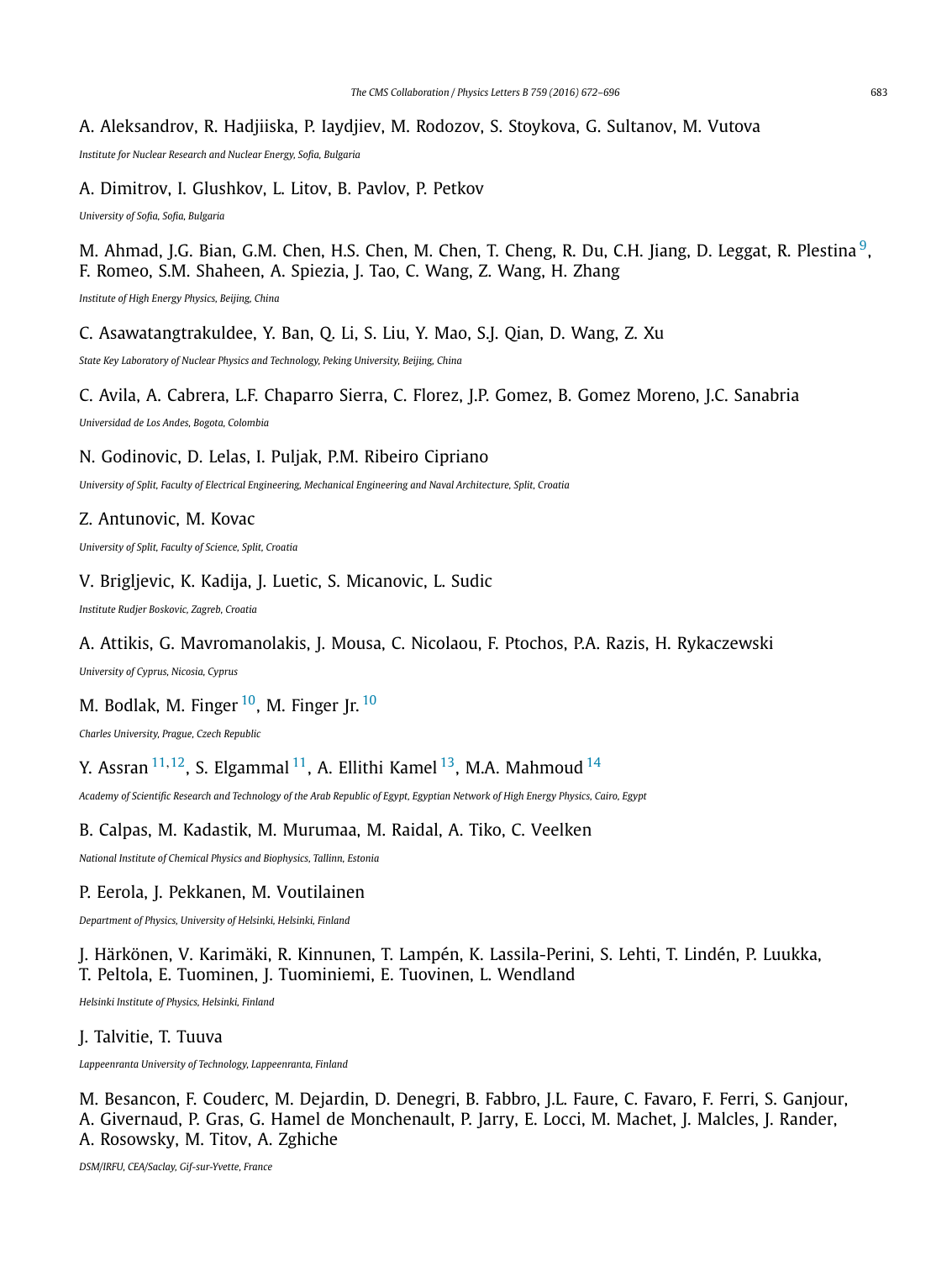### A. Aleksandrov, R. Hadjiiska, P. Iaydjiev, M. Rodozov, S. Stoykova, G. Sultanov, M. Vutova

*Institute for Nuclear Research and Nuclear Energy, Sofia, Bulgaria*

#### A. Dimitrov, I. Glushkov, L. Litov, B. Pavlov, P. Petkov

*University of Sofia, Sofia, Bulgaria*

M. Ahmad, J.G. Bian, G.M. Chen, H.S. Chen, M. Chen, T. Cheng, R. Du, C.H. Jiang, D. Leggat, R. Plestina<sup>9</sup>, F. Romeo, S.M. Shaheen, A. Spiezia, J. Tao, C. Wang, Z. Wang, H. Zhang

*Institute of High Energy Physics, Beijing, China*

C. Asawatangtrakuldee, Y. Ban, Q. Li, S. Liu, Y. Mao, S.J. Qian, D. Wang, Z. Xu

*State Key Laboratory of Nuclear Physics and Technology, Peking University, Beijing, China*

# C. Avila, A. Cabrera, L.F. Chaparro Sierra, C. Florez, J.P. Gomez, B. Gomez Moreno, J.C. Sanabria

*Universidad de Los Andes, Bogota, Colombia*

#### N. Godinovic, D. Lelas, I. Puljak, P.M. Ribeiro Cipriano

*University of Split, Faculty of Electrical Engineering, Mechanical Engineering and Naval Architecture, Split, Croatia*

#### Z. Antunovic, M. Kovac

*University of Split, Faculty of Science, Split, Croatia*

### V. Brigljevic, K. Kadija, J. Luetic, S. Micanovic, L. Sudic

*Institute Rudjer Boskovic, Zagreb, Croatia*

#### A. Attikis, G. Mavromanolakis, J. Mousa, C. Nicolaou, F. Ptochos, P.A. Razis, H. Rykaczewski

*University of Cyprus, Nicosia, Cyprus*

# M. Bodlak, M. Finger  $10$ , M. Finger Jr.  $10$

*Charles University, Prague, Czech Republic*

# Y. Assran <sup>[11](#page-24-0), [12](#page-24-0)</sup>, S. Elgammal <sup>11</sup>, A. Ellithi Kamel <sup>13</sup>, M.A. Mahmoud <sup>[14](#page-24-0)</sup>

Academy of Scientific Research and Technology of the Arab Republic of Egypt, Egyptian Network of High Energy Physics, Cairo, Egypt

#### B. Calpas, M. Kadastik, M. Murumaa, M. Raidal, A. Tiko, C. Veelken

*National Institute of Chemical Physics and Biophysics, Tallinn, Estonia*

#### P. Eerola, J. Pekkanen, M. Voutilainen

*Department of Physics, University of Helsinki, Helsinki, Finland*

# J. Härkönen, V. Karimäki, R. Kinnunen, T. Lampén, K. Lassila-Perini, S. Lehti, T. Lindén, P. Luukka, T. Peltola, E. Tuominen, J. Tuominiemi, E. Tuovinen, L. Wendland

*Helsinki Institute of Physics, Helsinki, Finland*

#### J. Talvitie, T. Tuuva

*Lappeenranta University of Technology, Lappeenranta, Finland*

M. Besancon, F. Couderc, M. Dejardin, D. Denegri, B. Fabbro, J.L. Faure, C. Favaro, F. Ferri, S. Ganjour, A. Givernaud, P. Gras, G. Hamel de Monchenault, P. Jarry, E. Locci, M. Machet, J. Malcles, J. Rander, A. Rosowsky, M. Titov, A. Zghiche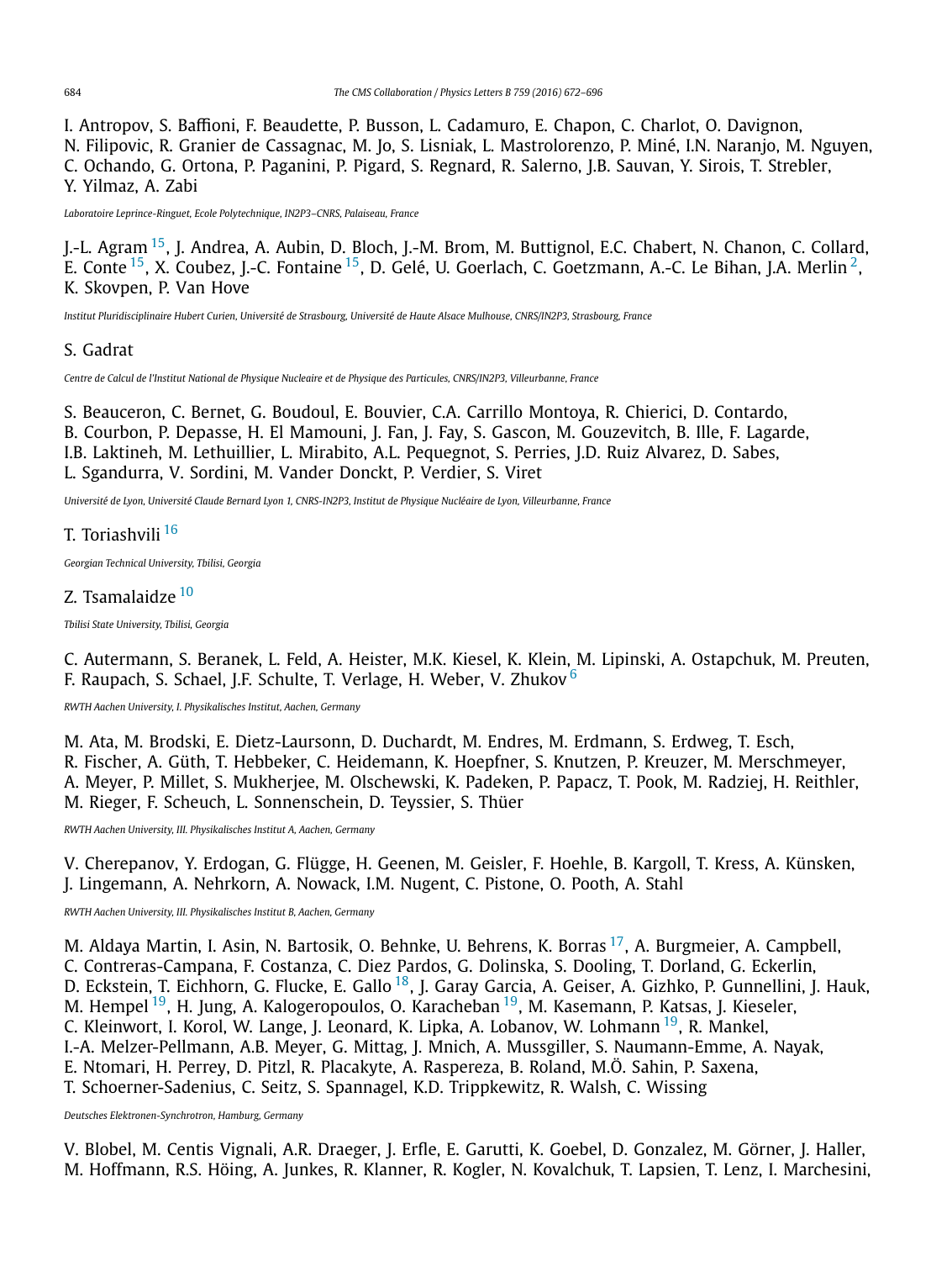I. Antropov, S. Baffioni, F. Beaudette, P. Busson, L. Cadamuro, E. Chapon, C. Charlot, O. Davignon, N. Filipovic, R. Granier de Cassagnac, M. Jo, S. Lisniak, L. Mastrolorenzo, P. Miné, I.N. Naranjo, M. Nguyen, C. Ochando, G. Ortona, P. Paganini, P. Pigard, S. Regnard, R. Salerno, J.B. Sauvan, Y. Sirois, T. Strebler, Y. Yilmaz, A. Zabi

*Laboratoire Leprince-Ringuet, Ecole Polytechnique, IN2P3–CNRS, Palaiseau, France*

J.-L. Agram <sup>15</sup>, J. Andrea, A. Aubin, D. Bloch, J.-M. Brom, M. Buttignol, E.C. Chabert, N. Chanon, C. Collard, E. Conte [15,](#page-24-0) X. Coubez, J.-C. Fontaine [15,](#page-24-0) D. Gelé, U. Goerlach, C. Goetzmann, A.-C. Le Bihan, J.A. Merlin [2,](#page-23-0) K. Skovpen, P. Van Hove

Institut Pluridisciplinaire Hubert Curien, Université de Strasbourg, Université de Haute Alsace Mulhouse, CNRS/IN2P3, Strasbourg, France

# S. Gadrat

Centre de Calcul de l'Institut National de Physique Nucleaire et de Physique des Particules, CNRS/IN2P3, Villeurbanne, France

S. Beauceron, C. Bernet, G. Boudoul, E. Bouvier, C.A. Carrillo Montoya, R. Chierici, D. Contardo, B. Courbon, P. Depasse, H. El Mamouni, J. Fan, J. Fay, S. Gascon, M. Gouzevitch, B. Ille, F. Lagarde, I.B. Laktineh, M. Lethuillier, L. Mirabito, A.L. Pequegnot, S. Perries, J.D. Ruiz Alvarez, D. Sabes, L. Sgandurra, V. Sordini, M. Vander Donckt, P. Verdier, S. Viret

Université de Lyon, Université Claude Bernard Lyon 1, CNRS-IN2P3, Institut de Physique Nucléaire de Lyon, Villeurbanne, France

# T. Toriashvili [16](#page-24-0)

*Georgian Technical University, Tbilisi, Georgia*

# Z. Tsamalaidze<sup>[10](#page-24-0)</sup>

*Tbilisi State University, Tbilisi, Georgia*

C. Autermann, S. Beranek, L. Feld, A. Heister, M.K. Kiesel, K. Klein, M. Lipinski, A. Ostapchuk, M. Preuten, F. Raupach, S. Schael, J.F. Schulte, T. Verlage, H. Weber, V. Zhukov<sup>[6](#page-23-0)</sup>

*RWTH Aachen University, I. Physikalisches Institut, Aachen, Germany*

M. Ata, M. Brodski, E. Dietz-Laursonn, D. Duchardt, M. Endres, M. Erdmann, S. Erdweg, T. Esch, R. Fischer, A. Güth, T. Hebbeker, C. Heidemann, K. Hoepfner, S. Knutzen, P. Kreuzer, M. Merschmeyer, A. Meyer, P. Millet, S. Mukherjee, M. Olschewski, K. Padeken, P. Papacz, T. Pook, M. Radziej, H. Reithler, M. Rieger, F. Scheuch, L. Sonnenschein, D. Teyssier, S. Thüer

*RWTH Aachen University, III. Physikalisches Institut A, Aachen, Germany*

V. Cherepanov, Y. Erdogan, G. Flügge, H. Geenen, M. Geisler, F. Hoehle, B. Kargoll, T. Kress, A. Künsken, J. Lingemann, A. Nehrkorn, A. Nowack, I.M. Nugent, C. Pistone, O. Pooth, A. Stahl

*RWTH Aachen University, III. Physikalisches Institut B, Aachen, Germany*

M. Aldaya Martin, I. Asin, N. Bartosik, O. Behnke, U. Behrens, K. Borras [17,](#page-24-0) A. Burgmeier, A. Campbell, C. Contreras-Campana, F. Costanza, C. Diez Pardos, G. Dolinska, S. Dooling, T. Dorland, G. Eckerlin, D. Eckstein, T. Eichhorn, G. Flucke, E. Gallo [18,](#page-24-0) J. Garay Garcia, A. Geiser, A. Gizhko, P. Gunnellini, J. Hauk, M. Hempel<sup>19</sup>, H. Jung, A. Kalogeropoulos, O. Karacheban <sup>19</sup>, M. Kasemann, P. Katsas, J. Kieseler, C. Kleinwort, I. Korol, W. Lange, J. Leonard, K. Lipka, A. Lobanov, W. Lohmann [19](#page-24-0), R. Mankel, I.-A. Melzer-Pellmann, A.B. Meyer, G. Mittag, J. Mnich, A. Mussgiller, S. Naumann-Emme, A. Nayak, E. Ntomari, H. Perrey, D. Pitzl, R. Placakyte, A. Raspereza, B. Roland, M.Ö. Sahin, P. Saxena, T. Schoerner-Sadenius, C. Seitz, S. Spannagel, K.D. Trippkewitz, R. Walsh, C. Wissing

*Deutsches Elektronen-Synchrotron, Hamburg, Germany*

V. Blobel, M. Centis Vignali, A.R. Draeger, J. Erfle, E. Garutti, K. Goebel, D. Gonzalez, M. Görner, J. Haller, M. Hoffmann, R.S. Höing, A. Junkes, R. Klanner, R. Kogler, N. Kovalchuk, T. Lapsien, T. Lenz, I. Marchesini,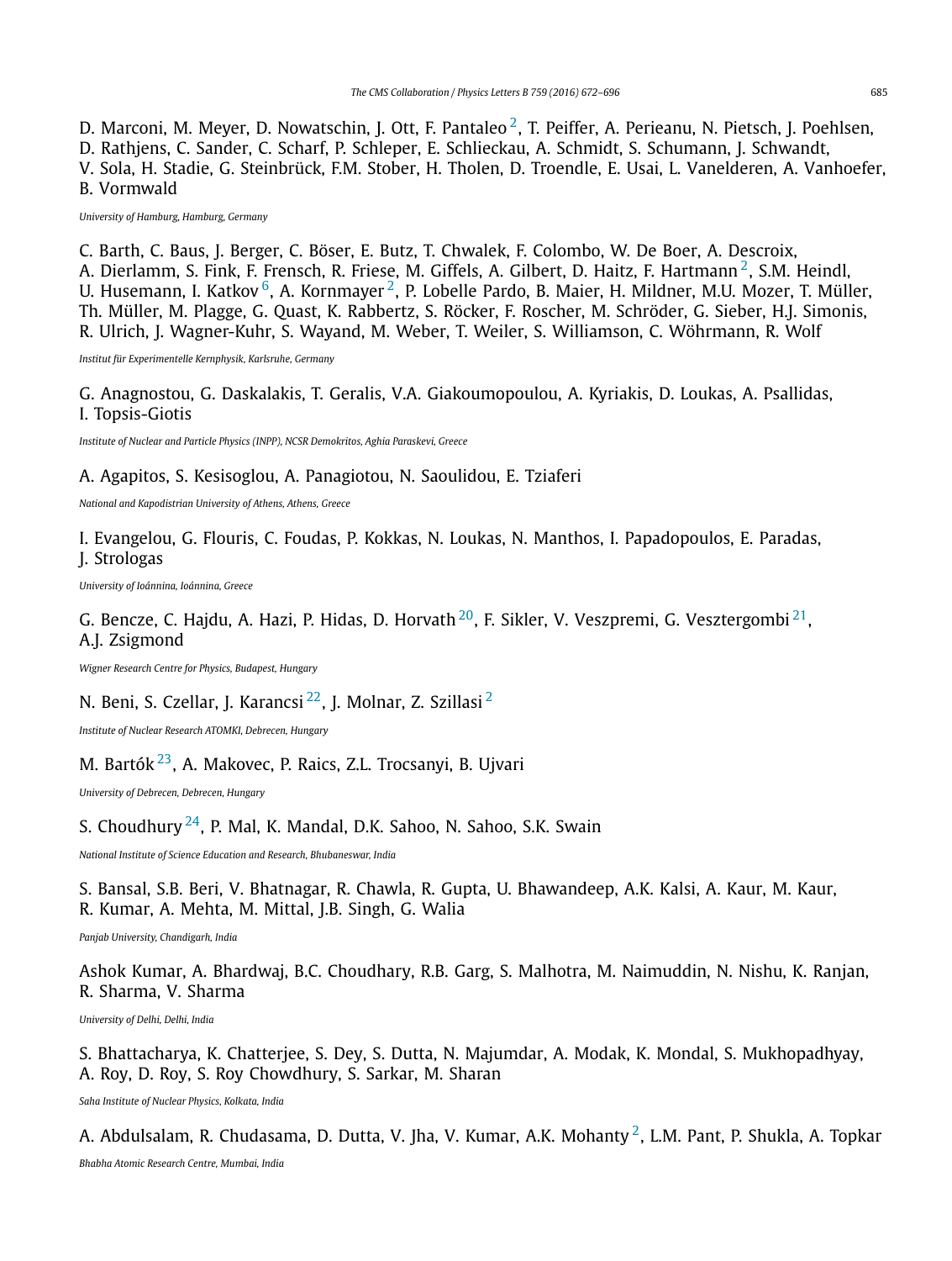D. Marconi, M. Meyer, D. Nowatschin, J. Ott, F. Pantaleo<sup>2</sup>, T. Peiffer, A. Perieanu, N. Pietsch, J. Poehlsen, D. Rathjens, C. Sander, C. Scharf, P. Schleper, E. Schlieckau, A. Schmidt, S. Schumann, J. Schwandt, V. Sola, H. Stadie, G. Steinbrück, F.M. Stober, H. Tholen, D. Troendle, E. Usai, L. Vanelderen, A. Vanhoefer, B. Vormwald

*University of Hamburg, Hamburg, Germany*

C. Barth, C. Baus, J. Berger, C. Böser, E. Butz, T. Chwalek, F. Colombo, W. De Boer, A. Descroix, A. Dierlamm, S. Fink, F. Frensch, R. Friese, M. Giffels, A. Gilbert, D. Haitz, F. Hartmann<sup>2</sup>, S.M. Heindl, U. Husemann, I. Katkov<sup>6</sup>, A. Kornmayer<sup>2</sup>, P. Lobelle Pardo, B. Maier, H. Mildner, M.U. Mozer, T. Müller, Th. Müller, M. Plagge, G. Quast, K. Rabbertz, S. Röcker, F. Roscher, M. Schröder, G. Sieber, H.J. Simonis, R. Ulrich, J. Wagner-Kuhr, S. Wayand, M. Weber, T. Weiler, S. Williamson, C. Wöhrmann, R. Wolf

*Institut für Experimentelle Kernphysik, Karlsruhe, Germany*

G. Anagnostou, G. Daskalakis, T. Geralis, V.A. Giakoumopoulou, A. Kyriakis, D. Loukas, A. Psallidas, I. Topsis-Giotis

*Institute of Nuclear and Particle Physics (INPP), NCSR Demokritos, Aghia Paraskevi, Greece*

### A. Agapitos, S. Kesisoglou, A. Panagiotou, N. Saoulidou, E. Tziaferi

*National and Kapodistrian University of Athens, Athens, Greece*

I. Evangelou, G. Flouris, C. Foudas, P. Kokkas, N. Loukas, N. Manthos, I. Papadopoulos, E. Paradas, J. Strologas

*University of Ioánnina, Ioánnina, Greece*

# G. Bencze, C. Hajdu, A. Hazi, P. Hidas, D. Horvath  $20$ , F. Sikler, V. Veszpremi, G. Vesztergombi  $21$ , A.J. Zsigmond

*Wigner Research Centre for Physics, Budapest, Hungary*

N. Beni, S. Czellar, J. Karancsi<sup>[2](#page-23-0)2</sup>, J. Molnar, Z. Szillasi<sup>2</sup>

*Institute of Nuclear Research ATOMKI, Debrecen, Hungary*

M. Bartók [23,](#page-24-0) A. Makovec, P. Raics, Z.L. Trocsanyi, B. Ujvari

*University of Debrecen, Debrecen, Hungary*

S. Choudhury  $^{24}$ , P. Mal, K. Mandal, D.K. Sahoo, N. Sahoo, S.K. Swain

*National Institute of Science Education and Research, Bhubaneswar, India*

S. Bansal, S.B. Beri, V. Bhatnagar, R. Chawla, R. Gupta, U. Bhawandeep, A.K. Kalsi, A. Kaur, M. Kaur, R. Kumar, A. Mehta, M. Mittal, J.B. Singh, G. Walia

*Panjab University, Chandigarh, India*

Ashok Kumar, A. Bhardwaj, B.C. Choudhary, R.B. Garg, S. Malhotra, M. Naimuddin, N. Nishu, K. Ranjan, R. Sharma, V. Sharma

*University of Delhi, Delhi, India*

S. Bhattacharya, K. Chatterjee, S. Dey, S. Dutta, N. Majumdar, A. Modak, K. Mondal, S. Mukhopadhyay, A. Roy, D. Roy, S. Roy Chowdhury, S. Sarkar, M. Sharan

*Saha Institute of Nuclear Physics, Kolkata, India*

A. Abdulsalam, R. Chudasama, D. Dutta, V. Jha, V. Kumar, A.K. Mohanty<sup>2</sup>, L.M. Pant, P. Shukla, A. Topkar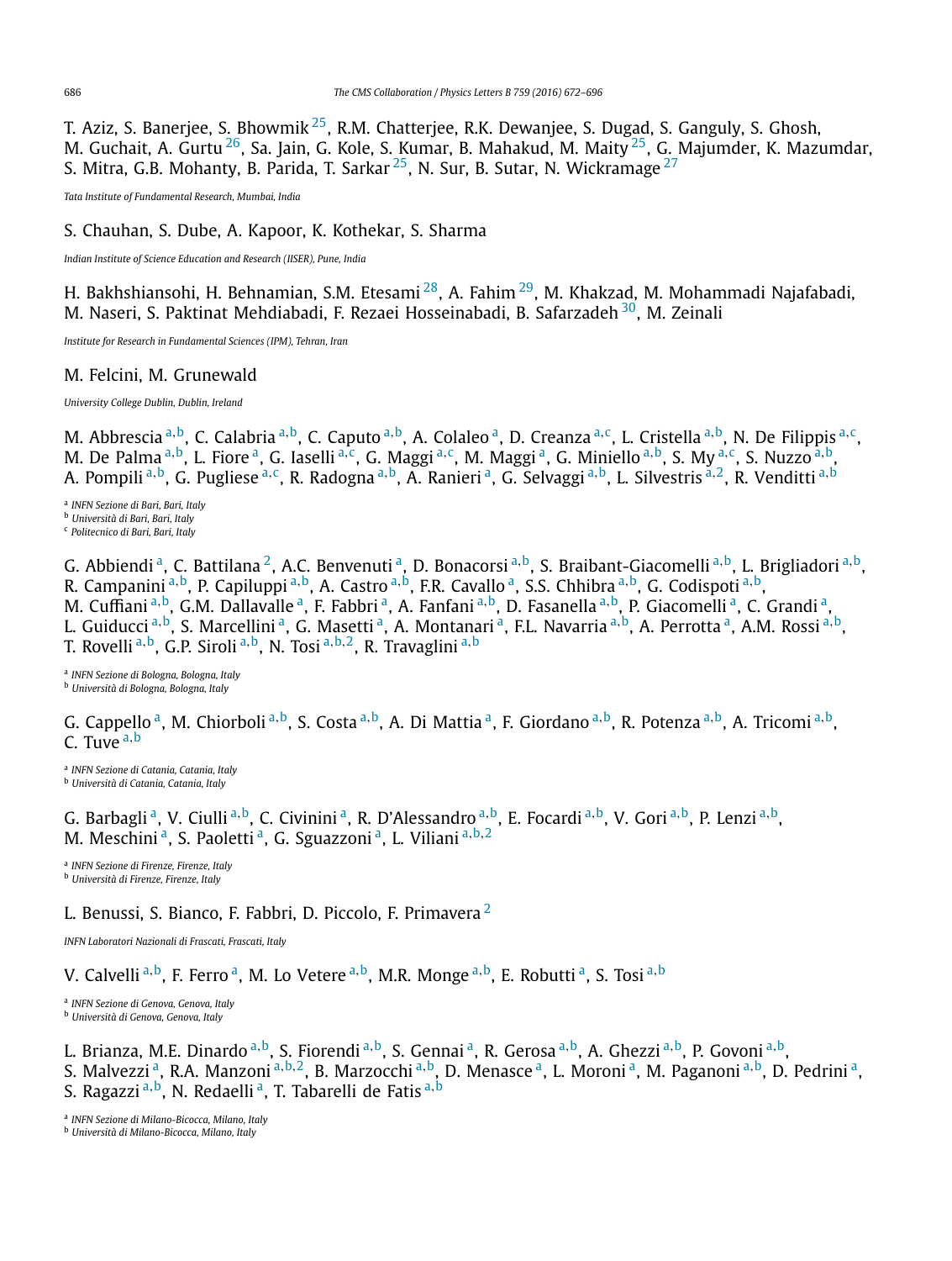T. Aziz, S. Banerjee, S. Bhowmik<sup>[25](#page-24-0)</sup>, R.M. Chatterjee, R.K. Dewanjee, S. Dugad, S. Ganguly, S. Ghosh, M. Guchait, A. Gurtu <sup>26</sup>, Sa. Jain, G. Kole, S. Kumar, B. Mahakud, M. Maity <sup>25</sup>, G. Majumder, K. Mazumdar, S. Mitra, G.B. Mohanty, B. Parida, T. Sarkar  $^{25}$  $^{25}$  $^{25}$ , N. Sur, B. Sutar, N. Wickramage  $^{27}$  $^{27}$  $^{27}$ 

*Tata Institute of Fundamental Research, Mumbai, India*

S. Chauhan, S. Dube, A. Kapoor, K. Kothekar, S. Sharma

*Indian Institute of Science Education and Research (IISER), Pune, India*

H. Bakhshiansohi, H. Behnamian, S.M. Etesami [28,](#page-24-0) A. Fahim [29,](#page-24-0) M. Khakzad, M. Mohammadi Najafabadi, M. Naseri, S. Paktinat Mehdiabadi, F. Rezaei Hosseinabadi, B. Safarzadeh [30](#page-24-0), M. Zeinali

*Institute for Research in Fundamental Sciences (IPM), Tehran, Iran*

#### M. Felcini, M. Grunewald

*University College Dublin, Dublin, Ireland*

M. Abbrescia <sup>a</sup>*,*b, C. Calabria <sup>a</sup>*,*b, C. Caputo <sup>a</sup>*,*b, A. Colaleo a, D. Creanza <sup>a</sup>*,*c, L. Cristella <sup>a</sup>*,*b, N. De Filippis <sup>a</sup>*,*c, M. De Palma <sup>a</sup>*,*b, L. Fiore a, G. Iaselli <sup>a</sup>*,*c, G. Maggi <sup>a</sup>*,*c, M. Maggi a, G. Miniello <sup>a</sup>*,*b, S. My <sup>a</sup>*,*c, S. Nuzzo <sup>a</sup>*,*b, A. Pompili <sup>a</sup>*,*b, G. Pugliese <sup>a</sup>*,*c, R. Radogna <sup>a</sup>*,*b, A. Ranieri a, G. Selvaggi <sup>a</sup>*,*b, L. Silvestris <sup>a</sup>*,*[2,](#page-23-0) R. Venditti <sup>a</sup>*,*<sup>b</sup>

<sup>a</sup> *INFN Sezione di Bari, Bari, Italy* <sup>b</sup> *Università di Bari, Bari, Italy* <sup>c</sup> *Politecnico di Bari, Bari, Italy*

G. Abbiendi a, C. Battilana [2,](#page-23-0) A.C. Benvenuti a, D. Bonacorsi <sup>a</sup>*,*b, S. Braibant-Giacomelli <sup>a</sup>*,*b, L. Brigliadori <sup>a</sup>*,*b, R. Campanini <sup>a</sup>*,*b, P. Capiluppi <sup>a</sup>*,*b, A. Castro <sup>a</sup>*,*b, F.R. Cavallo a, S.S. Chhibra <sup>a</sup>*,*b, G. Codispoti <sup>a</sup>*,*b, M. Cuffiani <sup>a,b</sup>, G.M. Dallavalle <sup>a</sup>, F. Fabbri <sup>a</sup>, A. Fanfani <sup>a,b</sup>, D. Fasanella <sup>a,b</sup>, P. Giacomelli <sup>a</sup>, C. Grandi <sup>a</sup>, L. Guiducci a,b, S. Marcellini <sup>a</sup>, G. Masetti <sup>a</sup>, A. Montanari <sup>a</sup>, F.L. Navarria a,b, A. Perrotta a, A.M. Rossi a,b, T. Rovelli <sup>a</sup>*,*b, G.P. Siroli <sup>a</sup>*,*b, N. Tosi <sup>a</sup>*,*b*,*[2,](#page-23-0) R. Travaglini <sup>a</sup>*,*<sup>b</sup>

<sup>a</sup> *INFN Sezione di Bologna, Bologna, Italy* <sup>b</sup> *Università di Bologna, Bologna, Italy*

G. Cappello a, M. Chiorboli <sup>a</sup>*,*b, S. Costa <sup>a</sup>*,*b, A. Di Mattia a, F. Giordano <sup>a</sup>*,*b, R. Potenza <sup>a</sup>*,*b, A. Tricomi <sup>a</sup>*,*b, C. Tuve <sup>a</sup>*,*<sup>b</sup>

<sup>a</sup> *INFN Sezione di Catania, Catania, Italy* <sup>b</sup> *Università di Catania, Catania, Italy*

G. Barbagli a, V. Ciulli <sup>a</sup>*,*b, C. Civinini a, R. D'Alessandro <sup>a</sup>*,*b, E. Focardi <sup>a</sup>*,*b, V. Gori <sup>a</sup>*,*b, P. Lenzi <sup>a</sup>*,*b, M. Meschini a, S. Paoletti a, G. Sguazzoni a, L. Viliani <sup>a</sup>*,*b*,*[2](#page-23-0)

<sup>a</sup> *INFN Sezione di Firenze, Firenze, Italy* <sup>b</sup> *Università di Firenze, Firenze, Italy*

L. Benussi, S. Bianco, F. Fabbri, D. Piccolo, F. Primavera [2](#page-23-0)

*INFN Laboratori Nazionali di Frascati, Frascati, Italy*

V. Calvelli<sup>a,b</sup>, F. Ferro<sup>a</sup>, M. Lo Vetere<sup>a,b</sup>, M.R. Monge<sup>a,b</sup>, E. Robutti<sup>a</sup>, S. Tosi<sup>a,b</sup>

<sup>a</sup> *INFN Sezione di Genova, Genova, Italy* <sup>b</sup> *Università di Genova, Genova, Italy*

L. Brianza, M.E. Dinardo <sup>a</sup>*,*b, S. Fiorendi <sup>a</sup>*,*b, S. Gennai a, R. Gerosa <sup>a</sup>*,*b, A. Ghezzi <sup>a</sup>*,*b, P. Govoni <sup>a</sup>*,*b, S. Malvezzi<sup>a</sup>, R.A. Manzoni<sup>a,b,2</sup>, B. Marzocchi<sup>a,b</sup>, D. Menasce<sup>a</sup>, L. Moroni<sup>a</sup>, M. Paganoni<sup>a,b</sup>, D. Pedrini<sup>a</sup>, S. Ragazzi <sup>a</sup>*,*b, N. Redaelli a, T. Tabarelli de Fatis <sup>a</sup>*,*<sup>b</sup>

<sup>a</sup> *INFN Sezione di Milano-Bicocca, Milano, Italy*

<sup>b</sup> *Università di Milano-Bicocca, Milano, Italy*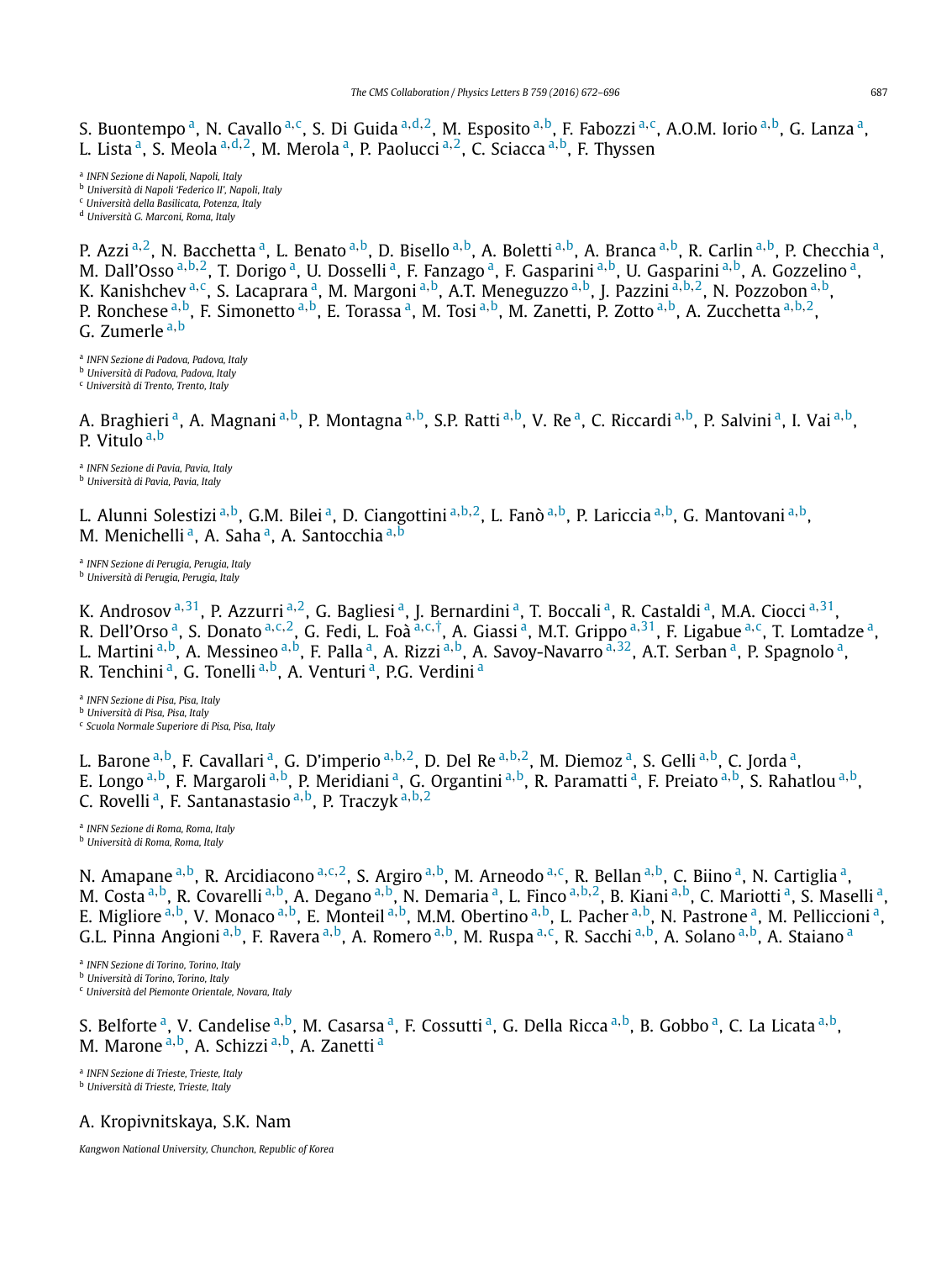S. Buontempo a, N. Cavallo <sup>a</sup>*,*c, S. Di Guida <sup>a</sup>*,*d*,*[2,](#page-23-0) M. Esposito <sup>a</sup>*,*b, F. Fabozzi <sup>a</sup>*,*c, A.O.M. Iorio <sup>a</sup>*,*b, G. Lanza a, L. Lista<sup>a</sup>, S. Meola<sup>a,d,2</sup>, M. Merola<sup>a</sup>, P. Paolucci<sup>a,2</sup>, C. Sciacca<sup>a,b</sup>, F. Thyssen

<sup>a</sup> *INFN Sezione di Napoli, Napoli, Italy*

<sup>b</sup> *Università di Napoli 'Federico II', Napoli, Italy*

<sup>c</sup> *Università della Basilicata, Potenza, Italy* <sup>d</sup> *Università G. Marconi, Roma, Italy*

P. Azzi <sup>a</sup>*,*[2,](#page-23-0) N. Bacchetta a, L. Benato <sup>a</sup>*,*b, D. Bisello <sup>a</sup>*,*b, A. Boletti <sup>a</sup>*,*b, A. Branca <sup>a</sup>*,*b, R. Carlin <sup>a</sup>*,*b, P. Checchia a, M. Dall'Osso <sup>a</sup>*,*b*,*[2,](#page-23-0) T. Dorigo a, U. Dosselli a, F. Fanzago a, F. Gasparini <sup>a</sup>*,*b, U. Gasparini <sup>a</sup>*,*b, A. Gozzelino a, K. Kanishchev <sup>a</sup>*,*c, S. Lacaprara a, M. Margoni <sup>a</sup>*,*b, A.T. Meneguzzo <sup>a</sup>*,*b, J. Pazzini <sup>a</sup>*,*b*,*[2,](#page-23-0) N. Pozzobon <sup>a</sup>*,*b, P. Ronchese <sup>a</sup>*,*b, F. Simonetto <sup>a</sup>*,*b, E. Torassa a, M. Tosi <sup>a</sup>*,*b, M. Zanetti, P. Zotto <sup>a</sup>*,*b, A. Zucchetta <sup>a</sup>*,*b*,*[2,](#page-23-0) G. Zumerle <sup>a</sup>*,*<sup>b</sup>

<sup>a</sup> *INFN Sezione di Padova, Padova, Italy*

<sup>b</sup> *Università di Padova, Padova, Italy*

<sup>c</sup> *Università di Trento, Trento, Italy*

A. Braghieri a, A. Magnani <sup>a</sup>*,*b, P. Montagna <sup>a</sup>*,*b, S.P. Ratti <sup>a</sup>*,*b, V. Re a, C. Riccardi <sup>a</sup>*,*b, P. Salvini a, I. Vai <sup>a</sup>*,*b, P. Vitulo <sup>a</sup>*,*<sup>b</sup>

<sup>a</sup> *INFN Sezione di Pavia, Pavia, Italy* <sup>b</sup> *Università di Pavia, Pavia, Italy*

L. Alunni Solestizi <sup>a</sup>*,*b, G.M. Bilei a, D. Ciangottini <sup>a</sup>*,*b*,*[2,](#page-23-0) L. Fanò <sup>a</sup>*,*b, P. Lariccia <sup>a</sup>*,*b, G. Mantovani <sup>a</sup>*,*b, M. Menichelli<sup>a</sup>, A. Saha<sup>a</sup>, A. Santocchia<sup>a, b</sup>

<sup>a</sup> *INFN Sezione di Perugia, Perugia, Italy*

<sup>b</sup> *Università di Perugia, Perugia, Italy*

K. Androsov a, <sup>31</sup>, P. Azzurri a, <sup>2</sup>, G. Bagliesi <sup>a</sup>, J. Bernardini <sup>a</sup>, T. Boccali <sup>a</sup>, R. Castaldi <sup>a</sup>, M.A. Ciocci a, <sup>31</sup>, R. Dell'Orso a, S. Donato <sup>a</sup>*,*c*,*[2,](#page-23-0) G. Fedi, L. Foà <sup>a</sup>*,*c*,*[†](#page-23-0), A. Giassi a, M.T. Grippo <sup>a</sup>*,*[31,](#page-24-0) F. Ligabue <sup>a</sup>*,*c, T. Lomtadze a, L. Martini <sup>a</sup>*,*b, A. Messineo <sup>a</sup>*,*b, F. Palla a, A. Rizzi <sup>a</sup>*,*b, A. Savoy-Navarro <sup>a</sup>*,*[32,](#page-24-0) A.T. Serban a, P. Spagnolo a, R. Tenchini<sup>a</sup>, G. Tonelli<sup>a, b</sup>, A. Venturi<sup>a</sup>, P.G. Verdini<sup>a</sup>

<sup>a</sup> *INFN Sezione di Pisa, Pisa, Italy*

<sup>b</sup> *Università di Pisa, Pisa, Italy*

<sup>c</sup> *Scuola Normale Superiore di Pisa, Pisa, Italy*

L. Barone a,b, F. Cavallari <sup>a</sup>, G. D'imperio a,b,[2,](#page-23-0) D. Del Re a,b,2, M. Diemoz <sup>a</sup>, S. Gelli a,b, C. Jorda <sup>a</sup>, E. Longo <sup>a</sup>*,*b, F. Margaroli <sup>a</sup>*,*b, P. Meridiani a, G. Organtini <sup>a</sup>*,*b, R. Paramatti a, F. Preiato <sup>a</sup>*,*b, S. Rahatlou <sup>a</sup>*,*b, C. Rovelli a, F. Santanastasio <sup>a</sup>*,*b, P. Traczyk <sup>a</sup>*,*b*,*[2](#page-23-0)

<sup>a</sup> *INFN Sezione di Roma, Roma, Italy* <sup>b</sup> *Università di Roma, Roma, Italy*

N. Amapane <sup>a</sup>*,*b, R. Arcidiacono <sup>a</sup>*,*c*,*[2,](#page-23-0) S. Argiro <sup>a</sup>*,*b, M. Arneodo <sup>a</sup>*,*c, R. Bellan <sup>a</sup>*,*b, C. Biino a, N. Cartiglia a, M. Costa <sup>a</sup>*,*b, R. Covarelli <sup>a</sup>*,*b, A. Degano <sup>a</sup>*,*b, N. Demaria a, L. Finco <sup>a</sup>*,*b*,*[2,](#page-23-0) B. Kiani <sup>a</sup>*,*b, C. Mariotti a, S. Maselli a, E. Migliore <sup>a</sup>*,*b, V. Monaco <sup>a</sup>*,*b, E. Monteil <sup>a</sup>*,*b, M.M. Obertino <sup>a</sup>*,*b, L. Pacher <sup>a</sup>*,*b, N. Pastrone a, M. Pelliccioni a, G.L. Pinna Angioni <sup>a</sup>*,*b, F. Ravera <sup>a</sup>*,*b, A. Romero <sup>a</sup>*,*b, M. Ruspa <sup>a</sup>*,*c, R. Sacchi <sup>a</sup>*,*b, A. Solano <sup>a</sup>*,*b, A. Staiano <sup>a</sup>

<sup>a</sup> *INFN Sezione di Torino, Torino, Italy*

<sup>b</sup> *Università di Torino, Torino, Italy*

<sup>c</sup> *Università del Piemonte Orientale, Novara, Italy*

S. Belforte<sup>a</sup>, V. Candelise<sup>a,b</sup>, M. Casarsa<sup>a</sup>, F. Cossutti<sup>a</sup>, G. Della Ricca<sup>a,b</sup>, B. Gobbo<sup>a</sup>, C. La Licata<sup>a,b</sup>, M. Marone <sup>a</sup>*,*b, A. Schizzi <sup>a</sup>*,*b, A. Zanetti <sup>a</sup>

<sup>a</sup> *INFN Sezione di Trieste, Trieste, Italy*

<sup>b</sup> *Università di Trieste, Trieste, Italy*

### A. Kropivnitskaya, S.K. Nam

*Kangwon National University, Chunchon, Republic of Korea*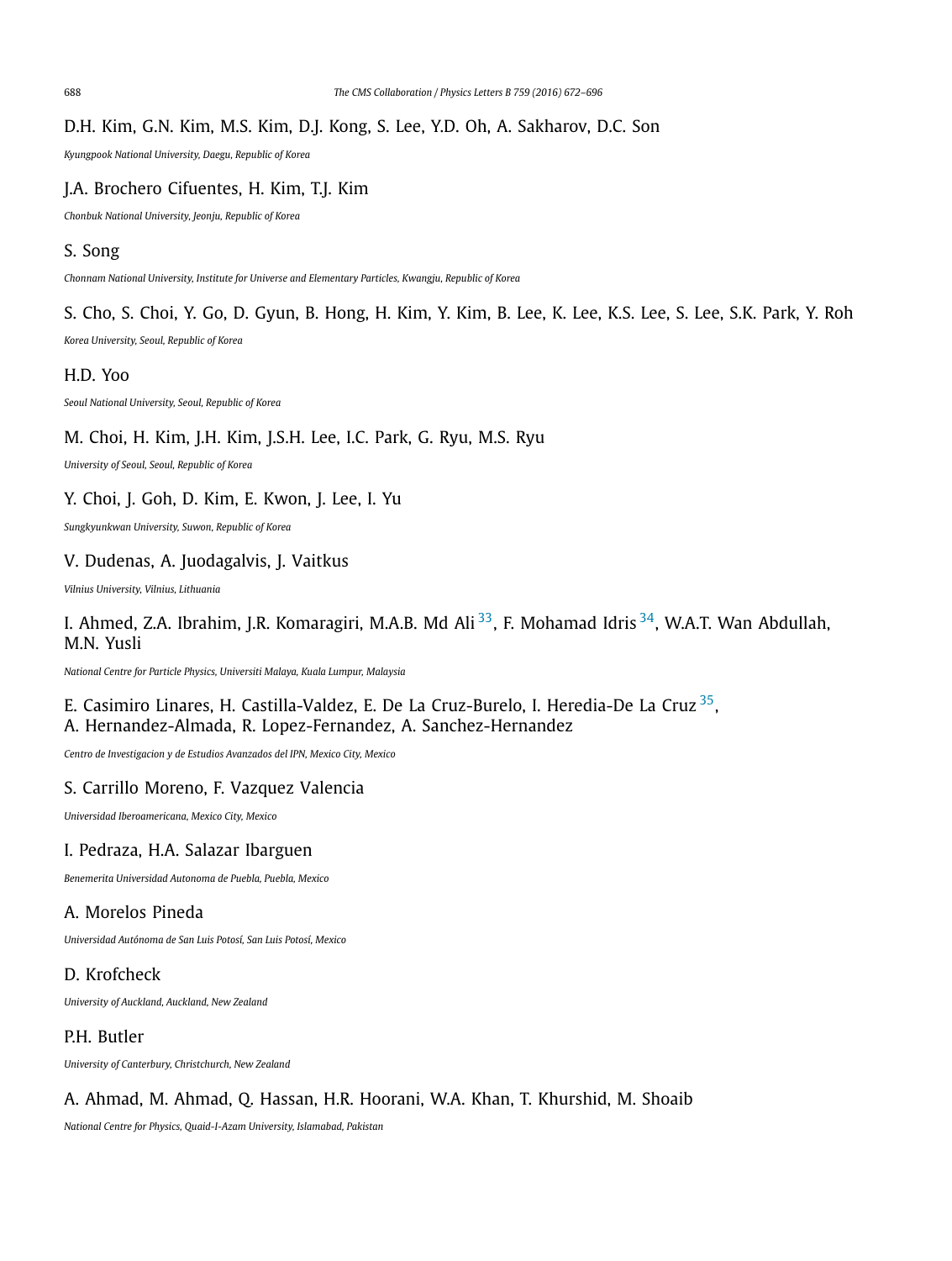# D.H. Kim, G.N. Kim, M.S. Kim, D.J. Kong, S. Lee, Y.D. Oh, A. Sakharov, D.C. Son

*Kyungpook National University, Daegu, Republic of Korea*

### J.A. Brochero Cifuentes, H. Kim, T.J. Kim

*Chonbuk National University, Jeonju, Republic of Korea*

#### S. Song

*Chonnam National University, Institute for Universe and Elementary Particles, Kwangju, Republic of Korea*

S. Cho, S. Choi, Y. Go, D. Gyun, B. Hong, H. Kim, Y. Kim, B. Lee, K. Lee, K.S. Lee, S. Lee, S.K. Park, Y. Roh

*Korea University, Seoul, Republic of Korea*

#### H.D. Yoo

*Seoul National University, Seoul, Republic of Korea*

#### M. Choi, H. Kim, J.H. Kim, J.S.H. Lee, I.C. Park, G. Ryu, M.S. Ryu

*University of Seoul, Seoul, Republic of Korea*

### Y. Choi, J. Goh, D. Kim, E. Kwon, J. Lee, I. Yu

*Sungkyunkwan University, Suwon, Republic of Korea*

#### V. Dudenas, A. Juodagalvis, J. Vaitkus

*Vilnius University, Vilnius, Lithuania*

# I. Ahmed, Z.A. Ibrahim, J.R. Komaragiri, M.A.B. Md Ali<sup>33</sup>, F. Mohamad Idris<sup>34</sup>, W.A.T. Wan Abdullah, M.N. Yusli

*National Centre for Particle Physics, Universiti Malaya, Kuala Lumpur, Malaysia*

## E. Casimiro Linares, H. Castilla-Valdez, E. De La Cruz-Burelo, I. Heredia-De La Cruz [35,](#page-24-0) A. Hernandez-Almada, R. Lopez-Fernandez, A. Sanchez-Hernandez

*Centro de Investigacion y de Estudios Avanzados del IPN, Mexico City, Mexico*

#### S. Carrillo Moreno, F. Vazquez Valencia

*Universidad Iberoamericana, Mexico City, Mexico*

#### I. Pedraza, H.A. Salazar Ibarguen

*Benemerita Universidad Autonoma de Puebla, Puebla, Mexico*

### A. Morelos Pineda

*Universidad Autónoma de San Luis Potosí, San Luis Potosí, Mexico*

### D. Krofcheck

*University of Auckland, Auckland, New Zealand*

#### P.H. Butler

*University of Canterbury, Christchurch, New Zealand*

### A. Ahmad, M. Ahmad, Q. Hassan, H.R. Hoorani, W.A. Khan, T. Khurshid, M. Shoaib

*National Centre for Physics, Quaid-I-Azam University, Islamabad, Pakistan*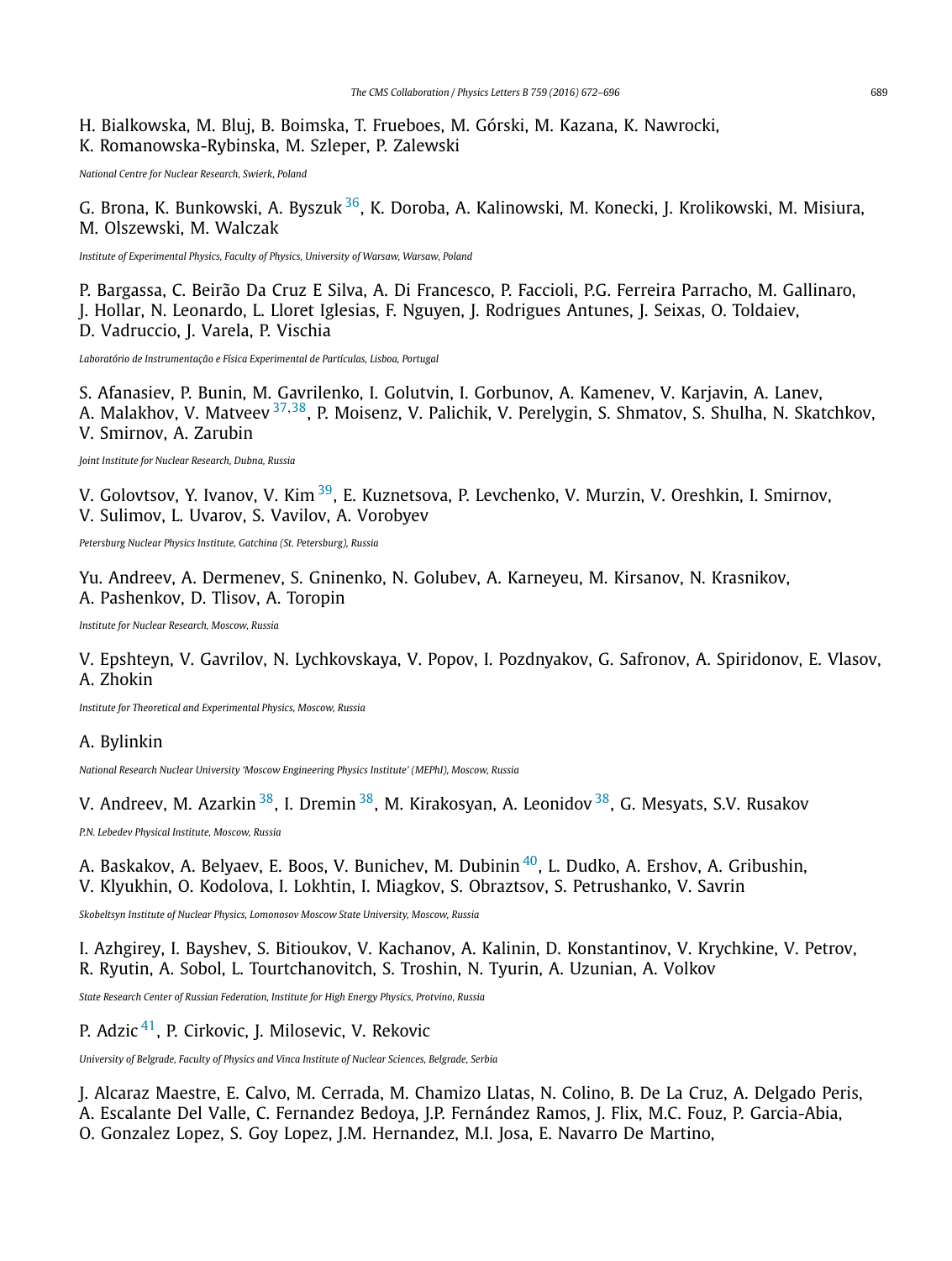H. Bialkowska, M. Bluj, B. Boimska, T. Frueboes, M. Górski, M. Kazana, K. Nawrocki, K. Romanowska-Rybinska, M. Szleper, P. Zalewski

*National Centre for Nuclear Research, Swierk, Poland*

G. Brona, K. Bunkowski, A. Byszuk<sup>36</sup>, K. Doroba, A. Kalinowski, M. Konecki, J. Krolikowski, M. Misiura, M. Olszewski, M. Walczak

*Institute of Experimental Physics, Faculty of Physics, University of Warsaw, Warsaw, Poland*

P. Bargassa, C. Beirão Da Cruz E Silva, A. Di Francesco, P. Faccioli, P.G. Ferreira Parracho, M. Gallinaro, J. Hollar, N. Leonardo, L. Lloret Iglesias, F. Nguyen, J. Rodrigues Antunes, J. Seixas, O. Toldaiev, D. Vadruccio, J. Varela, P. Vischia

*Laboratório de Instrumentação e Física Experimental de Partículas, Lisboa, Portugal*

S. Afanasiev, P. Bunin, M. Gavrilenko, I. Golutvin, I. Gorbunov, A. Kamenev, V. Karjavin, A. Lanev, A. Malakhov, V. Matveev [37](#page-24-0)*,*[38](#page-24-0), P. Moisenz, V. Palichik, V. Perelygin, S. Shmatov, S. Shulha, N. Skatchkov, V. Smirnov, A. Zarubin

*Joint Institute for Nuclear Research, Dubna, Russia*

V. Golovtsov, Y. Ivanov, V. Kim<sup>39</sup>, E. Kuznetsova, P. Levchenko, V. Murzin, V. Oreshkin, I. Smirnov, V. Sulimov, L. Uvarov, S. Vavilov, A. Vorobyev

*Petersburg Nuclear Physics Institute, Gatchina (St. Petersburg), Russia*

Yu. Andreev, A. Dermenev, S. Gninenko, N. Golubev, A. Karneyeu, M. Kirsanov, N. Krasnikov, A. Pashenkov, D. Tlisov, A. Toropin

*Institute for Nuclear Research, Moscow, Russia*

V. Epshteyn, V. Gavrilov, N. Lychkovskaya, V. Popov, I. Pozdnyakov, G. Safronov, A. Spiridonov, E. Vlasov, A. Zhokin

*Institute for Theoretical and Experimental Physics, Moscow, Russia*

### A. Bylinkin

*National Research Nuclear University 'Moscow Engineering Physics Institute' (MEPhI), Moscow, Russia*

V. Andreev, M. Azarkin <sup>[38](#page-24-0)</sup>, I. Dremin <sup>38</sup>, M. Kirakosyan, A. Leonidov <sup>38</sup>, G. Mesyats, S.V. Rusakov

*P.N. Lebedev Physical Institute, Moscow, Russia*

A. Baskakov, A. Belyaev, E. Boos, V. Bunichev, M. Dubinin [40,](#page-24-0) L. Dudko, A. Ershov, A. Gribushin, V. Klyukhin, O. Kodolova, I. Lokhtin, I. Miagkov, S. Obraztsov, S. Petrushanko, V. Savrin

*Skobeltsyn Institute of Nuclear Physics, Lomonosov Moscow State University, Moscow, Russia*

I. Azhgirey, I. Bayshev, S. Bitioukov, V. Kachanov, A. Kalinin, D. Konstantinov, V. Krychkine, V. Petrov, R. Ryutin, A. Sobol, L. Tourtchanovitch, S. Troshin, N. Tyurin, A. Uzunian, A. Volkov

*State Research Center of Russian Federation, Institute for High Energy Physics, Protvino, Russia*

P. Adzic [41,](#page-24-0) P. Cirkovic, J. Milosevic, V. Rekovic

*University of Belgrade, Faculty of Physics and Vinca Institute of Nuclear Sciences, Belgrade, Serbia*

J. Alcaraz Maestre, E. Calvo, M. Cerrada, M. Chamizo Llatas, N. Colino, B. De La Cruz, A. Delgado Peris, A. Escalante Del Valle, C. Fernandez Bedoya, J.P. Fernández Ramos, J. Flix, M.C. Fouz, P. Garcia-Abia, O. Gonzalez Lopez, S. Goy Lopez, J.M. Hernandez, M.I. Josa, E. Navarro De Martino,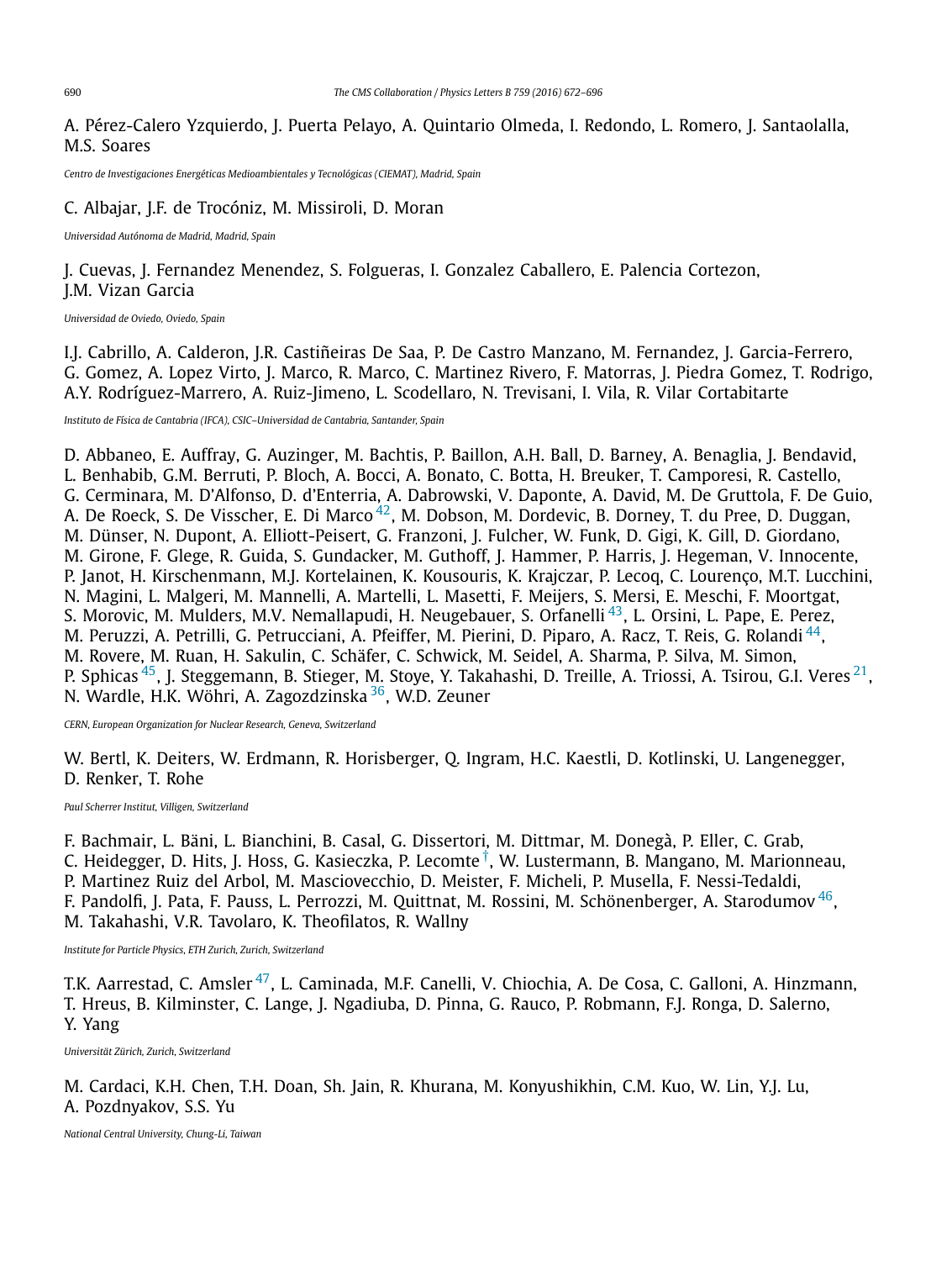# A. Pérez-Calero Yzquierdo, J. Puerta Pelayo, A. Quintario Olmeda, I. Redondo, L. Romero, J. Santaolalla, M.S. Soares

*Centro de Investigaciones Energéticas Medioambientales y Tecnológicas (CIEMAT), Madrid, Spain*

### C. Albajar, J.F. de Trocóniz, M. Missiroli, D. Moran

*Universidad Autónoma de Madrid, Madrid, Spain*

### J. Cuevas, J. Fernandez Menendez, S. Folgueras, I. Gonzalez Caballero, E. Palencia Cortezon, J.M. Vizan Garcia

*Universidad de Oviedo, Oviedo, Spain*

I.J. Cabrillo, A. Calderon, J.R. Castiñeiras De Saa, P. De Castro Manzano, M. Fernandez, J. Garcia-Ferrero, G. Gomez, A. Lopez Virto, J. Marco, R. Marco, C. Martinez Rivero, F. Matorras, J. Piedra Gomez, T. Rodrigo, A.Y. Rodríguez-Marrero, A. Ruiz-Jimeno, L. Scodellaro, N. Trevisani, I. Vila, R. Vilar Cortabitarte

*Instituto de Física de Cantabria (IFCA), CSIC–Universidad de Cantabria, Santander, Spain*

D. Abbaneo, E. Auffray, G. Auzinger, M. Bachtis, P. Baillon, A.H. Ball, D. Barney, A. Benaglia, J. Bendavid, L. Benhabib, G.M. Berruti, P. Bloch, A. Bocci, A. Bonato, C. Botta, H. Breuker, T. Camporesi, R. Castello, G. Cerminara, M. D'Alfonso, D. d'Enterria, A. Dabrowski, V. Daponte, A. David, M. De Gruttola, F. De Guio, A. De Roeck, S. De Visscher, E. Di Marco [42,](#page-24-0) M. Dobson, M. Dordevic, B. Dorney, T. du Pree, D. Duggan, M. Dünser, N. Dupont, A. Elliott-Peisert, G. Franzoni, J. Fulcher, W. Funk, D. Gigi, K. Gill, D. Giordano, M. Girone, F. Glege, R. Guida, S. Gundacker, M. Guthoff, J. Hammer, P. Harris, J. Hegeman, V. Innocente, P. Janot, H. Kirschenmann, M.J. Kortelainen, K. Kousouris, K. Krajczar, P. Lecoq, C. Lourenço, M.T. Lucchini, N. Magini, L. Malgeri, M. Mannelli, A. Martelli, L. Masetti, F. Meijers, S. Mersi, E. Meschi, F. Moortgat, S. Morovic, M. Mulders, M.V. Nemallapudi, H. Neugebauer, S. Orfanelli<sup>43</sup>, L. Orsini, L. Pape, E. Perez, M. Peruzzi, A. Petrilli, G. Petrucciani, A. Pfeiffer, M. Pierini, D. Piparo, A. Racz, T. Reis, G. Rolandi [44,](#page-24-0) M. Rovere, M. Ruan, H. Sakulin, C. Schäfer, C. Schwick, M. Seidel, A. Sharma, P. Silva, M. Simon, P. Sphicas<sup>45</sup>, J. Steggemann, B. Stieger, M. Stoye, Y. Takahashi, D. Treille, A. Triossi, A. Tsirou, G.I. Veres<sup>21</sup>, N. Wardle, H.K. Wöhri, A. Zagozdzinska [36,](#page-24-0) W.D. Zeuner

*CERN, European Organization for Nuclear Research, Geneva, Switzerland*

W. Bertl, K. Deiters, W. Erdmann, R. Horisberger, Q. Ingram, H.C. Kaestli, D. Kotlinski, U. Langenegger, D. Renker, T. Rohe

*Paul Scherrer Institut, Villigen, Switzerland*

F. Bachmair, L. Bäni, L. Bianchini, B. Casal, G. Dissertori, M. Dittmar, M. Donegà, P. Eller, C. Grab, C. Heidegger, D. Hits, J. Hoss, G. Kasieczka, P. Lecomte [†,](#page-23-0) W. Lustermann, B. Mangano, M. Marionneau, P. Martinez Ruiz del Arbol, M. Masciovecchio, D. Meister, F. Micheli, P. Musella, F. Nessi-Tedaldi, F. Pandolfi, J. Pata, F. Pauss, L. Perrozzi, M. Quittnat, M. Rossini, M. Schönenberger, A. Starodumov<sup>46</sup>, M. Takahashi, V.R. Tavolaro, K. Theofilatos, R. Wallny

*Institute for Particle Physics, ETH Zurich, Zurich, Switzerland*

T.K. Aarrestad, C. Amsler<sup>47</sup>, L. Caminada, M.F. Canelli, V. Chiochia, A. De Cosa, C. Galloni, A. Hinzmann, T. Hreus, B. Kilminster, C. Lange, J. Ngadiuba, D. Pinna, G. Rauco, P. Robmann, F.J. Ronga, D. Salerno, Y. Yang

*Universität Zürich, Zurich, Switzerland*

M. Cardaci, K.H. Chen, T.H. Doan, Sh. Jain, R. Khurana, M. Konyushikhin, C.M. Kuo, W. Lin, Y.J. Lu, A. Pozdnyakov, S.S. Yu

*National Central University, Chung-Li, Taiwan*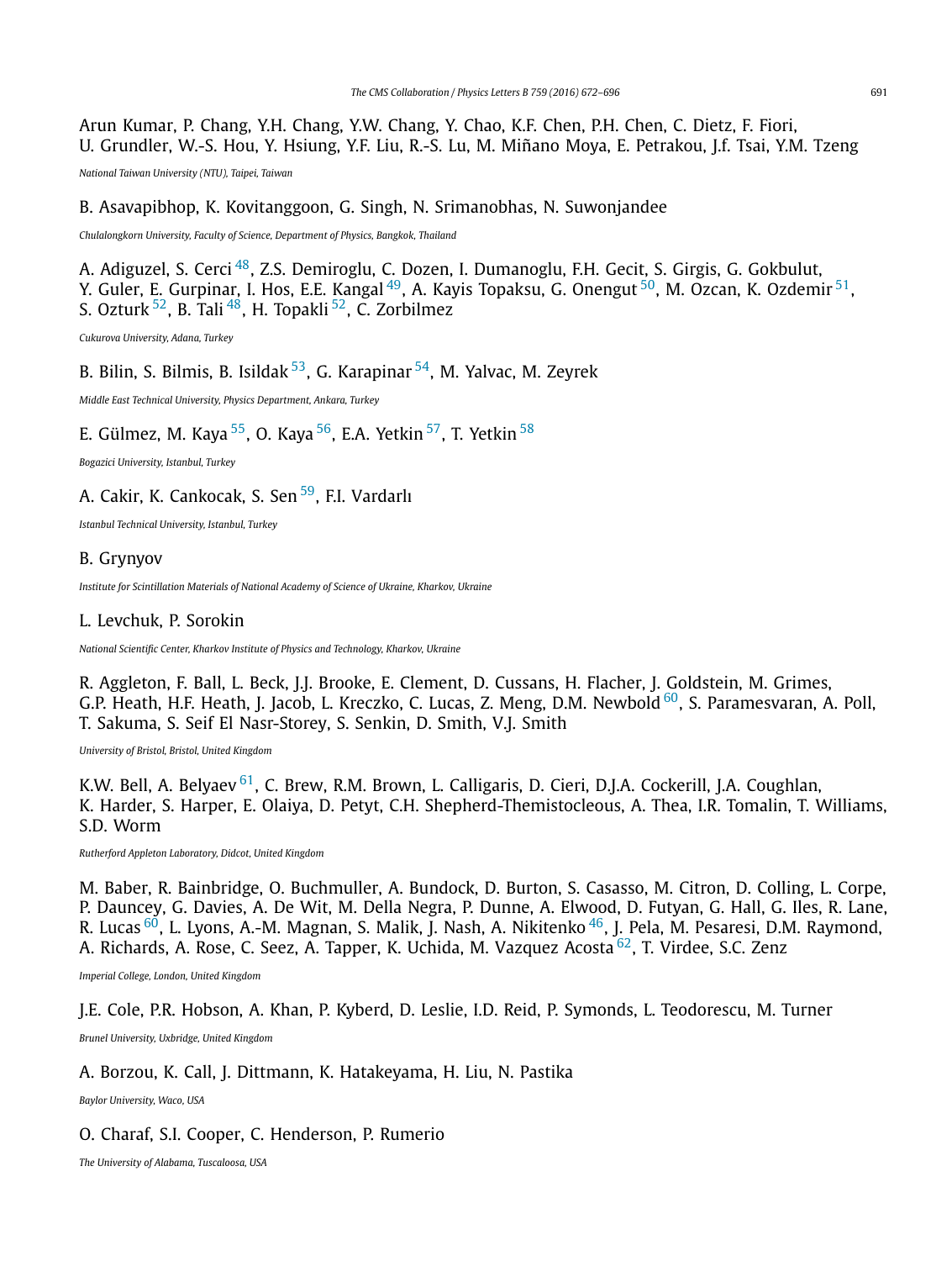Arun Kumar, P. Chang, Y.H. Chang, Y.W. Chang, Y. Chao, K.F. Chen, P.H. Chen, C. Dietz, F. Fiori, U. Grundler, W.-S. Hou, Y. Hsiung, Y.F. Liu, R.-S. Lu, M. Miñano Moya, E. Petrakou, J.f. Tsai, Y.M. Tzeng

*National Taiwan University (NTU), Taipei, Taiwan*

B. Asavapibhop, K. Kovitanggoon, G. Singh, N. Srimanobhas, N. Suwonjandee

*Chulalongkorn University, Faculty of Science, Department of Physics, Bangkok, Thailand*

A. Adiguzel, S. Cerci [48,](#page-24-0) Z.S. Demiroglu, C. Dozen, I. Dumanoglu, F.H. Gecit, S. Girgis, G. Gokbulut, Y. Guler, E. Gurpinar, I. Hos, E.E. Kangal <sup>[49](#page-24-0)</sup>, A. Kayis Topaksu, G. Onengut <sup>50</sup>, M. Ozcan, K. Ozdemir <sup>51</sup>, S. Ozturk  $52$ , B. Tali  $48$ , H. Topakli  $52$ , C. Zorbilmez

*Cukurova University, Adana, Turkey*

# B. Bilin, S. Bilmis, B. Isildak  $53$ , G. Karapinar  $54$ , M. Yalvac, M. Zeyrek

*Middle East Technical University, Physics Department, Ankara, Turkey*

E. Gülmez, M. Kaya <sup>55</sup>, O. Kaya <sup>56</sup>, E.A. Yetkin <sup>57</sup>. T. Yetkin <sup>[58](#page-24-0)</sup>

*Bogazici University, Istanbul, Turkey*

# A. Cakir, K. Cankocak, S. Sen [59,](#page-24-0) F.I. Vardarlı

*Istanbul Technical University, Istanbul, Turkey*

### B. Grynyov

*Institute for Scintillation Materials of National Academy of Science of Ukraine, Kharkov, Ukraine*

### L. Levchuk, P. Sorokin

*National Scientific Center, Kharkov Institute of Physics and Technology, Kharkov, Ukraine*

R. Aggleton, F. Ball, L. Beck, J.J. Brooke, E. Clement, D. Cussans, H. Flacher, J. Goldstein, M. Grimes, G.P. Heath, H.F. Heath, J. Jacob, L. Kreczko, C. Lucas, Z. Meng, D.M. Newbold  $60$ , S. Paramesvaran, A. Poll, T. Sakuma, S. Seif El Nasr-Storey, S. Senkin, D. Smith, V.J. Smith

*University of Bristol, Bristol, United Kingdom*

K.W. Bell, A. Belyaev <sup>61</sup>, C. Brew, R.M. Brown, L. Calligaris, D. Cieri, D.J.A. Cockerill, J.A. Coughlan, K. Harder, S. Harper, E. Olaiya, D. Petyt, C.H. Shepherd-Themistocleous, A. Thea, I.R. Tomalin, T. Williams, S.D. Worm

*Rutherford Appleton Laboratory, Didcot, United Kingdom*

M. Baber, R. Bainbridge, O. Buchmuller, A. Bundock, D. Burton, S. Casasso, M. Citron, D. Colling, L. Corpe, P. Dauncey, G. Davies, A. De Wit, M. Della Negra, P. Dunne, A. Elwood, D. Futyan, G. Hall, G. Iles, R. Lane, R. Lucas <sup>60</sup>, L. Lyons, A.-M. Magnan, S. Malik, J. Nash, A. Nikitenko <sup>46</sup>, J. Pela, M. Pesaresi, D.M. Raymond, A. Richards, A. Rose, C. Seez, A. Tapper, K. Uchida, M. Vazquez Acosta [62,](#page-24-0) T. Virdee, S.C. Zenz

*Imperial College, London, United Kingdom*

J.E. Cole, P.R. Hobson, A. Khan, P. Kyberd, D. Leslie, I.D. Reid, P. Symonds, L. Teodorescu, M. Turner

*Brunel University, Uxbridge, United Kingdom*

A. Borzou, K. Call, J. Dittmann, K. Hatakeyama, H. Liu, N. Pastika

*Baylor University, Waco, USA*

O. Charaf, S.I. Cooper, C. Henderson, P. Rumerio

*The University of Alabama, Tuscaloosa, USA*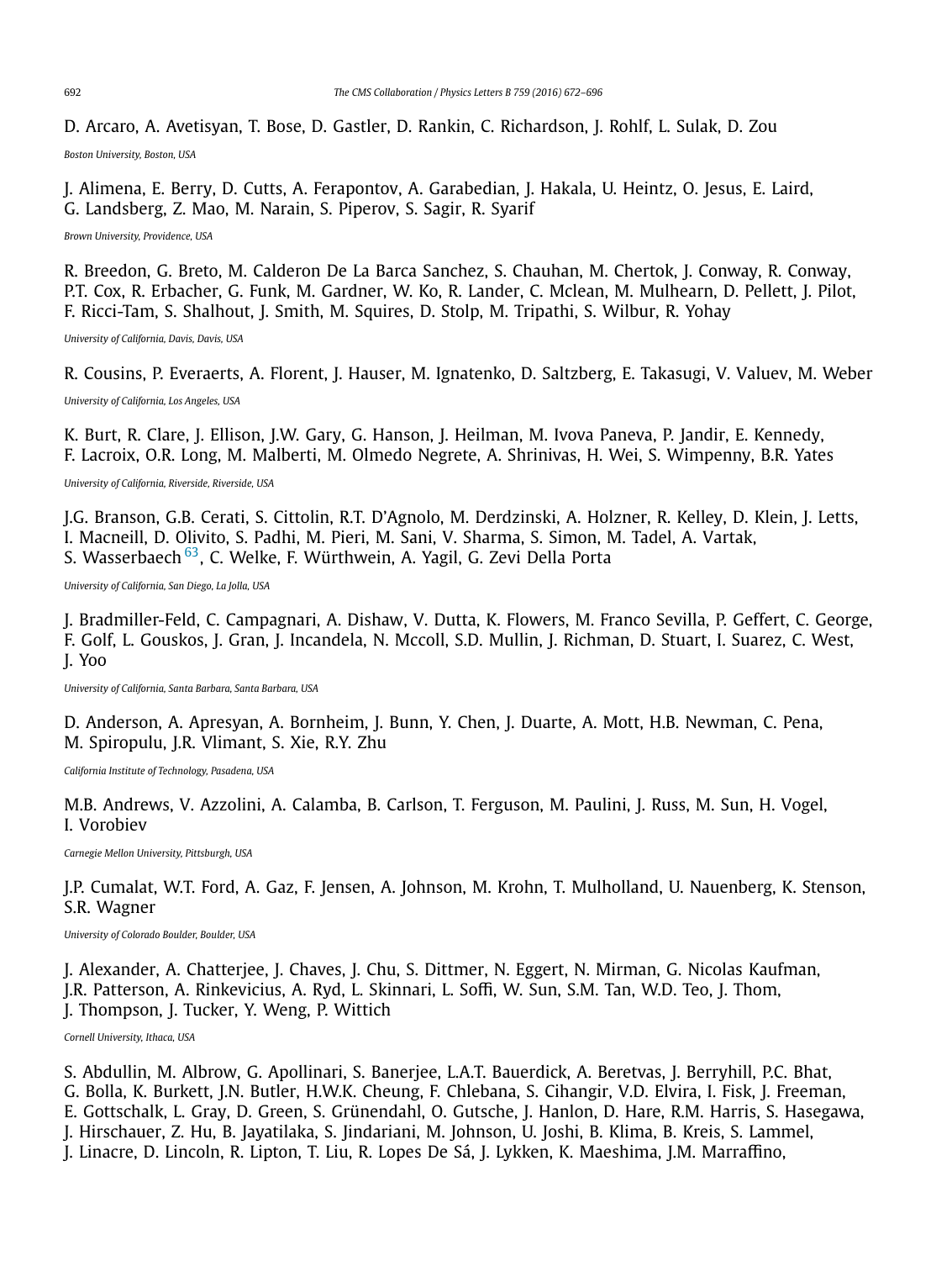# D. Arcaro, A. Avetisyan, T. Bose, D. Gastler, D. Rankin, C. Richardson, J. Rohlf, L. Sulak, D. Zou

*Boston University, Boston, USA*

J. Alimena, E. Berry, D. Cutts, A. Ferapontov, A. Garabedian, J. Hakala, U. Heintz, O. Jesus, E. Laird, G. Landsberg, Z. Mao, M. Narain, S. Piperov, S. Sagir, R. Syarif

*Brown University, Providence, USA*

R. Breedon, G. Breto, M. Calderon De La Barca Sanchez, S. Chauhan, M. Chertok, J. Conway, R. Conway, P.T. Cox, R. Erbacher, G. Funk, M. Gardner, W. Ko, R. Lander, C. Mclean, M. Mulhearn, D. Pellett, J. Pilot, F. Ricci-Tam, S. Shalhout, J. Smith, M. Squires, D. Stolp, M. Tripathi, S. Wilbur, R. Yohay

*University of California, Davis, Davis, USA*

R. Cousins, P. Everaerts, A. Florent, J. Hauser, M. Ignatenko, D. Saltzberg, E. Takasugi, V. Valuev, M. Weber

*University of California, Los Angeles, USA*

K. Burt, R. Clare, J. Ellison, J.W. Gary, G. Hanson, J. Heilman, M. Ivova Paneva, P. Jandir, E. Kennedy, F. Lacroix, O.R. Long, M. Malberti, M. Olmedo Negrete, A. Shrinivas, H. Wei, S. Wimpenny, B.R. Yates

*University of California, Riverside, Riverside, USA*

J.G. Branson, G.B. Cerati, S. Cittolin, R.T. D'Agnolo, M. Derdzinski, A. Holzner, R. Kelley, D. Klein, J. Letts, I. Macneill, D. Olivito, S. Padhi, M. Pieri, M. Sani, V. Sharma, S. Simon, M. Tadel, A. Vartak, S. Wasserbaech [63](#page-24-0), C. Welke, F. Würthwein, A. Yagil, G. Zevi Della Porta

*University of California, San Diego, La Jolla, USA*

J. Bradmiller-Feld, C. Campagnari, A. Dishaw, V. Dutta, K. Flowers, M. Franco Sevilla, P. Geffert, C. George, F. Golf, L. Gouskos, J. Gran, J. Incandela, N. Mccoll, S.D. Mullin, J. Richman, D. Stuart, I. Suarez, C. West, J. Yoo

*University of California, Santa Barbara, Santa Barbara, USA*

D. Anderson, A. Apresyan, A. Bornheim, J. Bunn, Y. Chen, J. Duarte, A. Mott, H.B. Newman, C. Pena, M. Spiropulu, J.R. Vlimant, S. Xie, R.Y. Zhu

*California Institute of Technology, Pasadena, USA*

M.B. Andrews, V. Azzolini, A. Calamba, B. Carlson, T. Ferguson, M. Paulini, J. Russ, M. Sun, H. Vogel, I. Vorobiev

*Carnegie Mellon University, Pittsburgh, USA*

J.P. Cumalat, W.T. Ford, A. Gaz, F. Jensen, A. Johnson, M. Krohn, T. Mulholland, U. Nauenberg, K. Stenson, S.R. Wagner

*University of Colorado Boulder, Boulder, USA*

J. Alexander, A. Chatterjee, J. Chaves, J. Chu, S. Dittmer, N. Eggert, N. Mirman, G. Nicolas Kaufman, J.R. Patterson, A. Rinkevicius, A. Ryd, L. Skinnari, L. Soffi, W. Sun, S.M. Tan, W.D. Teo, J. Thom, J. Thompson, J. Tucker, Y. Weng, P. Wittich

*Cornell University, Ithaca, USA*

S. Abdullin, M. Albrow, G. Apollinari, S. Banerjee, L.A.T. Bauerdick, A. Beretvas, J. Berryhill, P.C. Bhat, G. Bolla, K. Burkett, J.N. Butler, H.W.K. Cheung, F. Chlebana, S. Cihangir, V.D. Elvira, I. Fisk, J. Freeman, E. Gottschalk, L. Gray, D. Green, S. Grünendahl, O. Gutsche, J. Hanlon, D. Hare, R.M. Harris, S. Hasegawa, J. Hirschauer, Z. Hu, B. Jayatilaka, S. Jindariani, M. Johnson, U. Joshi, B. Klima, B. Kreis, S. Lammel, J. Linacre, D. Lincoln, R. Lipton, T. Liu, R. Lopes De Sá, J. Lykken, K. Maeshima, J.M. Marraffino,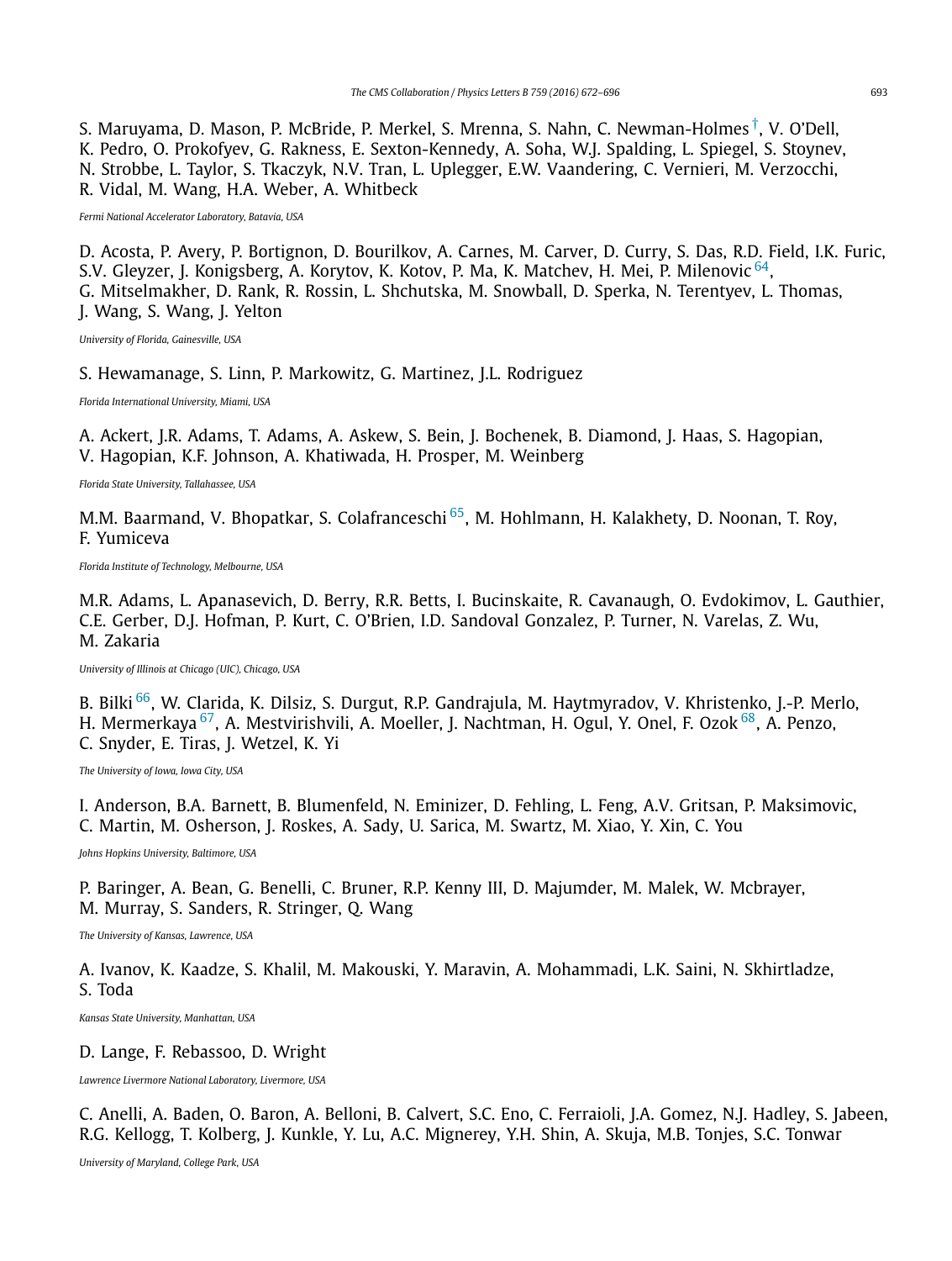S. Maruyama, D. Mason, P. McBride, P. Merkel, S. Mrenna, S. Nahn, C. Newman-Holmes [†,](#page-23-0) V. O'Dell, K. Pedro, O. Prokofyev, G. Rakness, E. Sexton-Kennedy, A. Soha, W.J. Spalding, L. Spiegel, S. Stoynev, N. Strobbe, L. Taylor, S. Tkaczyk, N.V. Tran, L. Uplegger, E.W. Vaandering, C. Vernieri, M. Verzocchi, R. Vidal, M. Wang, H.A. Weber, A. Whitbeck

*Fermi National Accelerator Laboratory, Batavia, USA*

D. Acosta, P. Avery, P. Bortignon, D. Bourilkov, A. Carnes, M. Carver, D. Curry, S. Das, R.D. Field, I.K. Furic, S.V. Gleyzer, J. Konigsberg, A. Korytov, K. Kotov, P. Ma, K. Matchev, H. Mei, P. Milenovic [64,](#page-24-0) G. Mitselmakher, D. Rank, R. Rossin, L. Shchutska, M. Snowball, D. Sperka, N. Terentyev, L. Thomas, J. Wang, S. Wang, J. Yelton

*University of Florida, Gainesville, USA*

S. Hewamanage, S. Linn, P. Markowitz, G. Martinez, J.L. Rodriguez

*Florida International University, Miami, USA*

A. Ackert, J.R. Adams, T. Adams, A. Askew, S. Bein, J. Bochenek, B. Diamond, J. Haas, S. Hagopian, V. Hagopian, K.F. Johnson, A. Khatiwada, H. Prosper, M. Weinberg

*Florida State University, Tallahassee, USA*

M.M. Baarmand, V. Bhopatkar, S. Colafranceschi <sup>65</sup>, M. Hohlmann, H. Kalakhety, D. Noonan, T. Roy, F. Yumiceva

*Florida Institute of Technology, Melbourne, USA*

M.R. Adams, L. Apanasevich, D. Berry, R.R. Betts, I. Bucinskaite, R. Cavanaugh, O. Evdokimov, L. Gauthier, C.E. Gerber, D.J. Hofman, P. Kurt, C. O'Brien, I.D. Sandoval Gonzalez, P. Turner, N. Varelas, Z. Wu, M. Zakaria

*University of Illinois at Chicago (UIC), Chicago, USA*

B. Bilki<sup>66</sup>, W. Clarida, K. Dilsiz, S. Durgut, R.P. Gandrajula, M. Haytmyradov, V. Khristenko, J.-P. Merlo, H. Mermerkaya [67,](#page-24-0) A. Mestvirishvili, A. Moeller, J. Nachtman, H. Ogul, Y. Onel, F. Ozok [68,](#page-24-0) A. Penzo, C. Snyder, E. Tiras, J. Wetzel, K. Yi

*The University of Iowa, Iowa City, USA*

I. Anderson, B.A. Barnett, B. Blumenfeld, N. Eminizer, D. Fehling, L. Feng, A.V. Gritsan, P. Maksimovic, C. Martin, M. Osherson, J. Roskes, A. Sady, U. Sarica, M. Swartz, M. Xiao, Y. Xin, C. You

*Johns Hopkins University, Baltimore, USA*

P. Baringer, A. Bean, G. Benelli, C. Bruner, R.P. Kenny III, D. Majumder, M. Malek, W. Mcbrayer, M. Murray, S. Sanders, R. Stringer, Q. Wang

*The University of Kansas, Lawrence, USA*

A. Ivanov, K. Kaadze, S. Khalil, M. Makouski, Y. Maravin, A. Mohammadi, L.K. Saini, N. Skhirtladze, S. Toda

*Kansas State University, Manhattan, USA*

### D. Lange, F. Rebassoo, D. Wright

*Lawrence Livermore National Laboratory, Livermore, USA*

C. Anelli, A. Baden, O. Baron, A. Belloni, B. Calvert, S.C. Eno, C. Ferraioli, J.A. Gomez, N.J. Hadley, S. Jabeen, R.G. Kellogg, T. Kolberg, J. Kunkle, Y. Lu, A.C. Mignerey, Y.H. Shin, A. Skuja, M.B. Tonjes, S.C. Tonwar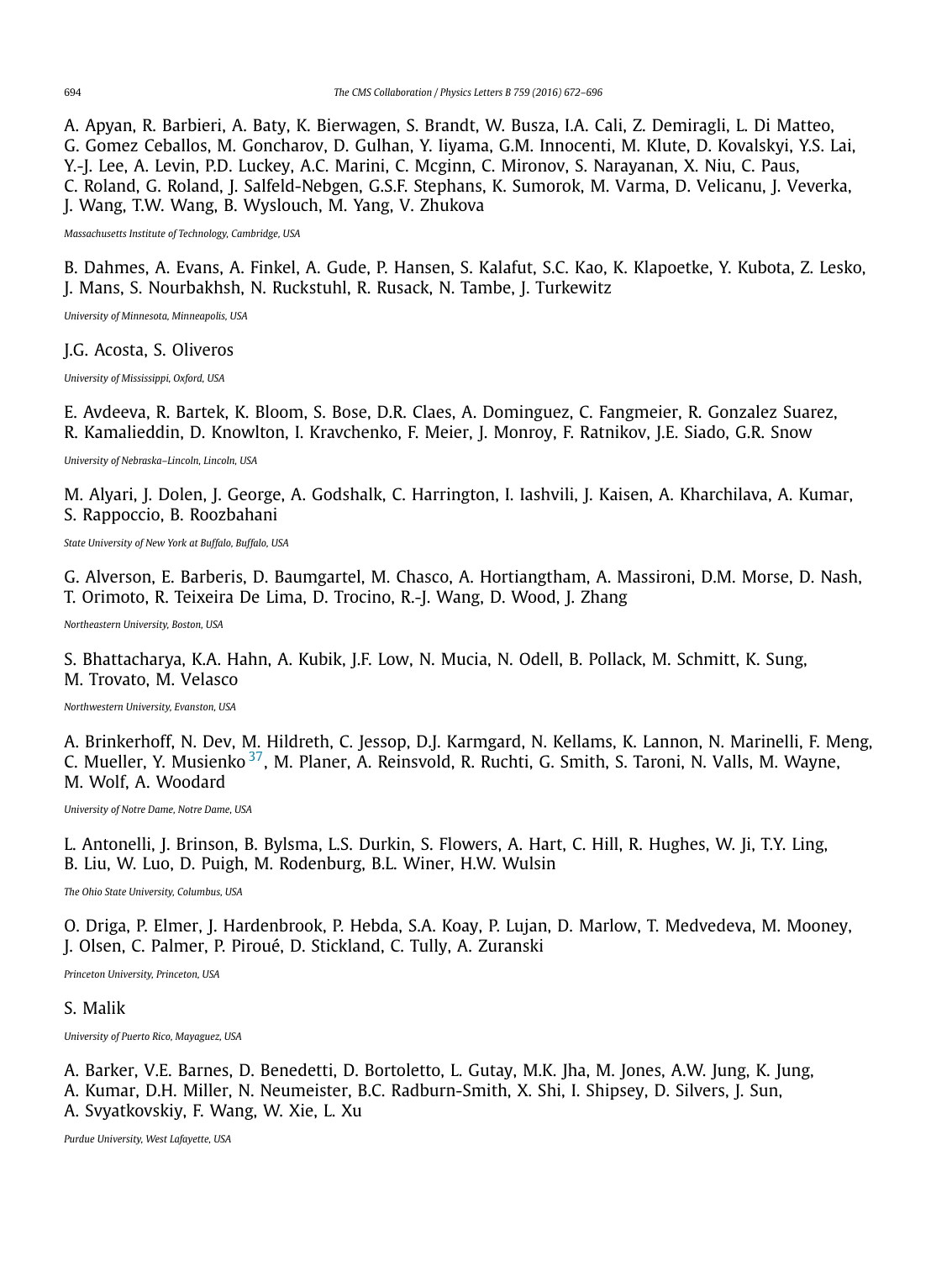A. Apyan, R. Barbieri, A. Baty, K. Bierwagen, S. Brandt, W. Busza, I.A. Cali, Z. Demiragli, L. Di Matteo, G. Gomez Ceballos, M. Goncharov, D. Gulhan, Y. Iiyama, G.M. Innocenti, M. Klute, D. Kovalskyi, Y.S. Lai, Y.-J. Lee, A. Levin, P.D. Luckey, A.C. Marini, C. Mcginn, C. Mironov, S. Narayanan, X. Niu, C. Paus, C. Roland, G. Roland, J. Salfeld-Nebgen, G.S.F. Stephans, K. Sumorok, M. Varma, D. Velicanu, J. Veverka, J. Wang, T.W. Wang, B. Wyslouch, M. Yang, V. Zhukova

*Massachusetts Institute of Technology, Cambridge, USA*

B. Dahmes, A. Evans, A. Finkel, A. Gude, P. Hansen, S. Kalafut, S.C. Kao, K. Klapoetke, Y. Kubota, Z. Lesko, J. Mans, S. Nourbakhsh, N. Ruckstuhl, R. Rusack, N. Tambe, J. Turkewitz

*University of Minnesota, Minneapolis, USA*

#### J.G. Acosta, S. Oliveros

*University of Mississippi, Oxford, USA*

E. Avdeeva, R. Bartek, K. Bloom, S. Bose, D.R. Claes, A. Dominguez, C. Fangmeier, R. Gonzalez Suarez, R. Kamalieddin, D. Knowlton, I. Kravchenko, F. Meier, J. Monroy, F. Ratnikov, J.E. Siado, G.R. Snow

*University of Nebraska–Lincoln, Lincoln, USA*

M. Alyari, J. Dolen, J. George, A. Godshalk, C. Harrington, I. Iashvili, J. Kaisen, A. Kharchilava, A. Kumar, S. Rappoccio, B. Roozbahani

*State University of New York at Buffalo, Buffalo, USA*

G. Alverson, E. Barberis, D. Baumgartel, M. Chasco, A. Hortiangtham, A. Massironi, D.M. Morse, D. Nash, T. Orimoto, R. Teixeira De Lima, D. Trocino, R.-J. Wang, D. Wood, J. Zhang

*Northeastern University, Boston, USA*

S. Bhattacharya, K.A. Hahn, A. Kubik, J.F. Low, N. Mucia, N. Odell, B. Pollack, M. Schmitt, K. Sung, M. Trovato, M. Velasco

*Northwestern University, Evanston, USA*

A. Brinkerhoff, N. Dev, M. Hildreth, C. Jessop, D.J. Karmgard, N. Kellams, K. Lannon, N. Marinelli, F. Meng, C. Mueller, Y. Musienko [37,](#page-24-0) M. Planer, A. Reinsvold, R. Ruchti, G. Smith, S. Taroni, N. Valls, M. Wayne, M. Wolf, A. Woodard

*University of Notre Dame, Notre Dame, USA*

L. Antonelli, J. Brinson, B. Bylsma, L.S. Durkin, S. Flowers, A. Hart, C. Hill, R. Hughes, W. Ji, T.Y. Ling, B. Liu, W. Luo, D. Puigh, M. Rodenburg, B.L. Winer, H.W. Wulsin

*The Ohio State University, Columbus, USA*

O. Driga, P. Elmer, J. Hardenbrook, P. Hebda, S.A. Koay, P. Lujan, D. Marlow, T. Medvedeva, M. Mooney, J. Olsen, C. Palmer, P. Piroué, D. Stickland, C. Tully, A. Zuranski

*Princeton University, Princeton, USA*

#### S. Malik

*University of Puerto Rico, Mayaguez, USA*

A. Barker, V.E. Barnes, D. Benedetti, D. Bortoletto, L. Gutay, M.K. Jha, M. Jones, A.W. Jung, K. Jung, A. Kumar, D.H. Miller, N. Neumeister, B.C. Radburn-Smith, X. Shi, I. Shipsey, D. Silvers, J. Sun, A. Svyatkovskiy, F. Wang, W. Xie, L. Xu

*Purdue University, West Lafayette, USA*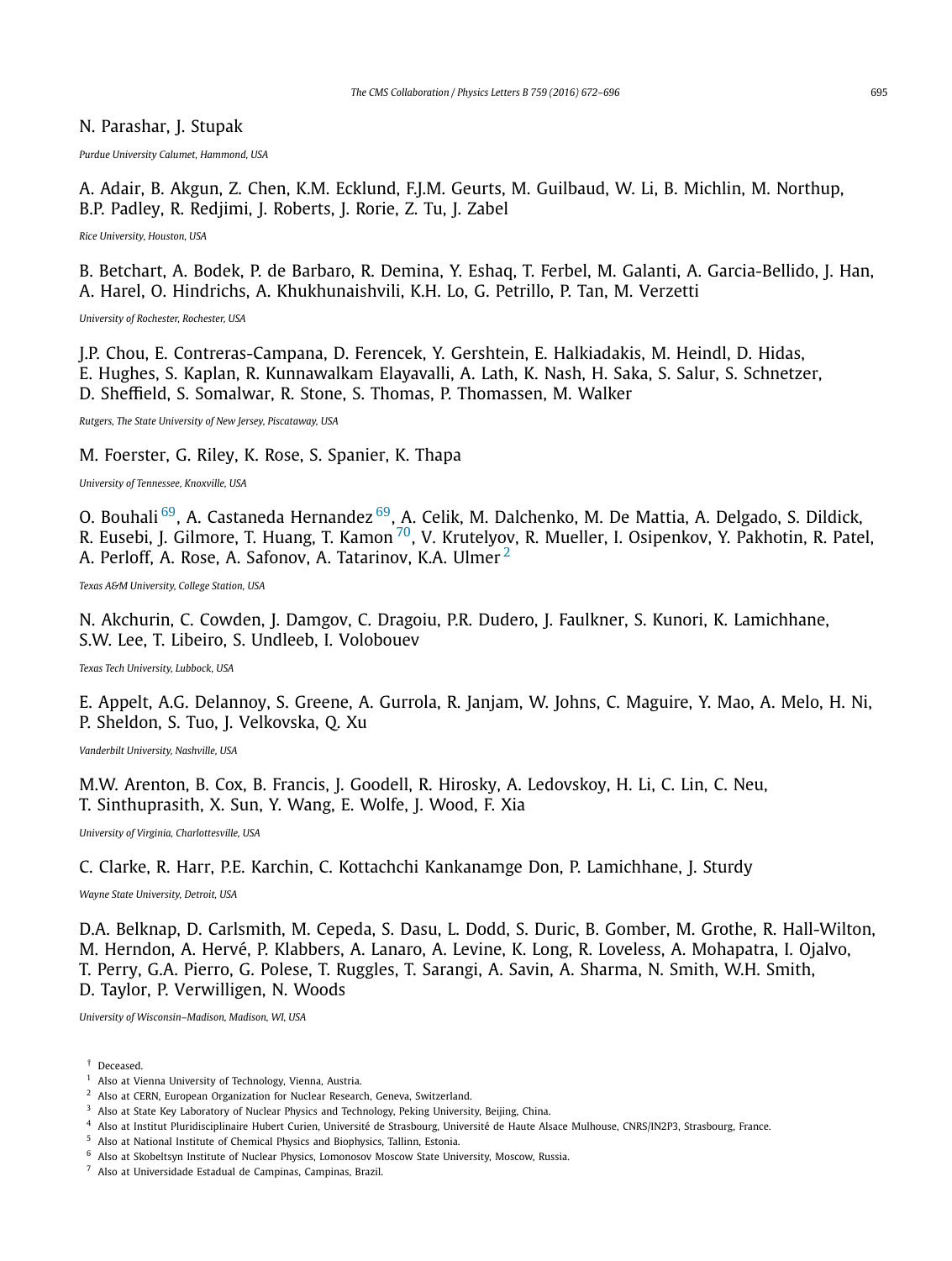#### <span id="page-23-0"></span>N. Parashar, J. Stupak

*Purdue University Calumet, Hammond, USA*

A. Adair, B. Akgun, Z. Chen, K.M. Ecklund, F.J.M. Geurts, M. Guilbaud, W. Li, B. Michlin, M. Northup, B.P. Padley, R. Redjimi, J. Roberts, J. Rorie, Z. Tu, J. Zabel

*Rice University, Houston, USA*

B. Betchart, A. Bodek, P. de Barbaro, R. Demina, Y. Eshaq, T. Ferbel, M. Galanti, A. Garcia-Bellido, J. Han, A. Harel, O. Hindrichs, A. Khukhunaishvili, K.H. Lo, G. Petrillo, P. Tan, M. Verzetti

*University of Rochester, Rochester, USA*

J.P. Chou, E. Contreras-Campana, D. Ferencek, Y. Gershtein, E. Halkiadakis, M. Heindl, D. Hidas, E. Hughes, S. Kaplan, R. Kunnawalkam Elayavalli, A. Lath, K. Nash, H. Saka, S. Salur, S. Schnetzer, D. Sheffield, S. Somalwar, R. Stone, S. Thomas, P. Thomassen, M. Walker

*Rutgers, The State University of New Jersey, Piscataway, USA*

M. Foerster, G. Riley, K. Rose, S. Spanier, K. Thapa

*University of Tennessee, Knoxville, USA*

O. Bouhali<sup>[69](#page-24-0)</sup>, A. Castaneda Hernandez<sup>69</sup>, A. Celik, M. Dalchenko, M. De Mattia, A. Delgado, S. Dildick, R. Eusebi, J. Gilmore, T. Huang, T. Kamon [70,](#page-24-0) V. Krutelyov, R. Mueller, I. Osipenkov, Y. Pakhotin, R. Patel, A. Perloff, A. Rose, A. Safonov, A. Tatarinov, K.A. Ulmer <sup>2</sup>

*Texas A&M University, College Station, USA*

N. Akchurin, C. Cowden, J. Damgov, C. Dragoiu, P.R. Dudero, J. Faulkner, S. Kunori, K. Lamichhane, S.W. Lee, T. Libeiro, S. Undleeb, I. Volobouev

*Texas Tech University, Lubbock, USA*

E. Appelt, A.G. Delannoy, S. Greene, A. Gurrola, R. Janjam, W. Johns, C. Maguire, Y. Mao, A. Melo, H. Ni, P. Sheldon, S. Tuo, J. Velkovska, Q. Xu

*Vanderbilt University, Nashville, USA*

M.W. Arenton, B. Cox, B. Francis, J. Goodell, R. Hirosky, A. Ledovskoy, H. Li, C. Lin, C. Neu, T. Sinthuprasith, X. Sun, Y. Wang, E. Wolfe, J. Wood, F. Xia

*University of Virginia, Charlottesville, USA*

C. Clarke, R. Harr, P.E. Karchin, C. Kottachchi Kankanamge Don, P. Lamichhane, J. Sturdy

*Wayne State University, Detroit, USA*

D.A. Belknap, D. Carlsmith, M. Cepeda, S. Dasu, L. Dodd, S. Duric, B. Gomber, M. Grothe, R. Hall-Wilton, M. Herndon, A. Hervé, P. Klabbers, A. Lanaro, A. Levine, K. Long, R. Loveless, A. Mohapatra, I. Ojalvo, T. Perry, G.A. Pierro, G. Polese, T. Ruggles, T. Sarangi, A. Savin, A. Sharma, N. Smith, W.H. Smith, D. Taylor, P. Verwilligen, N. Woods

*University of Wisconsin–Madison, Madison, WI, USA*

<sup>4</sup> Also at Institut Pluridisciplinaire Hubert Curien, Université de Strasbourg, Université de Haute Alsace Mulhouse, CNRS/IN2P3, Strasbourg, France.

<sup>†</sup> Deceased.

<sup>1</sup> Also at Vienna University of Technology, Vienna, Austria.

<sup>&</sup>lt;sup>2</sup> Also at CERN, European Organization for Nuclear Research, Geneva, Switzerland.

<sup>&</sup>lt;sup>3</sup> Also at State Key Laboratory of Nuclear Physics and Technology, Peking University, Beijing, China.

<sup>5</sup> Also at National Institute of Chemical Physics and Biophysics, Tallinn, Estonia.

<sup>6</sup> Also at Skobeltsyn Institute of Nuclear Physics, Lomonosov Moscow State University, Moscow, Russia.

<sup>7</sup> Also at Universidade Estadual de Campinas, Campinas, Brazil.